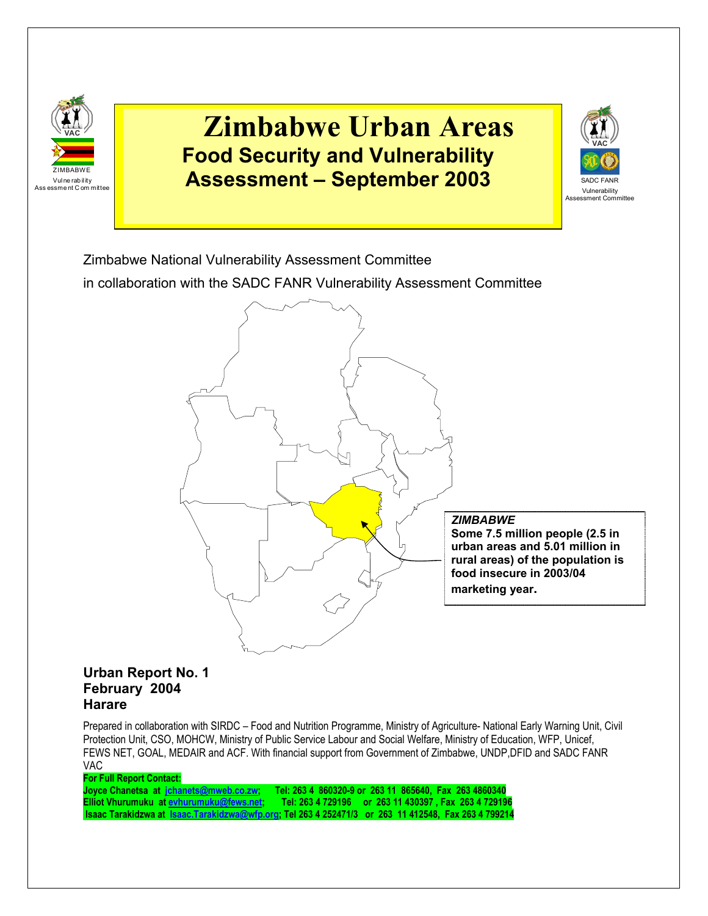

# **Zimbabwe Urban Areas Food Security and Vulnerability Assessment – September 2003**



Zimbabwe National Vulnerability Assessment Committee

in collaboration with the SADC FANR Vulnerability Assessment Committee



*ZIMBABWE* 

**Some 7.5 million people (2.5 in urban areas and 5.01 million in rural areas) of the population is food insecure in 2003/04 marketing year.** 

# **Urban Report No. 1 February 2004 Harare**

Prepared in collaboration with SIRDC – Food and Nutrition Programme, Ministry of Agriculture- National Early Warning Unit, Civil Protection Unit, CSO, MOHCW, Ministry of Public Service Labour and Social Welfare, Ministry of Education, WFP, Unicef, FEWS NET, GOAL, MEDAIR and ACF. With financial support from Government of Zimbabwe, UNDP,DFID and SADC FANR VAC

| $\sqrt{ }$<br><b>For Full Report Contact:</b> |                                                                                                     |
|-----------------------------------------------|-----------------------------------------------------------------------------------------------------|
| Joyce Chanetsa at jchanets@mweb.co.zw:        | Tel: 263 4 860320-9 or 263 11 865640, Fax 263 4860340                                               |
| Elliot Vhurumuku at evhurumuku@fews.net;      |                                                                                                     |
|                                               | Isaac Tarakidzwa at Isaac.Tarakidzwa@wfp.org; Tel 263 4 252471/3 or 263 11 412548, Fax 263 4 799214 |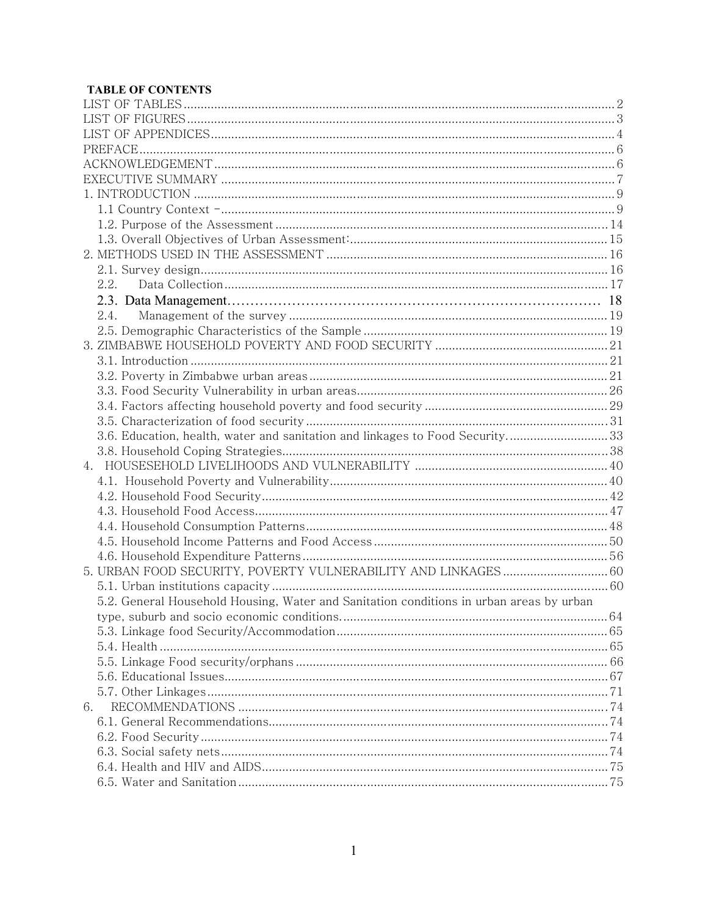## **TABLE OF CONTENTS**

| 2.2.                                                                                    |  |
|-----------------------------------------------------------------------------------------|--|
|                                                                                         |  |
| 2.4.                                                                                    |  |
|                                                                                         |  |
|                                                                                         |  |
|                                                                                         |  |
|                                                                                         |  |
|                                                                                         |  |
|                                                                                         |  |
|                                                                                         |  |
| 3.6. Education, health, water and sanitation and linkages to Food Security33            |  |
|                                                                                         |  |
|                                                                                         |  |
|                                                                                         |  |
|                                                                                         |  |
|                                                                                         |  |
|                                                                                         |  |
|                                                                                         |  |
|                                                                                         |  |
|                                                                                         |  |
|                                                                                         |  |
| 5.2. General Household Housing, Water and Sanitation conditions in urban areas by urban |  |
|                                                                                         |  |
|                                                                                         |  |
|                                                                                         |  |
|                                                                                         |  |
|                                                                                         |  |
|                                                                                         |  |
| 6.                                                                                      |  |
|                                                                                         |  |
|                                                                                         |  |
|                                                                                         |  |
|                                                                                         |  |
|                                                                                         |  |
|                                                                                         |  |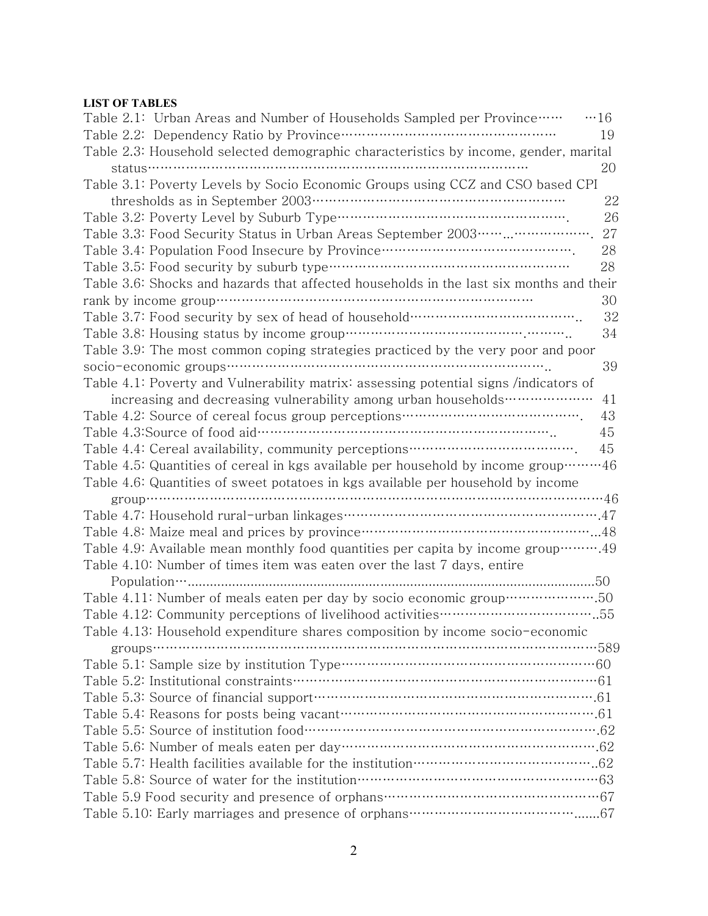# **LIST OF TABLES**

| Table 2.1: Urban Areas and Number of Households Sampled per Province<br>$\cdots$ 16      |     |
|------------------------------------------------------------------------------------------|-----|
|                                                                                          | 19  |
| Table 2.3: Household selected demographic characteristics by income, gender, marital     |     |
|                                                                                          | 20  |
| Table 3.1: Poverty Levels by Socio Economic Groups using CCZ and CSO based CPI           |     |
|                                                                                          | 22  |
|                                                                                          | 26  |
| Table 3.3: Food Security Status in Urban Areas September 2003 ·······················    | -27 |
|                                                                                          | 28  |
|                                                                                          | 28  |
| Table 3.6: Shocks and hazards that affected households in the last six months and their  |     |
|                                                                                          | 30  |
|                                                                                          | 32  |
|                                                                                          | 34  |
| Table 3.9: The most common coping strategies practiced by the very poor and poor         |     |
|                                                                                          | 39  |
| Table 4.1: Poverty and Vulnerability matrix: assessing potential signs /indicators of    |     |
|                                                                                          | 41  |
|                                                                                          | 43  |
|                                                                                          | 45  |
|                                                                                          | 45  |
| Table 4.5: Quantities of cereal in kgs available per household by income group……46       |     |
| Table 4.6: Quantities of sweet potatoes in kgs available per household by income         |     |
|                                                                                          |     |
| Table 4.7: Household rural-urban linkages…………………………………………………47                           |     |
|                                                                                          |     |
| Table 4.9: Available mean monthly food quantities per capita by income group……49         |     |
| Table 4.10: Number of times item was eaten over the last 7 days, entire                  |     |
|                                                                                          |     |
| Table 4.11: Number of meals eaten per day by socio economic group ····················50 |     |
| Table 4.12: Community perceptions of livelihood activities………………………………55                 |     |
| Table 4.13: Household expenditure shares composition by income socio-economic            |     |
|                                                                                          |     |
|                                                                                          |     |
|                                                                                          |     |
|                                                                                          |     |
|                                                                                          |     |
| Table 5.5: Source of institution food…………………………………………………………………………62                      |     |
| Table 5.6: Number of meals eaten per day………………………………………………………62                          |     |
|                                                                                          |     |
|                                                                                          |     |
|                                                                                          |     |
|                                                                                          |     |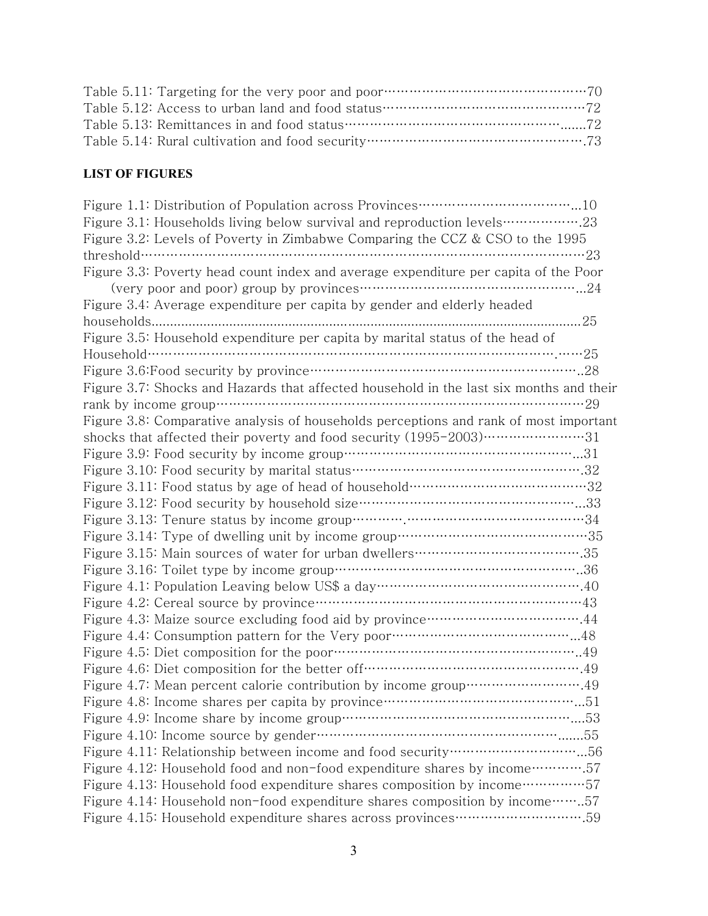# **LIST OF FIGURES**

| Figure 3.1: Households living below survival and reproduction levels 23<br>Figure 3.2: Levels of Poverty in Zimbabwe Comparing the CCZ & CSO to the 1995 |
|----------------------------------------------------------------------------------------------------------------------------------------------------------|
| Figure 3.3: Poverty head count index and average expenditure per capita of the Poor                                                                      |
|                                                                                                                                                          |
| Figure 3.4: Average expenditure per capita by gender and elderly headed                                                                                  |
|                                                                                                                                                          |
| Figure 3.5: Household expenditure per capita by marital status of the head of                                                                            |
|                                                                                                                                                          |
|                                                                                                                                                          |
| Figure 3.7: Shocks and Hazards that affected household in the last six months and their                                                                  |
|                                                                                                                                                          |
| Figure 3.8: Comparative analysis of households perceptions and rank of most important                                                                    |
| shocks that affected their poverty and food security (1995-2003) ·······················31                                                               |
| Figure 3.9: Food security by income group………………………………………………………31                                                                                         |
|                                                                                                                                                          |
|                                                                                                                                                          |
|                                                                                                                                                          |
|                                                                                                                                                          |
|                                                                                                                                                          |
|                                                                                                                                                          |
|                                                                                                                                                          |
|                                                                                                                                                          |
|                                                                                                                                                          |
|                                                                                                                                                          |
|                                                                                                                                                          |
|                                                                                                                                                          |
|                                                                                                                                                          |
| Figure 4.7: Mean percent calorie contribution by income group ···························.49                                                             |
|                                                                                                                                                          |
|                                                                                                                                                          |
| Figure 4.10: Income source by gender…………………………………………………………55                                                                                             |
| Figure 4.11: Relationship between income and food security ····························56                                                                |
| Figure 4.12: Household food and non-food expenditure shares by income ···········.57                                                                     |
| Figure 4.13: Household food expenditure shares composition by income ················57                                                                  |
| Figure 4.14: Household non-food expenditure shares composition by income 57                                                                              |
| Figure 4.15: Household expenditure shares across provinces ······························.59                                                             |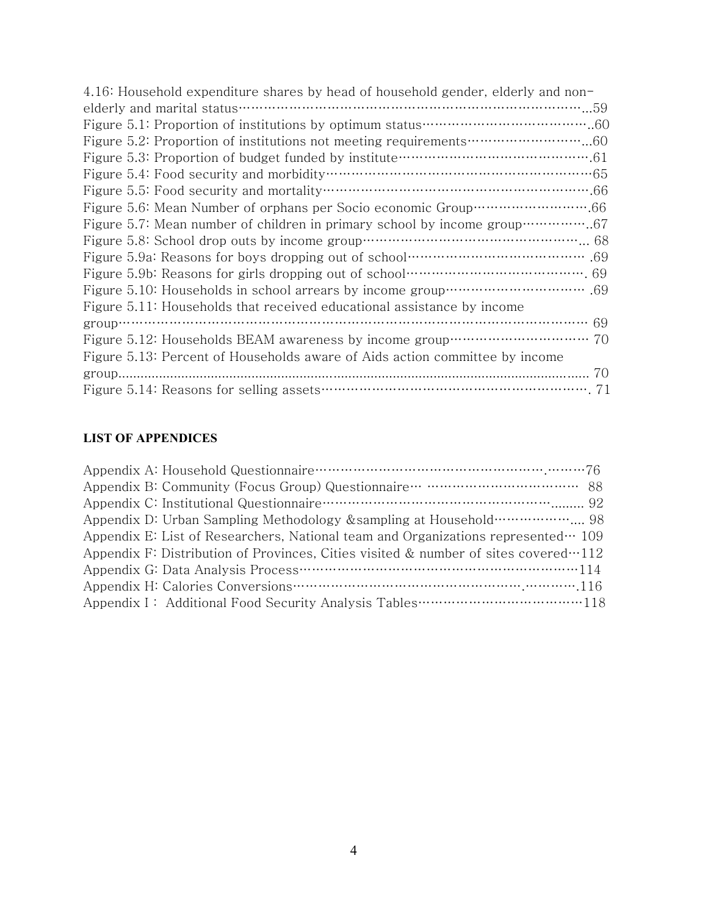| 4.16: Household expenditure shares by head of household gender, elderly and non-               |
|------------------------------------------------------------------------------------------------|
|                                                                                                |
|                                                                                                |
|                                                                                                |
| Figure 5.3: Proportion of budget funded by institute………………………………………………………………………61              |
|                                                                                                |
|                                                                                                |
|                                                                                                |
| Figure 5.7: Mean number of children in primary school by income group…………………67                 |
|                                                                                                |
|                                                                                                |
|                                                                                                |
| Figure 5.10: Households in school arrears by income group ································ .69 |
| Figure 5.11: Households that received educational assistance by income                         |
|                                                                                                |
|                                                                                                |
| Figure 5.13: Percent of Households aware of Aids action committee by income                    |
|                                                                                                |
|                                                                                                |

# **LIST OF APPENDICES**

| Appendix B: Community (Focus Group) Questionnaire… ……………………………… 88                          |
|---------------------------------------------------------------------------------------------|
| Appendix C: Institutional Questionnaire…………………………………………………………………… 92                        |
|                                                                                             |
| Appendix E: List of Researchers, National team and Organizations represented $\cdots$ 109   |
| Appendix F: Distribution of Provinces, Cities visited & number of sites covered $\cdot$ 112 |
| Appendix G: Data Analysis Process…………………………………………………………114                                  |
|                                                                                             |
| Appendix I: Additional Food Security Analysis Tables…………………………………118                        |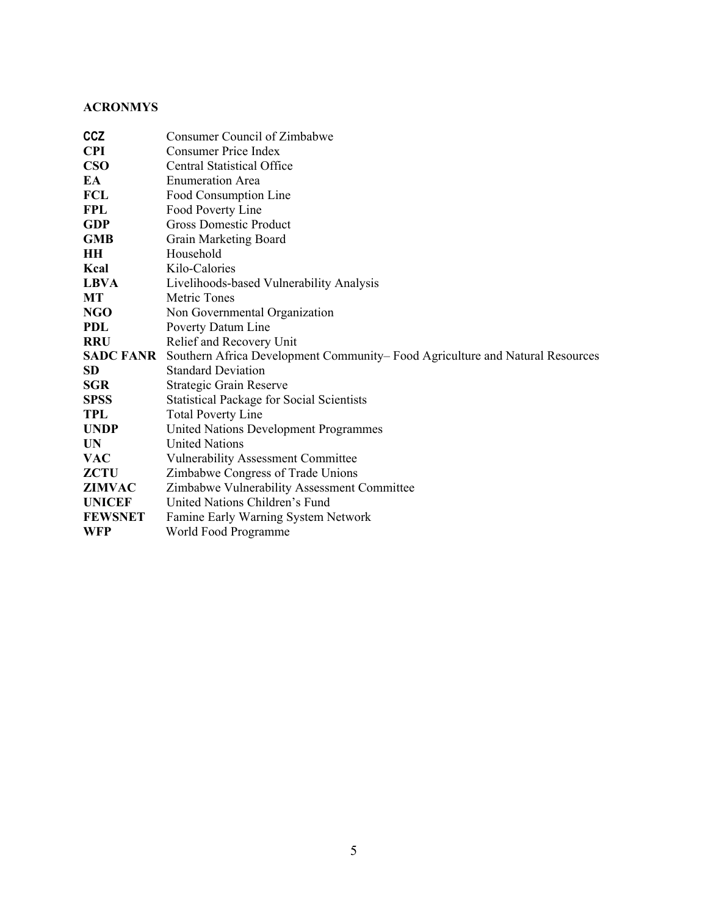# **ACRONMYS**

| <b>CCZ</b>       | Consumer Council of Zimbabwe                                                 |
|------------------|------------------------------------------------------------------------------|
| <b>CPI</b>       | <b>Consumer Price Index</b>                                                  |
| <b>CSO</b>       | Central Statistical Office                                                   |
| EA               | <b>Enumeration Area</b>                                                      |
| <b>FCL</b>       | Food Consumption Line                                                        |
| <b>FPL</b>       | Food Poverty Line                                                            |
| <b>GDP</b>       | <b>Gross Domestic Product</b>                                                |
| <b>GMB</b>       | <b>Grain Marketing Board</b>                                                 |
| <b>HH</b>        | Household                                                                    |
| Kcal             | Kilo-Calories                                                                |
| <b>LBVA</b>      | Livelihoods-based Vulnerability Analysis                                     |
| MT               | <b>Metric Tones</b>                                                          |
| NGO              | Non Governmental Organization                                                |
| <b>PDL</b>       | Poverty Datum Line                                                           |
| <b>RRU</b>       | Relief and Recovery Unit                                                     |
| <b>SADC FANR</b> | Southern Africa Development Community–Food Agriculture and Natural Resources |
| <b>SD</b>        | <b>Standard Deviation</b>                                                    |
| <b>SGR</b>       | Strategic Grain Reserve                                                      |
| <b>SPSS</b>      | <b>Statistical Package for Social Scientists</b>                             |
| <b>TPL</b>       | <b>Total Poverty Line</b>                                                    |
| <b>UNDP</b>      | <b>United Nations Development Programmes</b>                                 |
| <b>UN</b>        | <b>United Nations</b>                                                        |
| <b>VAC</b>       | <b>Vulnerability Assessment Committee</b>                                    |
| <b>ZCTU</b>      | Zimbabwe Congress of Trade Unions                                            |
| <b>ZIMVAC</b>    | Zimbabwe Vulnerability Assessment Committee                                  |
| <b>UNICEF</b>    | United Nations Children's Fund                                               |
| <b>FEWSNET</b>   | Famine Early Warning System Network                                          |
| WFP              | World Food Programme                                                         |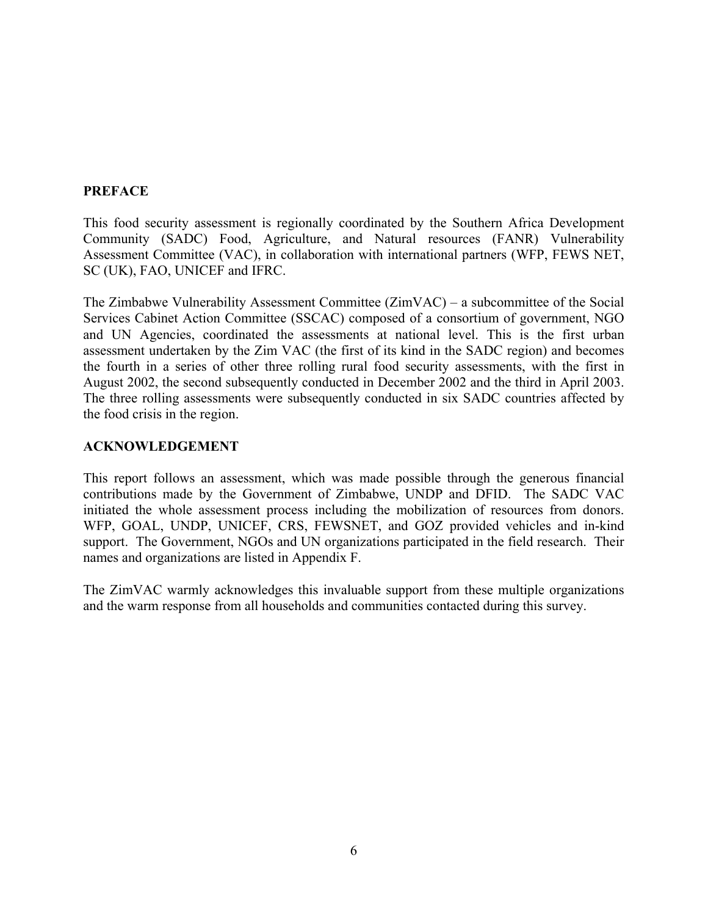# **PREFACE**

This food security assessment is regionally coordinated by the Southern Africa Development Community (SADC) Food, Agriculture, and Natural resources (FANR) Vulnerability Assessment Committee (VAC), in collaboration with international partners (WFP, FEWS NET, SC (UK), FAO, UNICEF and IFRC.

The Zimbabwe Vulnerability Assessment Committee (ZimVAC) – a subcommittee of the Social Services Cabinet Action Committee (SSCAC) composed of a consortium of government, NGO and UN Agencies, coordinated the assessments at national level. This is the first urban assessment undertaken by the Zim VAC (the first of its kind in the SADC region) and becomes the fourth in a series of other three rolling rural food security assessments, with the first in August 2002, the second subsequently conducted in December 2002 and the third in April 2003. The three rolling assessments were subsequently conducted in six SADC countries affected by the food crisis in the region.

# **ACKNOWLEDGEMENT**

This report follows an assessment, which was made possible through the generous financial contributions made by the Government of Zimbabwe, UNDP and DFID. The SADC VAC initiated the whole assessment process including the mobilization of resources from donors. WFP, GOAL, UNDP, UNICEF, CRS, FEWSNET, and GOZ provided vehicles and in-kind support. The Government, NGOs and UN organizations participated in the field research. Their names and organizations are listed in Appendix F.

The ZimVAC warmly acknowledges this invaluable support from these multiple organizations and the warm response from all households and communities contacted during this survey.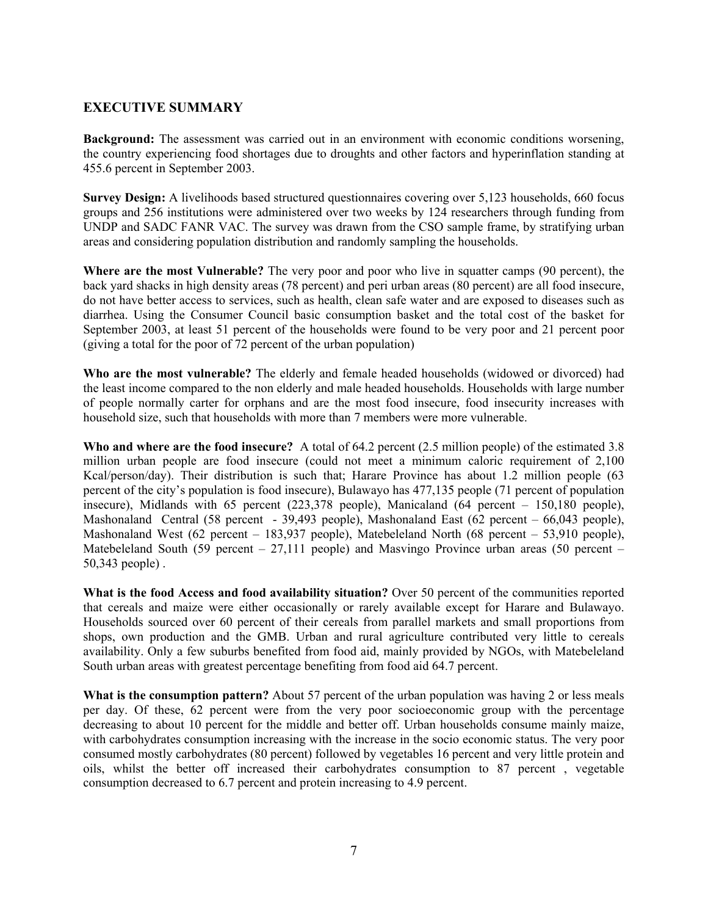## **EXECUTIVE SUMMARY**

**Background:** The assessment was carried out in an environment with economic conditions worsening, the country experiencing food shortages due to droughts and other factors and hyperinflation standing at 455.6 percent in September 2003.

**Survey Design:** A livelihoods based structured questionnaires covering over 5,123 households, 660 focus groups and 256 institutions were administered over two weeks by 124 researchers through funding from UNDP and SADC FANR VAC. The survey was drawn from the CSO sample frame, by stratifying urban areas and considering population distribution and randomly sampling the households.

**Where are the most Vulnerable?** The very poor and poor who live in squatter camps (90 percent), the back yard shacks in high density areas (78 percent) and peri urban areas (80 percent) are all food insecure, do not have better access to services, such as health, clean safe water and are exposed to diseases such as diarrhea. Using the Consumer Council basic consumption basket and the total cost of the basket for September 2003, at least 51 percent of the households were found to be very poor and 21 percent poor (giving a total for the poor of 72 percent of the urban population)

**Who are the most vulnerable?** The elderly and female headed households (widowed or divorced) had the least income compared to the non elderly and male headed households. Households with large number of people normally carter for orphans and are the most food insecure, food insecurity increases with household size, such that households with more than 7 members were more vulnerable.

**Who and where are the food insecure?** A total of 64.2 percent (2.5 million people) of the estimated 3.8 million urban people are food insecure (could not meet a minimum caloric requirement of 2,100 Kcal/person/day). Their distribution is such that; Harare Province has about 1.2 million people (63 percent of the city's population is food insecure), Bulawayo has 477,135 people (71 percent of population insecure), Midlands with 65 percent (223,378 people), Manicaland (64 percent – 150,180 people), Mashonaland Central (58 percent - 39,493 people), Mashonaland East (62 percent – 66,043 people), Mashonaland West (62 percent – 183,937 people), Matebeleland North (68 percent – 53,910 people), Matebeleland South (59 percent – 27,111 people) and Masvingo Province urban areas (50 percent – 50,343 people) .

**What is the food Access and food availability situation?** Over 50 percent of the communities reported that cereals and maize were either occasionally or rarely available except for Harare and Bulawayo. Households sourced over 60 percent of their cereals from parallel markets and small proportions from shops, own production and the GMB. Urban and rural agriculture contributed very little to cereals availability. Only a few suburbs benefited from food aid, mainly provided by NGOs, with Matebeleland South urban areas with greatest percentage benefiting from food aid 64.7 percent.

**What is the consumption pattern?** About 57 percent of the urban population was having 2 or less meals per day. Of these, 62 percent were from the very poor socioeconomic group with the percentage decreasing to about 10 percent for the middle and better off. Urban households consume mainly maize, with carbohydrates consumption increasing with the increase in the socio economic status. The very poor consumed mostly carbohydrates (80 percent) followed by vegetables 16 percent and very little protein and oils, whilst the better off increased their carbohydrates consumption to 87 percent , vegetable consumption decreased to 6.7 percent and protein increasing to 4.9 percent.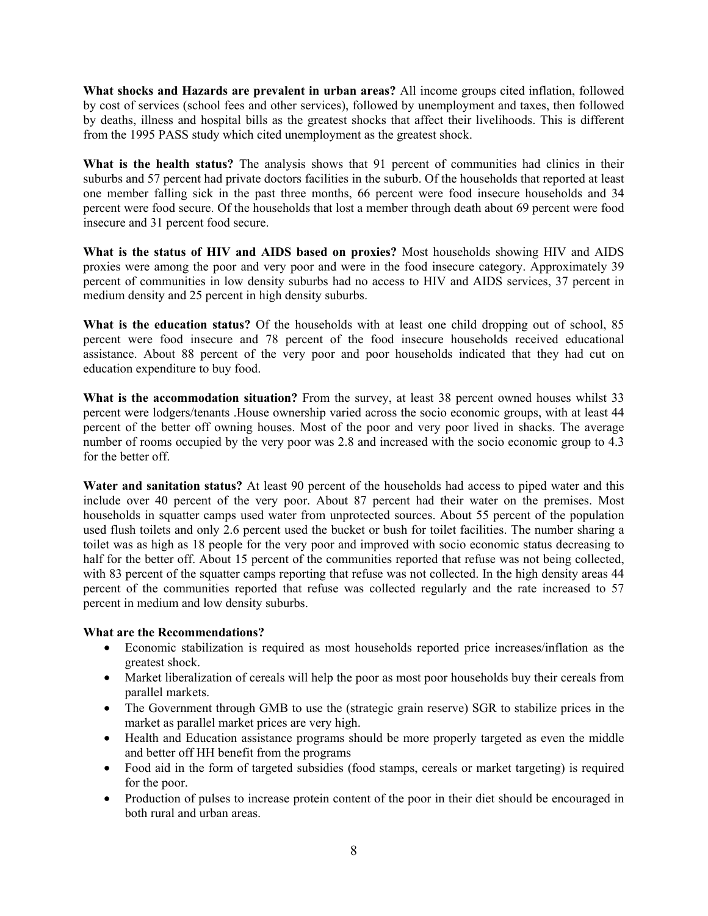**What shocks and Hazards are prevalent in urban areas?** All income groups cited inflation, followed by cost of services (school fees and other services), followed by unemployment and taxes, then followed by deaths, illness and hospital bills as the greatest shocks that affect their livelihoods. This is different from the 1995 PASS study which cited unemployment as the greatest shock.

**What is the health status?** The analysis shows that 91 percent of communities had clinics in their suburbs and 57 percent had private doctors facilities in the suburb. Of the households that reported at least one member falling sick in the past three months, 66 percent were food insecure households and 34 percent were food secure. Of the households that lost a member through death about 69 percent were food insecure and 31 percent food secure.

**What is the status of HIV and AIDS based on proxies?** Most households showing HIV and AIDS proxies were among the poor and very poor and were in the food insecure category. Approximately 39 percent of communities in low density suburbs had no access to HIV and AIDS services, 37 percent in medium density and 25 percent in high density suburbs.

**What is the education status?** Of the households with at least one child dropping out of school, 85 percent were food insecure and 78 percent of the food insecure households received educational assistance. About 88 percent of the very poor and poor households indicated that they had cut on education expenditure to buy food.

**What is the accommodation situation?** From the survey, at least 38 percent owned houses whilst 33 percent were lodgers/tenants .House ownership varied across the socio economic groups, with at least 44 percent of the better off owning houses. Most of the poor and very poor lived in shacks. The average number of rooms occupied by the very poor was 2.8 and increased with the socio economic group to 4.3 for the better off.

**Water and sanitation status?** At least 90 percent of the households had access to piped water and this include over 40 percent of the very poor. About 87 percent had their water on the premises. Most households in squatter camps used water from unprotected sources. About 55 percent of the population used flush toilets and only 2.6 percent used the bucket or bush for toilet facilities. The number sharing a toilet was as high as 18 people for the very poor and improved with socio economic status decreasing to half for the better off. About 15 percent of the communities reported that refuse was not being collected, with 83 percent of the squatter camps reporting that refuse was not collected. In the high density areas 44 percent of the communities reported that refuse was collected regularly and the rate increased to 57 percent in medium and low density suburbs.

#### **What are the Recommendations?**

- Economic stabilization is required as most households reported price increases/inflation as the greatest shock.
- Market liberalization of cereals will help the poor as most poor households buy their cereals from parallel markets.
- The Government through GMB to use the (strategic grain reserve) SGR to stabilize prices in the market as parallel market prices are very high.
- Health and Education assistance programs should be more properly targeted as even the middle and better off HH benefit from the programs
- Food aid in the form of targeted subsidies (food stamps, cereals or market targeting) is required for the poor.
- Production of pulses to increase protein content of the poor in their diet should be encouraged in both rural and urban areas.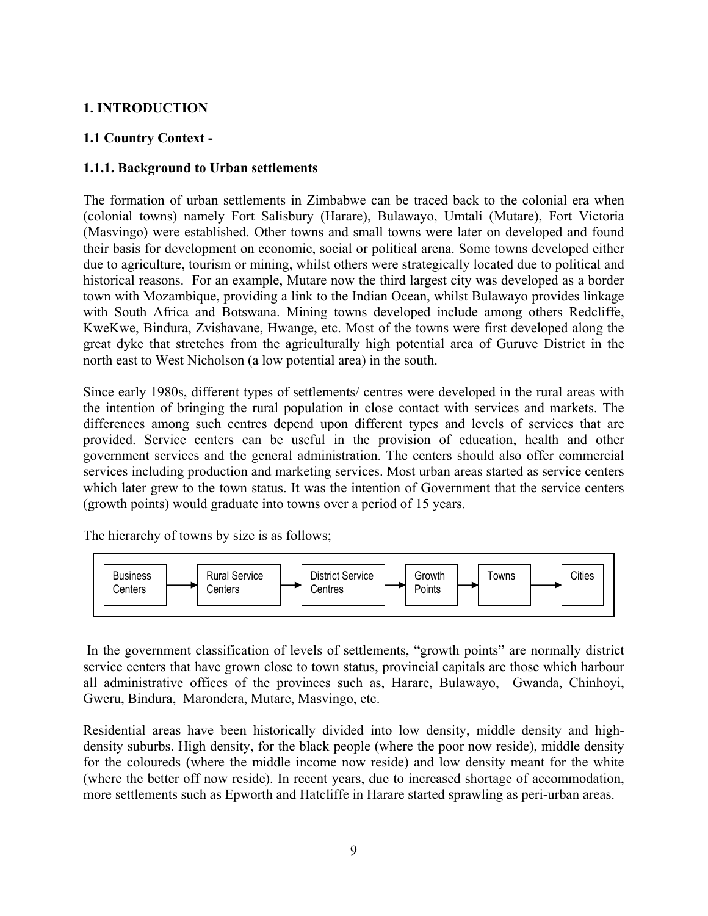# **1. INTRODUCTION**

# **1.1 Country Context -**

# **1.1.1. Background to Urban settlements**

The formation of urban settlements in Zimbabwe can be traced back to the colonial era when (colonial towns) namely Fort Salisbury (Harare), Bulawayo, Umtali (Mutare), Fort Victoria (Masvingo) were established. Other towns and small towns were later on developed and found their basis for development on economic, social or political arena. Some towns developed either due to agriculture, tourism or mining, whilst others were strategically located due to political and historical reasons. For an example, Mutare now the third largest city was developed as a border town with Mozambique, providing a link to the Indian Ocean, whilst Bulawayo provides linkage with South Africa and Botswana. Mining towns developed include among others Redcliffe, KweKwe, Bindura, Zvishavane, Hwange, etc. Most of the towns were first developed along the great dyke that stretches from the agriculturally high potential area of Guruve District in the north east to West Nicholson (a low potential area) in the south.

Since early 1980s, different types of settlements/ centres were developed in the rural areas with the intention of bringing the rural population in close contact with services and markets. The differences among such centres depend upon different types and levels of services that are provided. Service centers can be useful in the provision of education, health and other government services and the general administration. The centers should also offer commercial services including production and marketing services. Most urban areas started as service centers which later grew to the town status. It was the intention of Government that the service centers (growth points) would graduate into towns over a period of 15 years.

The hierarchy of towns by size is as follows;



 In the government classification of levels of settlements, "growth points" are normally district service centers that have grown close to town status, provincial capitals are those which harbour all administrative offices of the provinces such as, Harare, Bulawayo, Gwanda, Chinhoyi, Gweru, Bindura, Marondera, Mutare, Masvingo, etc.

Residential areas have been historically divided into low density, middle density and highdensity suburbs. High density, for the black people (where the poor now reside), middle density for the coloureds (where the middle income now reside) and low density meant for the white (where the better off now reside). In recent years, due to increased shortage of accommodation, more settlements such as Epworth and Hatcliffe in Harare started sprawling as peri-urban areas.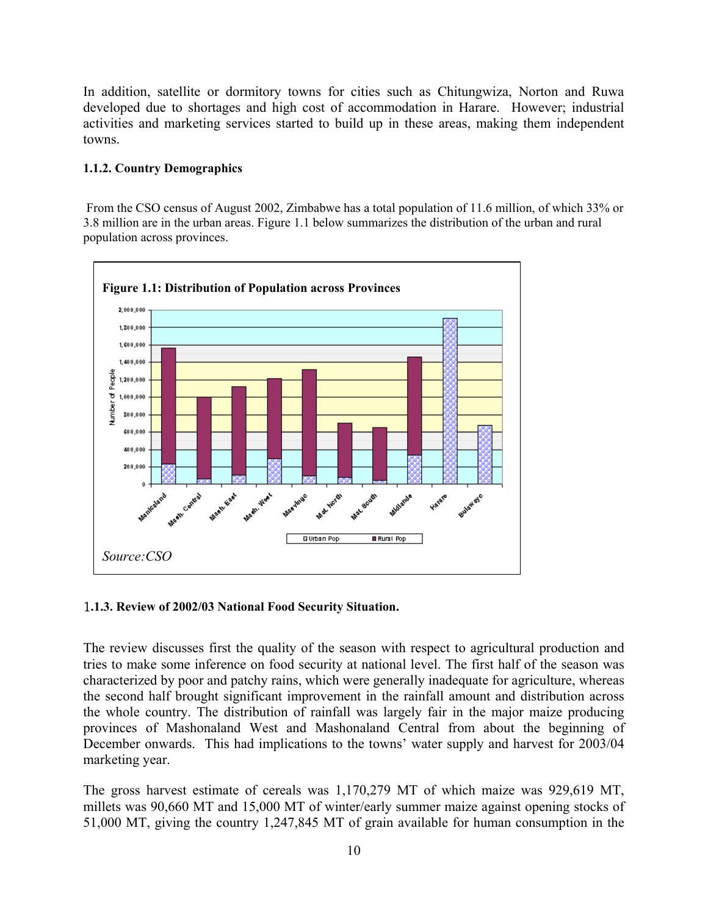In addition, satellite or dormitory towns for cities such as Chitungwiza, Norton and Ruwa developed due to shortages and high cost of accommodation in Harare. However; industrial activities and marketing services started to build up in these areas, making them independent towns.

# **1.1.2. Country Demographics**

 From the CSO census of August 2002, Zimbabwe has a total population of 11.6 million, of which 33% or 3.8 million are in the urban areas. Figure 1.1 below summarizes the distribution of the urban and rural population across provinces.



## 1**.1.3. Review of 2002/03 National Food Security Situation.**

The review discusses first the quality of the season with respect to agricultural production and tries to make some inference on food security at national level. The first half of the season was characterized by poor and patchy rains, which were generally inadequate for agriculture, whereas the second half brought significant improvement in the rainfall amount and distribution across the whole country. The distribution of rainfall was largely fair in the major maize producing provinces of Mashonaland West and Mashonaland Central from about the beginning of December onwards. This had implications to the towns' water supply and harvest for 2003/04 marketing year.

The gross harvest estimate of cereals was 1,170,279 MT of which maize was 929,619 MT, millets was 90,660 MT and 15,000 MT of winter/early summer maize against opening stocks of 51,000 MT, giving the country 1,247,845 MT of grain available for human consumption in the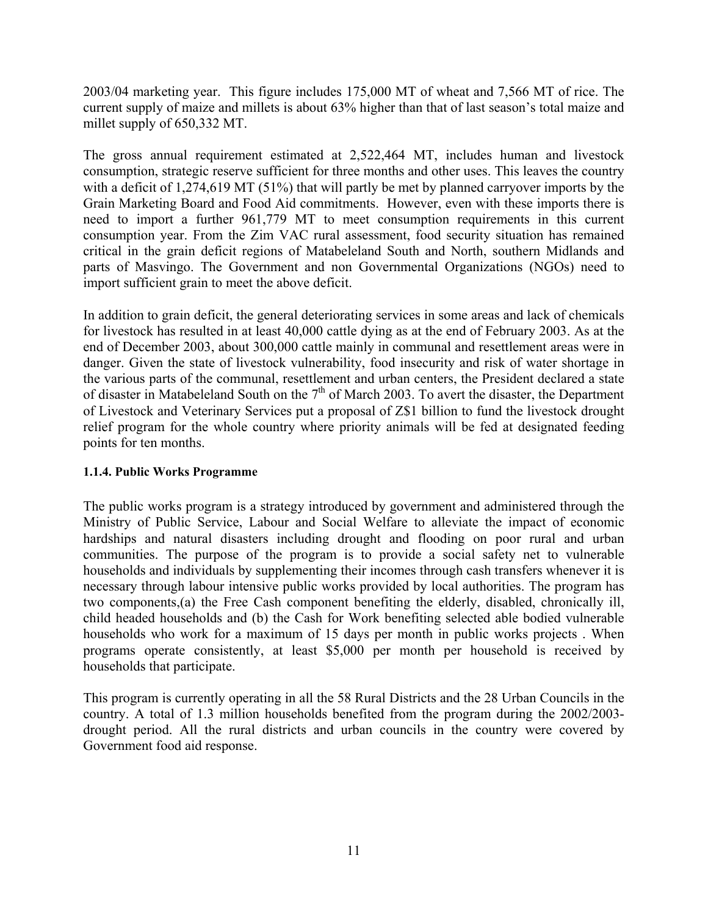2003/04 marketing year. This figure includes 175,000 MT of wheat and 7,566 MT of rice. The current supply of maize and millets is about 63% higher than that of last season's total maize and millet supply of 650,332 MT.

The gross annual requirement estimated at 2,522,464 MT, includes human and livestock consumption, strategic reserve sufficient for three months and other uses. This leaves the country with a deficit of 1,274,619 MT (51%) that will partly be met by planned carryover imports by the Grain Marketing Board and Food Aid commitments. However, even with these imports there is need to import a further 961,779 MT to meet consumption requirements in this current consumption year. From the Zim VAC rural assessment, food security situation has remained critical in the grain deficit regions of Matabeleland South and North, southern Midlands and parts of Masvingo. The Government and non Governmental Organizations (NGOs) need to import sufficient grain to meet the above deficit.

In addition to grain deficit, the general deteriorating services in some areas and lack of chemicals for livestock has resulted in at least 40,000 cattle dying as at the end of February 2003. As at the end of December 2003, about 300,000 cattle mainly in communal and resettlement areas were in danger. Given the state of livestock vulnerability, food insecurity and risk of water shortage in the various parts of the communal, resettlement and urban centers, the President declared a state of disaster in Matabeleland South on the 7<sup>th</sup> of March 2003. To avert the disaster, the Department of Livestock and Veterinary Services put a proposal of Z\$1 billion to fund the livestock drought relief program for the whole country where priority animals will be fed at designated feeding points for ten months.

# **1.1.4. Public Works Programme**

The public works program is a strategy introduced by government and administered through the Ministry of Public Service, Labour and Social Welfare to alleviate the impact of economic hardships and natural disasters including drought and flooding on poor rural and urban communities. The purpose of the program is to provide a social safety net to vulnerable households and individuals by supplementing their incomes through cash transfers whenever it is necessary through labour intensive public works provided by local authorities. The program has two components,(a) the Free Cash component benefiting the elderly, disabled, chronically ill, child headed households and (b) the Cash for Work benefiting selected able bodied vulnerable households who work for a maximum of 15 days per month in public works projects . When programs operate consistently, at least \$5,000 per month per household is received by households that participate.

This program is currently operating in all the 58 Rural Districts and the 28 Urban Councils in the country. A total of 1.3 million households benefited from the program during the 2002/2003 drought period. All the rural districts and urban councils in the country were covered by Government food aid response.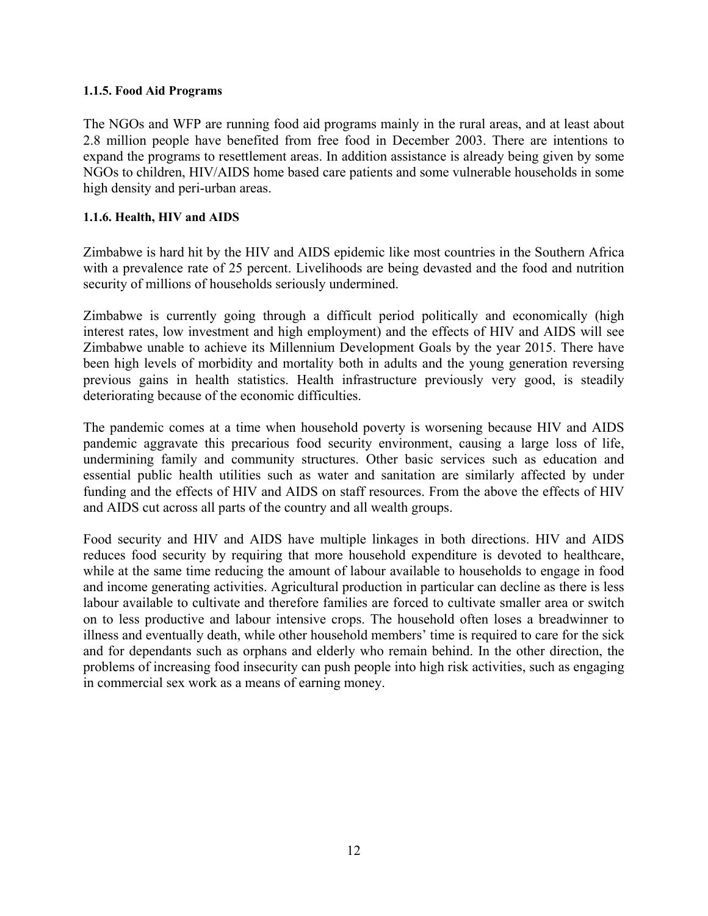#### **1.1.5. Food Aid Programs**

The NGOs and WFP are running food aid programs mainly in the rural areas, and at least about 2.8 million people have benefited from free food in December 2003. There are intentions to expand the programs to resettlement areas. In addition assistance is already being given by some NGOs to children, HIV/AIDS home based care patients and some vulnerable households in some high density and peri-urban areas.

## **1.1.6. Health, HIV and AIDS**

Zimbabwe is hard hit by the HIV and AIDS epidemic like most countries in the Southern Africa with a prevalence rate of 25 percent. Livelihoods are being devasted and the food and nutrition security of millions of households seriously undermined.

Zimbabwe is currently going through a difficult period politically and economically (high interest rates, low investment and high employment) and the effects of HIV and AIDS will see Zimbabwe unable to achieve its Millennium Development Goals by the year 2015. There have been high levels of morbidity and mortality both in adults and the young generation reversing previous gains in health statistics. Health infrastructure previously very good, is steadily deteriorating because of the economic difficulties.

The pandemic comes at a time when household poverty is worsening because HIV and AIDS pandemic aggravate this precarious food security environment, causing a large loss of life, undermining family and community structures. Other basic services such as education and essential public health utilities such as water and sanitation are similarly affected by under funding and the effects of HIV and AIDS on staff resources. From the above the effects of HIV and AIDS cut across all parts of the country and all wealth groups.

Food security and HIV and AIDS have multiple linkages in both directions. HIV and AIDS reduces food security by requiring that more household expenditure is devoted to healthcare, while at the same time reducing the amount of labour available to households to engage in food and income generating activities. Agricultural production in particular can decline as there is less labour available to cultivate and therefore families are forced to cultivate smaller area or switch on to less productive and labour intensive crops. The household often loses a breadwinner to illness and eventually death, while other household members' time is required to care for the sick and for dependants such as orphans and elderly who remain behind. In the other direction, the problems of increasing food insecurity can push people into high risk activities, such as engaging in commercial sex work as a means of earning money.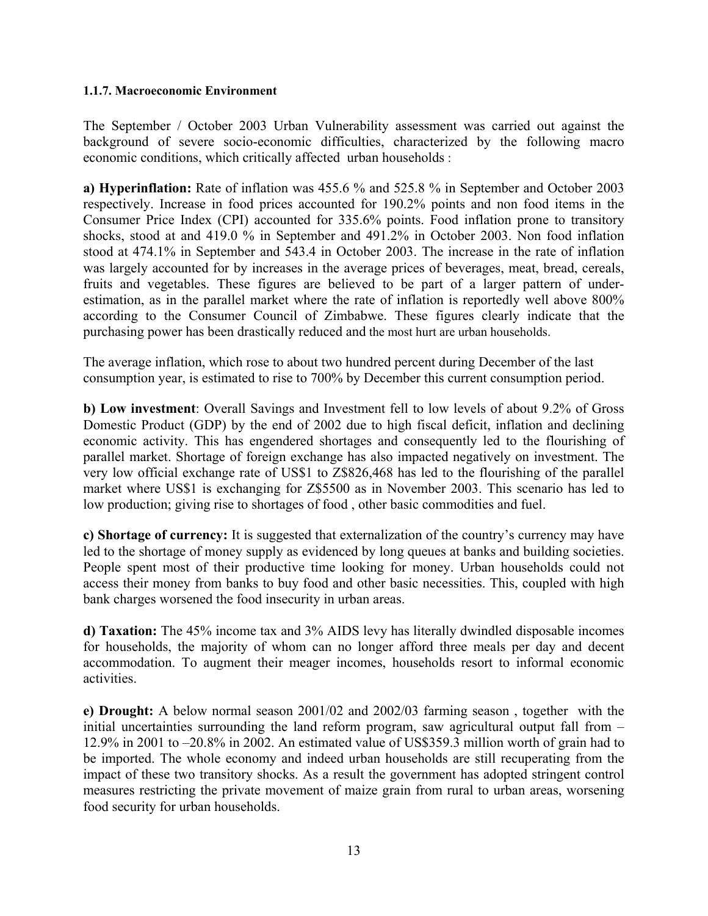#### **1.1.7. Macroeconomic Environment**

The September / October 2003 Urban Vulnerability assessment was carried out against the background of severe socio-economic difficulties, characterized by the following macro economic conditions, which critically affected urban households :

**a) Hyperinflation:** Rate of inflation was 455.6 % and 525.8 % in September and October 2003 respectively. Increase in food prices accounted for 190.2% points and non food items in the Consumer Price Index (CPI) accounted for 335.6% points. Food inflation prone to transitory shocks, stood at and 419.0 % in September and 491.2% in October 2003. Non food inflation stood at 474.1% in September and 543.4 in October 2003. The increase in the rate of inflation was largely accounted for by increases in the average prices of beverages, meat, bread, cereals, fruits and vegetables. These figures are believed to be part of a larger pattern of underestimation, as in the parallel market where the rate of inflation is reportedly well above 800% according to the Consumer Council of Zimbabwe. These figures clearly indicate that the purchasing power has been drastically reduced and the most hurt are urban households.

The average inflation, which rose to about two hundred percent during December of the last consumption year, is estimated to rise to 700% by December this current consumption period.

**b) Low investment**: Overall Savings and Investment fell to low levels of about 9.2% of Gross Domestic Product (GDP) by the end of 2002 due to high fiscal deficit, inflation and declining economic activity. This has engendered shortages and consequently led to the flourishing of parallel market. Shortage of foreign exchange has also impacted negatively on investment. The very low official exchange rate of US\$1 to Z\$826,468 has led to the flourishing of the parallel market where US\$1 is exchanging for Z\$5500 as in November 2003. This scenario has led to low production; giving rise to shortages of food , other basic commodities and fuel.

**c) Shortage of currency:** It is suggested that externalization of the country's currency may have led to the shortage of money supply as evidenced by long queues at banks and building societies. People spent most of their productive time looking for money. Urban households could not access their money from banks to buy food and other basic necessities. This, coupled with high bank charges worsened the food insecurity in urban areas.

**d) Taxation:** The 45% income tax and 3% AIDS levy has literally dwindled disposable incomes for households, the majority of whom can no longer afford three meals per day and decent accommodation. To augment their meager incomes, households resort to informal economic activities.

**e) Drought:** A below normal season 2001/02 and 2002/03 farming season , together with the initial uncertainties surrounding the land reform program, saw agricultural output fall from – 12.9% in 2001 to –20.8% in 2002. An estimated value of US\$359.3 million worth of grain had to be imported. The whole economy and indeed urban households are still recuperating from the impact of these two transitory shocks. As a result the government has adopted stringent control measures restricting the private movement of maize grain from rural to urban areas, worsening food security for urban households.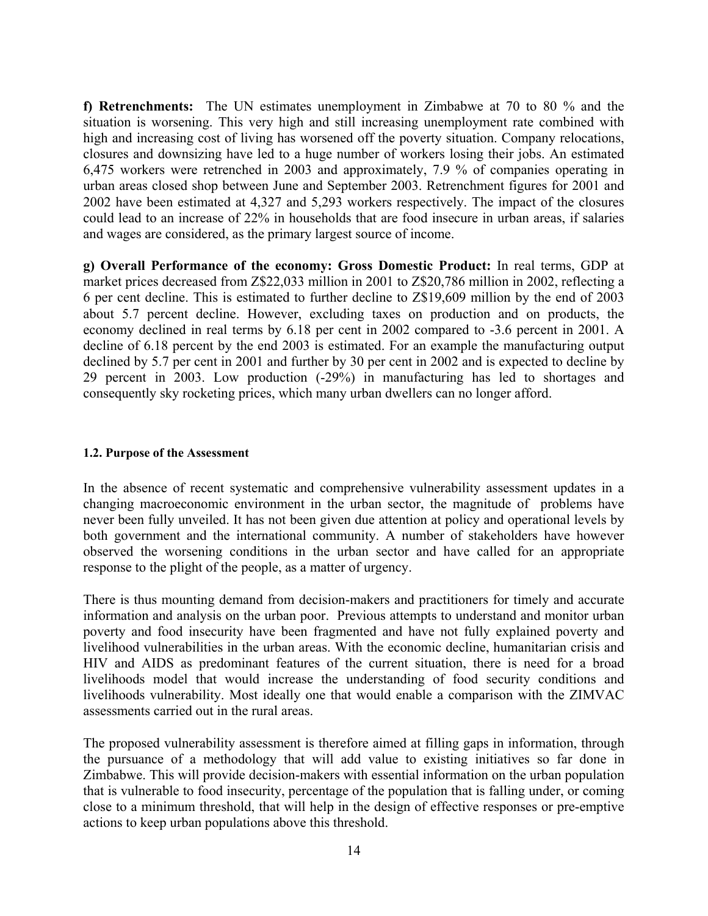**f) Retrenchments:** The UN estimates unemployment in Zimbabwe at 70 to 80 % and the situation is worsening. This very high and still increasing unemployment rate combined with high and increasing cost of living has worsened off the poverty situation. Company relocations, closures and downsizing have led to a huge number of workers losing their jobs. An estimated 6,475 workers were retrenched in 2003 and approximately, 7.9 % of companies operating in urban areas closed shop between June and September 2003. Retrenchment figures for 2001 and 2002 have been estimated at 4,327 and 5,293 workers respectively. The impact of the closures could lead to an increase of 22% in households that are food insecure in urban areas, if salaries and wages are considered, as the primary largest source of income.

**g) Overall Performance of the economy: Gross Domestic Product:** In real terms, GDP at market prices decreased from Z\$22,033 million in 2001 to Z\$20,786 million in 2002, reflecting a 6 per cent decline. This is estimated to further decline to Z\$19,609 million by the end of 2003 about 5.7 percent decline. However, excluding taxes on production and on products, the economy declined in real terms by 6.18 per cent in 2002 compared to -3.6 percent in 2001. A decline of 6.18 percent by the end 2003 is estimated. For an example the manufacturing output declined by 5.7 per cent in 2001 and further by 30 per cent in 2002 and is expected to decline by 29 percent in 2003. Low production (-29%) in manufacturing has led to shortages and consequently sky rocketing prices, which many urban dwellers can no longer afford.

#### **1.2. Purpose of the Assessment**

In the absence of recent systematic and comprehensive vulnerability assessment updates in a changing macroeconomic environment in the urban sector, the magnitude of problems have never been fully unveiled. It has not been given due attention at policy and operational levels by both government and the international community. A number of stakeholders have however observed the worsening conditions in the urban sector and have called for an appropriate response to the plight of the people, as a matter of urgency.

There is thus mounting demand from decision-makers and practitioners for timely and accurate information and analysis on the urban poor. Previous attempts to understand and monitor urban poverty and food insecurity have been fragmented and have not fully explained poverty and livelihood vulnerabilities in the urban areas. With the economic decline, humanitarian crisis and HIV and AIDS as predominant features of the current situation, there is need for a broad livelihoods model that would increase the understanding of food security conditions and livelihoods vulnerability. Most ideally one that would enable a comparison with the ZIMVAC assessments carried out in the rural areas.

The proposed vulnerability assessment is therefore aimed at filling gaps in information, through the pursuance of a methodology that will add value to existing initiatives so far done in Zimbabwe. This will provide decision-makers with essential information on the urban population that is vulnerable to food insecurity, percentage of the population that is falling under, or coming close to a minimum threshold, that will help in the design of effective responses or pre-emptive actions to keep urban populations above this threshold.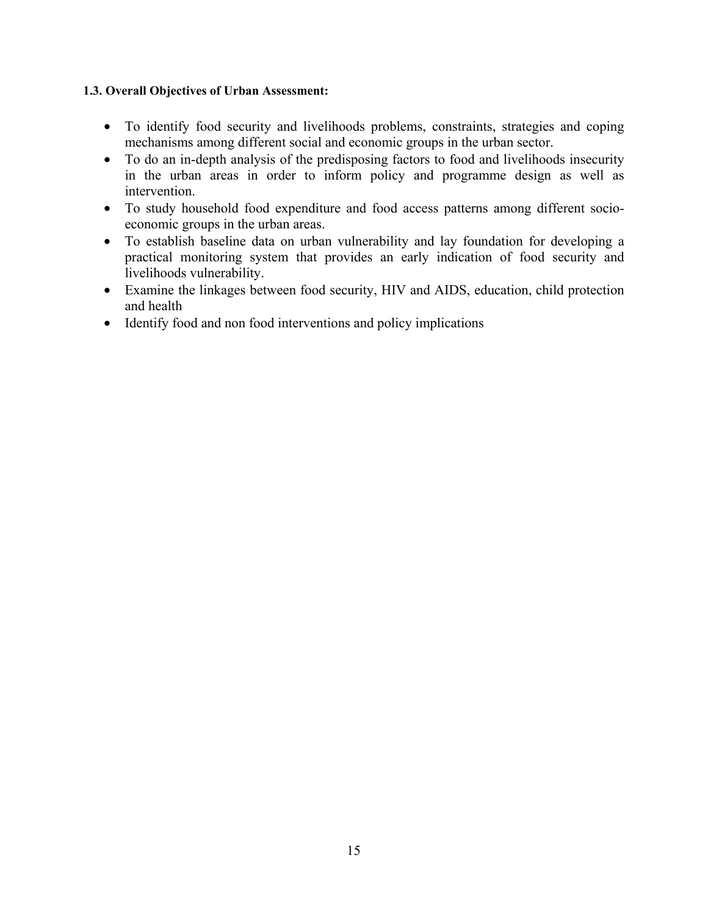# **1.3. Overall Objectives of Urban Assessment:**

- To identify food security and livelihoods problems, constraints, strategies and coping mechanisms among different social and economic groups in the urban sector.
- To do an in-depth analysis of the predisposing factors to food and livelihoods insecurity in the urban areas in order to inform policy and programme design as well as intervention.
- To study household food expenditure and food access patterns among different socioeconomic groups in the urban areas.
- To establish baseline data on urban vulnerability and lay foundation for developing a practical monitoring system that provides an early indication of food security and livelihoods vulnerability.
- Examine the linkages between food security, HIV and AIDS, education, child protection and health
- Identify food and non food interventions and policy implications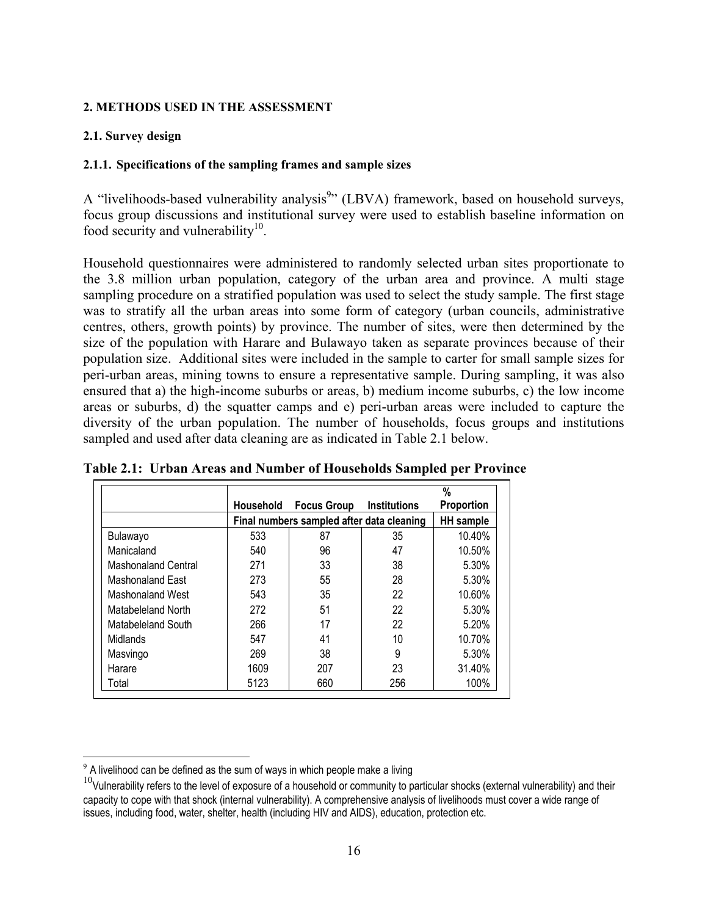## **2. METHODS USED IN THE ASSESSMENT**

### **2.1. Survey design**

#### **2.1.1. Specifications of the sampling frames and sample sizes**

A "livelihoods-based vulnerability analysis<sup>9</sup>" (LBVA) framework, based on household surveys, focus group discussions and institutional survey were used to establish baseline information on food security and vulnerability $10$ .

Household questionnaires were administered to randomly selected urban sites proportionate to the 3.8 million urban population, category of the urban area and province. A multi stage sampling procedure on a stratified population was used to select the study sample. The first stage was to stratify all the urban areas into some form of category (urban councils, administrative centres, others, growth points) by province. The number of sites, were then determined by the size of the population with Harare and Bulawayo taken as separate provinces because of their population size. Additional sites were included in the sample to carter for small sample sizes for peri-urban areas, mining towns to ensure a representative sample. During sampling, it was also ensured that a) the high-income suburbs or areas, b) medium income suburbs, c) the low income areas or suburbs, d) the squatter camps and e) peri-urban areas were included to capture the diversity of the urban population. The number of households, focus groups and institutions sampled and used after data cleaning are as indicated in Table 2.1 below.

|                            |                  |                                           |                     | %                 |
|----------------------------|------------------|-------------------------------------------|---------------------|-------------------|
|                            | <b>Household</b> | <b>Focus Group</b>                        | <b>Institutions</b> | <b>Proportion</b> |
|                            |                  | Final numbers sampled after data cleaning |                     | <b>HH</b> sample  |
| Bulawayo                   | 533              | 87                                        | 35                  | 10.40%            |
| Manicaland                 | 540              | 96                                        | 47                  | 10.50%            |
| <b>Mashonaland Central</b> | 271              | 33                                        | 38                  | 5.30%             |
| Mashonaland East           | 273              | 55                                        | 28                  | 5.30%             |
| Mashonaland West           | 543              | 35                                        | 22                  | 10.60%            |
| Matabeleland North         | 272              | 51                                        | 22                  | 5.30%             |
| Matabeleland South         | 266              | 17                                        | 22                  | 5.20%             |
| Midlands                   | 547              | 41                                        | 10                  | 10.70%            |
| Masvingo                   | 269              | 38                                        | 9                   | 5.30%             |
| Harare                     | 1609             | 207                                       | 23                  | 31.40%            |
| Total                      | 5123             | 660                                       | 256                 | 100%              |

**Table 2.1: Urban Areas and Number of Households Sampled per Province** 

 $\overline{a}$ 

 $9<sup>9</sup>$  A livelihood can be defined as the sum of ways in which people make a living

 $10$ Vulnerability refers to the level of exposure of a household or community to particular shocks (external vulnerability) and their capacity to cope with that shock (internal vulnerability). A comprehensive analysis of livelihoods must cover a wide range of issues, including food, water, shelter, health (including HIV and AIDS), education, protection etc.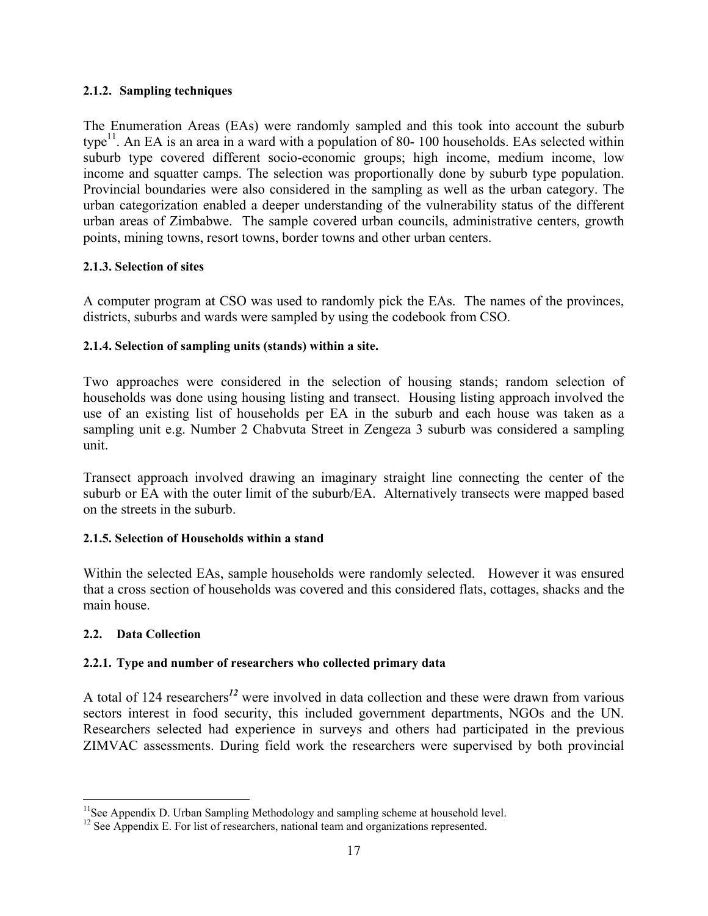### **2.1.2. Sampling techniques**

The Enumeration Areas (EAs) were randomly sampled and this took into account the suburb type<sup>11</sup>. An EA is an area in a ward with a population of 80- 100 households. EAs selected within suburb type covered different socio-economic groups; high income, medium income, low income and squatter camps. The selection was proportionally done by suburb type population. Provincial boundaries were also considered in the sampling as well as the urban category. The urban categorization enabled a deeper understanding of the vulnerability status of the different urban areas of Zimbabwe. The sample covered urban councils, administrative centers, growth points, mining towns, resort towns, border towns and other urban centers.

# **2.1.3. Selection of sites**

A computer program at CSO was used to randomly pick the EAs. The names of the provinces, districts, suburbs and wards were sampled by using the codebook from CSO.

# **2.1.4. Selection of sampling units (stands) within a site.**

Two approaches were considered in the selection of housing stands; random selection of households was done using housing listing and transect. Housing listing approach involved the use of an existing list of households per EA in the suburb and each house was taken as a sampling unit e.g. Number 2 Chabvuta Street in Zengeza 3 suburb was considered a sampling unit.

Transect approach involved drawing an imaginary straight line connecting the center of the suburb or EA with the outer limit of the suburb/EA. Alternatively transects were mapped based on the streets in the suburb.

## **2.1.5. Selection of Households within a stand**

Within the selected EAs, sample households were randomly selected. However it was ensured that a cross section of households was covered and this considered flats, cottages, shacks and the main house.

## **2.2. Data Collection**

1

# **2.2.1. Type and number of researchers who collected primary data**

A total of 124 researchers*<sup>12</sup>* were involved in data collection and these were drawn from various sectors interest in food security, this included government departments, NGOs and the UN. Researchers selected had experience in surveys and others had participated in the previous ZIMVAC assessments. During field work the researchers were supervised by both provincial

<sup>&</sup>lt;sup>11</sup>See Appendix D. Urban Sampling Methodology and sampling scheme at household level.

<sup>&</sup>lt;sup>12</sup> See Appendix E. For list of researchers, national team and organizations represented.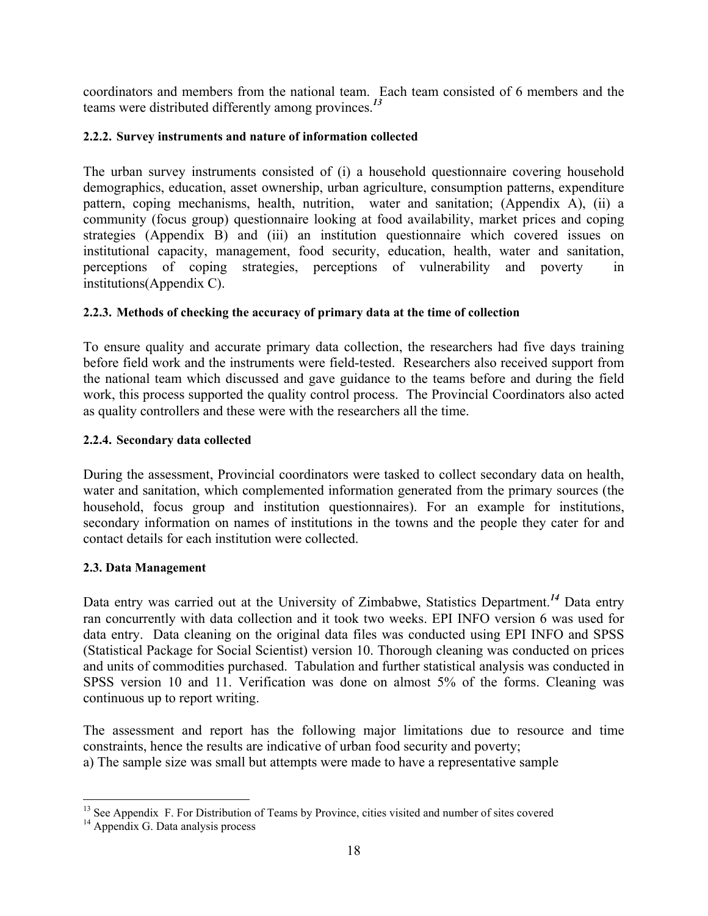coordinators and members from the national team. Each team consisted of 6 members and the teams were distributed differently among provinces.*<sup>13</sup>*

# **2.2.2. Survey instruments and nature of information collected**

The urban survey instruments consisted of (i) a household questionnaire covering household demographics, education, asset ownership, urban agriculture, consumption patterns, expenditure pattern, coping mechanisms, health, nutrition, water and sanitation; (Appendix A), (ii) a community (focus group) questionnaire looking at food availability, market prices and coping strategies (Appendix B) and (iii) an institution questionnaire which covered issues on institutional capacity, management, food security, education, health, water and sanitation, perceptions of coping strategies, perceptions of vulnerability and poverty in institutions(Appendix C).

# **2.2.3. Methods of checking the accuracy of primary data at the time of collection**

To ensure quality and accurate primary data collection, the researchers had five days training before field work and the instruments were field-tested. Researchers also received support from the national team which discussed and gave guidance to the teams before and during the field work, this process supported the quality control process. The Provincial Coordinators also acted as quality controllers and these were with the researchers all the time.

## **2.2.4. Secondary data collected**

During the assessment, Provincial coordinators were tasked to collect secondary data on health, water and sanitation, which complemented information generated from the primary sources (the household, focus group and institution questionnaires). For an example for institutions, secondary information on names of institutions in the towns and the people they cater for and contact details for each institution were collected.

## **2.3. Data Management**

Data entry was carried out at the University of Zimbabwe, Statistics Department.*<sup>14</sup>* Data entry ran concurrently with data collection and it took two weeks. EPI INFO version 6 was used for data entry. Data cleaning on the original data files was conducted using EPI INFO and SPSS (Statistical Package for Social Scientist) version 10. Thorough cleaning was conducted on prices and units of commodities purchased. Tabulation and further statistical analysis was conducted in SPSS version 10 and 11. Verification was done on almost 5% of the forms. Cleaning was continuous up to report writing.

The assessment and report has the following major limitations due to resource and time constraints, hence the results are indicative of urban food security and poverty; a) The sample size was small but attempts were made to have a representative sample

 $\overline{a}$ 

<sup>&</sup>lt;sup>13</sup> See Appendix F. For Distribution of Teams by Province, cities visited and number of sites covered  $14$  Appendix G. Data analysis process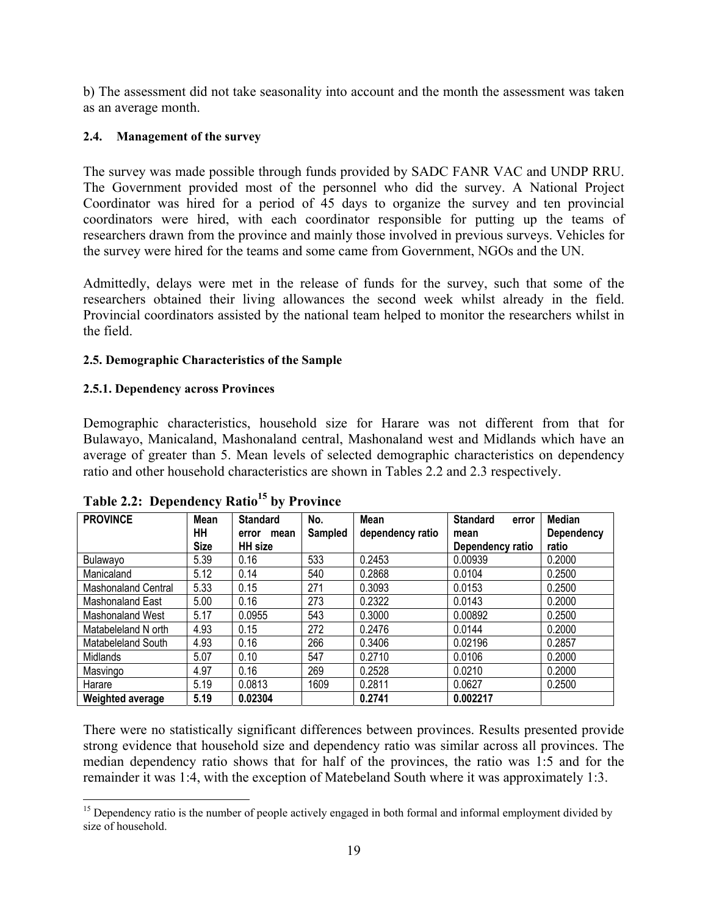b) The assessment did not take seasonality into account and the month the assessment was taken as an average month.

# **2.4. Management of the survey**

The survey was made possible through funds provided by SADC FANR VAC and UNDP RRU. The Government provided most of the personnel who did the survey. A National Project Coordinator was hired for a period of 45 days to organize the survey and ten provincial coordinators were hired, with each coordinator responsible for putting up the teams of researchers drawn from the province and mainly those involved in previous surveys. Vehicles for the survey were hired for the teams and some came from Government, NGOs and the UN.

Admittedly, delays were met in the release of funds for the survey, such that some of the researchers obtained their living allowances the second week whilst already in the field. Provincial coordinators assisted by the national team helped to monitor the researchers whilst in the field.

# **2.5. Demographic Characteristics of the Sample**

# **2.5.1. Dependency across Provinces**

Demographic characteristics, household size for Harare was not different from that for Bulawayo, Manicaland, Mashonaland central, Mashonaland west and Midlands which have an average of greater than 5. Mean levels of selected demographic characteristics on dependency ratio and other household characteristics are shown in Tables 2.2 and 2.3 respectively.

| <b>PROVINCE</b>            | <b>Mean</b> | <b>Standard</b> | No.            | <b>Mean</b>      | <b>Standard</b><br>error | Median     |
|----------------------------|-------------|-----------------|----------------|------------------|--------------------------|------------|
|                            | HН          | mean<br>error   | <b>Sampled</b> | dependency ratio | mean                     | Dependency |
|                            | <b>Size</b> | <b>HH</b> size  |                |                  | Dependency ratio         | ratio      |
| Bulawayo                   | 5.39        | 0.16            | 533            | 0.2453           | 0.00939                  | 0.2000     |
| Manicaland                 | 5.12        | 0.14            | 540            | 0.2868           | 0.0104                   | 0.2500     |
| <b>Mashonaland Central</b> | 5.33        | 0.15            | 271            | 0.3093           | 0.0153                   | 0.2500     |
| Mashonaland East           | 5.00        | 0.16            | 273            | 0.2322           | 0.0143                   | 0.2000     |
| <b>Mashonaland West</b>    | 5.17        | 0.0955          | 543            | 0.3000           | 0.00892                  | 0.2500     |
| Matabeleland N orth        | 4.93        | 0.15            | 272            | 0.2476           | 0.0144                   | 0.2000     |
| Matabeleland South         | 4.93        | 0.16            | 266            | 0.3406           | 0.02196                  | 0.2857     |
| Midlands                   | 5.07        | 0.10            | 547            | 0.2710           | 0.0106                   | 0.2000     |
| Masvingo                   | 4.97        | 0.16            | 269            | 0.2528           | 0.0210                   | 0.2000     |
| Harare                     | 5.19        | 0.0813          | 1609           | 0.2811           | 0.0627                   | 0.2500     |
| <b>Weighted average</b>    | 5.19        | 0.02304         |                | 0.2741           | 0.002217                 |            |

|  | Table 2.2: Dependency Ratio <sup>15</sup> by Province |  |  |
|--|-------------------------------------------------------|--|--|
|--|-------------------------------------------------------|--|--|

There were no statistically significant differences between provinces. Results presented provide strong evidence that household size and dependency ratio was similar across all provinces. The median dependency ratio shows that for half of the provinces, the ratio was 1:5 and for the remainder it was 1:4, with the exception of Matebeland South where it was approximately 1:3.

 $\overline{a}$ <sup>15</sup> Dependency ratio is the number of people actively engaged in both formal and informal employment divided by size of household.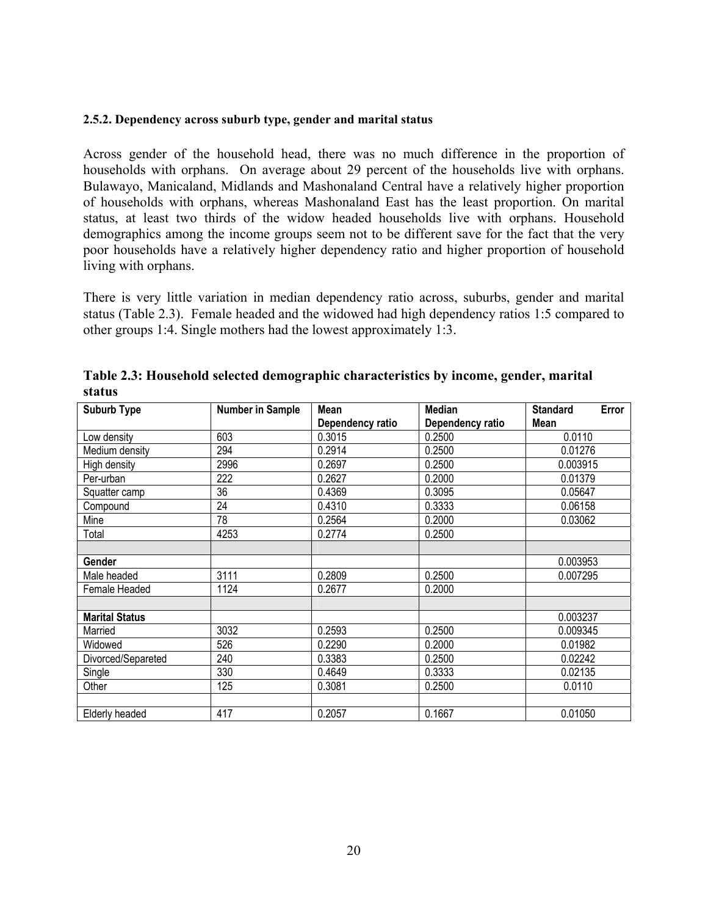#### **2.5.2. Dependency across suburb type, gender and marital status**

Across gender of the household head, there was no much difference in the proportion of households with orphans. On average about 29 percent of the households live with orphans. Bulawayo, Manicaland, Midlands and Mashonaland Central have a relatively higher proportion of households with orphans, whereas Mashonaland East has the least proportion. On marital status, at least two thirds of the widow headed households live with orphans. Household demographics among the income groups seem not to be different save for the fact that the very poor households have a relatively higher dependency ratio and higher proportion of household living with orphans.

There is very little variation in median dependency ratio across, suburbs, gender and marital status (Table 2.3). Female headed and the widowed had high dependency ratios 1:5 compared to other groups 1:4. Single mothers had the lowest approximately 1:3.

| <b>Suburb Type</b>    | <b>Number in Sample</b> | Mean             | <b>Median</b>    | Error<br><b>Standard</b> |
|-----------------------|-------------------------|------------------|------------------|--------------------------|
|                       |                         | Dependency ratio | Dependency ratio | Mean                     |
| Low density           | 603                     | 0.3015           | 0.2500           | 0.0110                   |
| Medium density        | 294                     | 0.2914           | 0.2500           | 0.01276                  |
| High density          | 2996                    | 0.2697           | 0.2500           | 0.003915                 |
| Per-urban             | 222                     | 0.2627           | 0.2000           | 0.01379                  |
| Squatter camp         | 36                      | 0.4369           | 0.3095           | 0.05647                  |
| Compound              | 24                      | 0.4310           | 0.3333           | 0.06158                  |
| Mine                  | 78                      | 0.2564           | 0.2000           | 0.03062                  |
| Total                 | 4253                    | 0.2774           | 0.2500           |                          |
|                       |                         |                  |                  |                          |
| Gender                |                         |                  |                  | 0.003953                 |
| Male headed           | 3111                    | 0.2809           | 0.2500           | 0.007295                 |
| Female Headed         | 1124                    | 0.2677           | 0.2000           |                          |
|                       |                         |                  |                  |                          |
| <b>Marital Status</b> |                         |                  |                  | 0.003237                 |
| Married               | 3032                    | 0.2593           | 0.2500           | 0.009345                 |
| Widowed               | 526                     | 0.2290           | 0.2000           | 0.01982                  |
| Divorced/Separeted    | 240                     | 0.3383           | 0.2500           | 0.02242                  |
| Single                | 330                     | 0.4649           | 0.3333           | 0.02135                  |
| Other                 | 125                     | 0.3081           | 0.2500           | 0.0110                   |
|                       |                         |                  |                  |                          |
| Elderly headed        | 417                     | 0.2057           | 0.1667           | 0.01050                  |

**Table 2.3: Household selected demographic characteristics by income, gender, marital status**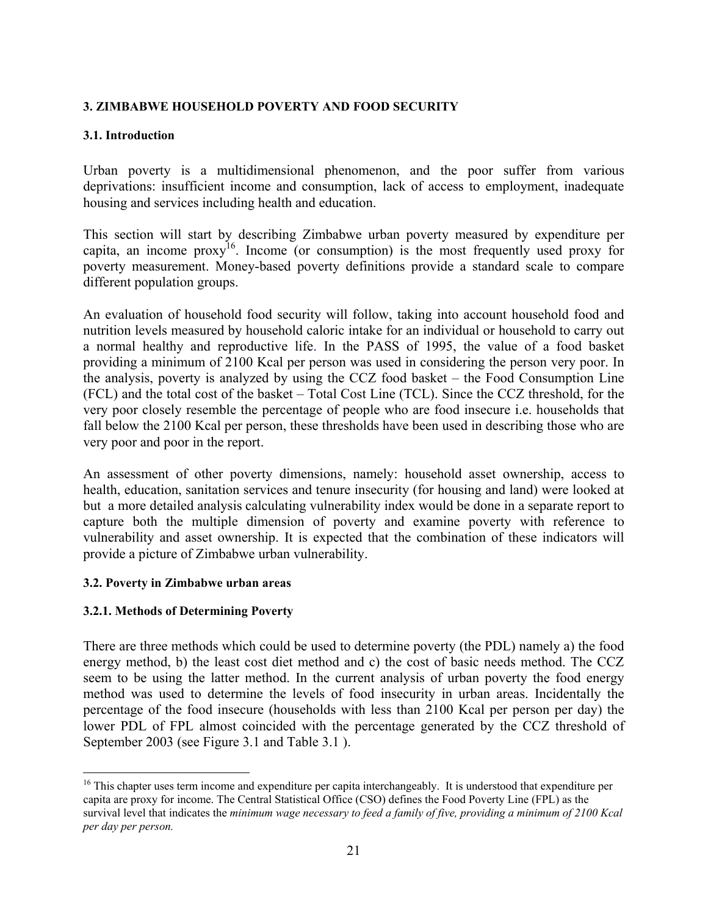# **3. ZIMBABWE HOUSEHOLD POVERTY AND FOOD SECURITY**

# **3.1. Introduction**

Urban poverty is a multidimensional phenomenon, and the poor suffer from various deprivations: insufficient income and consumption, lack of access to employment, inadequate housing and services including health and education.

This section will start by describing Zimbabwe urban poverty measured by expenditure per capita, an income proxy<sup>16</sup>. Income (or consumption) is the most frequently used proxy for poverty measurement. Money-based poverty definitions provide a standard scale to compare different population groups.

An evaluation of household food security will follow, taking into account household food and nutrition levels measured by household caloric intake for an individual or household to carry out a normal healthy and reproductive life. In the PASS of 1995, the value of a food basket providing a minimum of 2100 Kcal per person was used in considering the person very poor. In the analysis, poverty is analyzed by using the CCZ food basket – the Food Consumption Line (FCL) and the total cost of the basket – Total Cost Line (TCL). Since the CCZ threshold, for the very poor closely resemble the percentage of people who are food insecure i.e. households that fall below the 2100 Kcal per person, these thresholds have been used in describing those who are very poor and poor in the report.

An assessment of other poverty dimensions, namely: household asset ownership, access to health, education, sanitation services and tenure insecurity (for housing and land) were looked at but a more detailed analysis calculating vulnerability index would be done in a separate report to capture both the multiple dimension of poverty and examine poverty with reference to vulnerability and asset ownership. It is expected that the combination of these indicators will provide a picture of Zimbabwe urban vulnerability.

# **3.2. Poverty in Zimbabwe urban areas**

# **3.2.1. Methods of Determining Poverty**

There are three methods which could be used to determine poverty (the PDL) namely a) the food energy method, b) the least cost diet method and c) the cost of basic needs method. The CCZ seem to be using the latter method. In the current analysis of urban poverty the food energy method was used to determine the levels of food insecurity in urban areas. Incidentally the percentage of the food insecure (households with less than 2100 Kcal per person per day) the lower PDL of FPL almost coincided with the percentage generated by the CCZ threshold of September 2003 (see Figure 3.1 and Table 3.1 ).

 $\overline{a}$ <sup>16</sup> This chapter uses term income and expenditure per capita interchangeably. It is understood that expenditure per capita are proxy for income. The Central Statistical Office (CSO) defines the Food Poverty Line (FPL) as the survival level that indicates the *minimum wage necessary to feed a family of five, providing a minimum of 2100 Kcal per day per person.*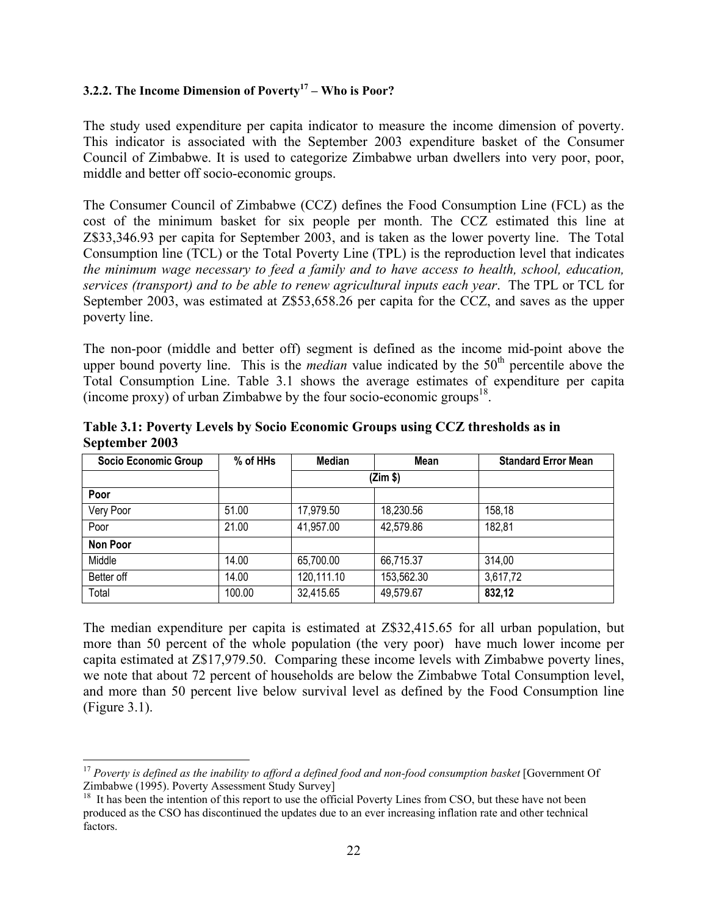# **3.2.2. The Income Dimension of Poverty17 – Who is Poor?**

The study used expenditure per capita indicator to measure the income dimension of poverty. This indicator is associated with the September 2003 expenditure basket of the Consumer Council of Zimbabwe. It is used to categorize Zimbabwe urban dwellers into very poor, poor, middle and better off socio-economic groups.

The Consumer Council of Zimbabwe (CCZ) defines the Food Consumption Line (FCL) as the cost of the minimum basket for six people per month. The CCZ estimated this line at Z\$33,346.93 per capita for September 2003, and is taken as the lower poverty line. The Total Consumption line (TCL) or the Total Poverty Line (TPL) is the reproduction level that indicates *the minimum wage necessary to feed a family and to have access to health, school, education, services (transport) and to be able to renew agricultural inputs each year*. The TPL or TCL for September 2003, was estimated at Z\$53,658.26 per capita for the CCZ, and saves as the upper poverty line.

The non-poor (middle and better off) segment is defined as the income mid-point above the upper bound poverty line. This is the *median* value indicated by the  $50<sup>th</sup>$  percentile above the Total Consumption Line. Table 3.1 shows the average estimates of expenditure per capita (income proxy) of urban Zimbabwe by the four socio-economic groups<sup>18</sup>.

| <b>Socio Economic Group</b> | % of HHs | Median     | Mean       | <b>Standard Error Mean</b> |
|-----------------------------|----------|------------|------------|----------------------------|
|                             |          |            | (Zim \$)   |                            |
| Poor                        |          |            |            |                            |
| Very Poor                   | 51.00    | 17,979.50  | 18,230.56  | 158,18                     |
| Poor                        | 21.00    | 41,957.00  | 42,579.86  | 182,81                     |
| <b>Non Poor</b>             |          |            |            |                            |
| Middle                      | 14.00    | 65,700.00  | 66,715.37  | 314,00                     |
| Better off                  | 14.00    | 120,111.10 | 153,562.30 | 3,617,72                   |
| Total                       | 100.00   | 32,415.65  | 49,579.67  | 832,12                     |

**Table 3.1: Poverty Levels by Socio Economic Groups using CCZ thresholds as in September 2003** 

The median expenditure per capita is estimated at Z\$32,415.65 for all urban population, but more than 50 percent of the whole population (the very poor) have much lower income per capita estimated at Z\$17,979.50. Comparing these income levels with Zimbabwe poverty lines, we note that about 72 percent of households are below the Zimbabwe Total Consumption level, and more than 50 percent live below survival level as defined by the Food Consumption line (Figure 3.1).

 $\overline{a}$ 

<sup>&</sup>lt;sup>17</sup> Poverty is defined as the inability to afford a defined food and non-food consumption basket [Government Of Zimbabwe (1995). Poverty Assessment Study Survey]

<sup>&</sup>lt;sup>18</sup> It has been the intention of this report to use the official Poverty Lines from CSO, but these have not been produced as the CSO has discontinued the updates due to an ever increasing inflation rate and other technical factors.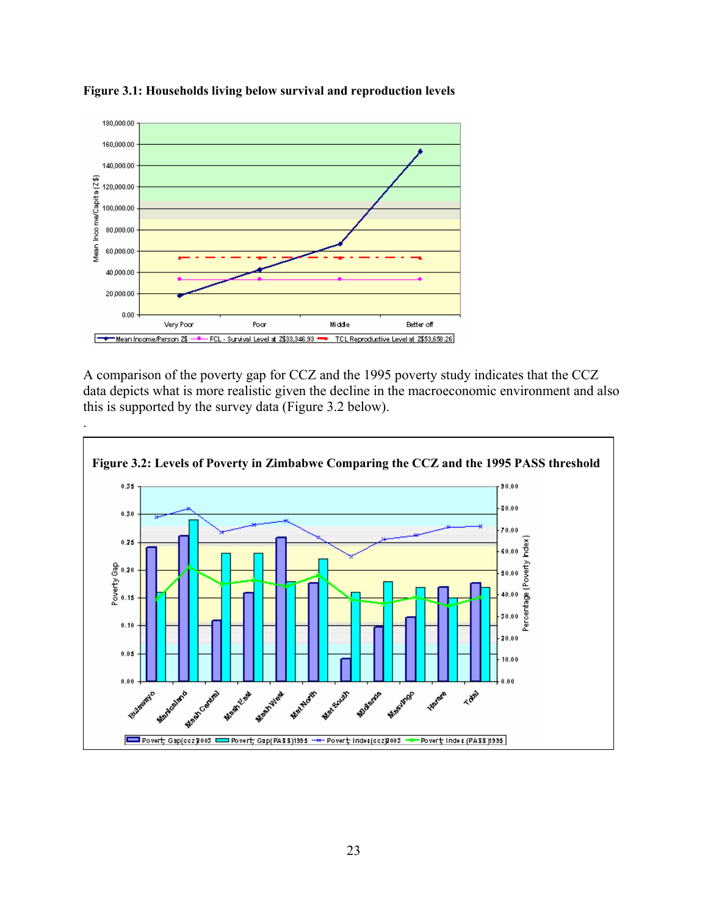

**Figure 3.1: Households living below survival and reproduction levels** 

A comparison of the poverty gap for CCZ and the 1995 poverty study indicates that the CCZ data depicts what is more realistic given the decline in the macroeconomic environment and also this is supported by the survey data (Figure 3.2 below).

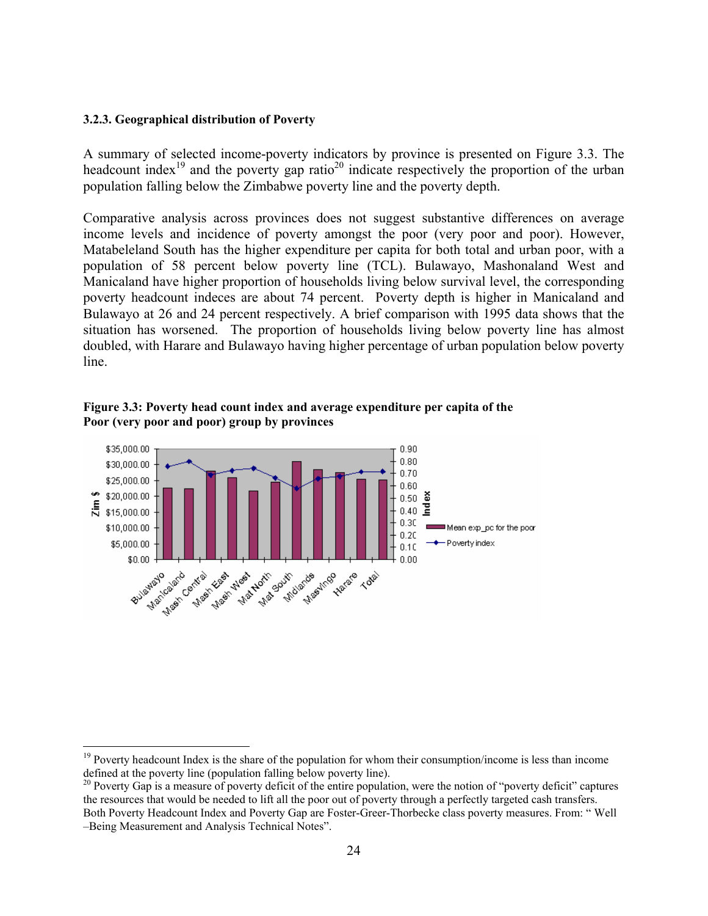#### **3.2.3. Geographical distribution of Poverty**

 $\overline{a}$ 

A summary of selected income-poverty indicators by province is presented on Figure 3.3. The headcount index<sup>19</sup> and the poverty gap ratio<sup>20</sup> indicate respectively the proportion of the urban population falling below the Zimbabwe poverty line and the poverty depth.

Comparative analysis across provinces does not suggest substantive differences on average income levels and incidence of poverty amongst the poor (very poor and poor). However, Matabeleland South has the higher expenditure per capita for both total and urban poor, with a population of 58 percent below poverty line (TCL). Bulawayo, Mashonaland West and Manicaland have higher proportion of households living below survival level, the corresponding poverty headcount indeces are about 74 percent. Poverty depth is higher in Manicaland and Bulawayo at 26 and 24 percent respectively. A brief comparison with 1995 data shows that the situation has worsened. The proportion of households living below poverty line has almost doubled, with Harare and Bulawayo having higher percentage of urban population below poverty line.

**Figure 3.3: Poverty head count index and average expenditure per capita of the Poor (very poor and poor) group by provinces** 



<sup>&</sup>lt;sup>19</sup> Poverty headcount Index is the share of the population for whom their consumption/income is less than income defined at the poverty line (population falling below poverty line).

<sup>&</sup>lt;sup>20</sup> Poverty Gap is a measure of poverty deficit of the entire population, were the notion of "poverty deficit" captures the resources that would be needed to lift all the poor out of poverty through a perfectly targeted cash transfers. Both Poverty Headcount Index and Poverty Gap are Foster-Greer-Thorbecke class poverty measures. From: " Well –Being Measurement and Analysis Technical Notes".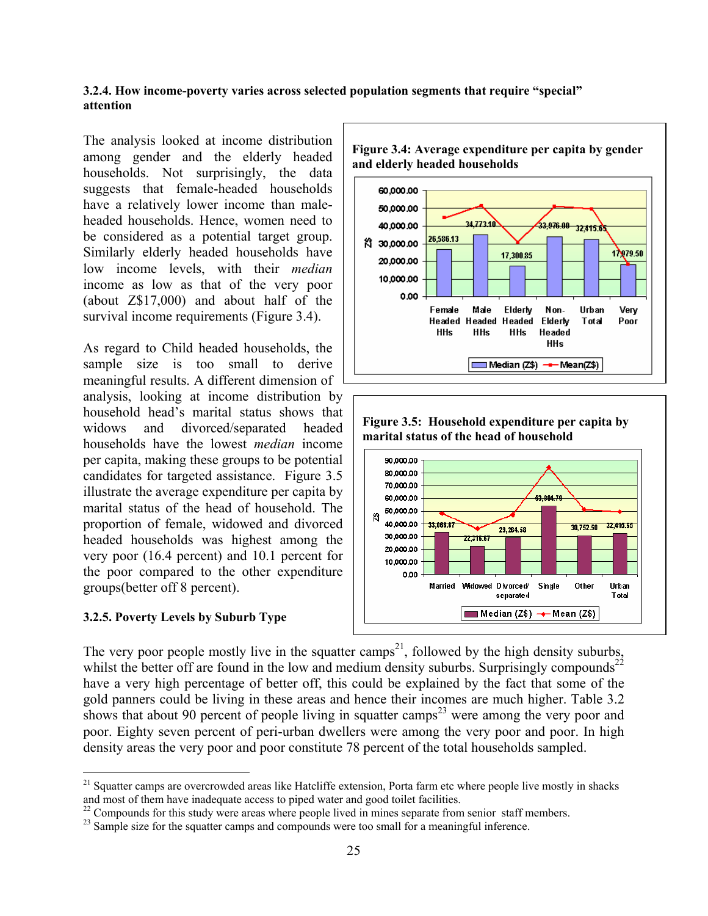#### **3.2.4. How income-poverty varies across selected population segments that require "special" attention**

The analysis looked at income distribution among gender and the elderly headed households. Not surprisingly, the data suggests that female-headed households have a relatively lower income than maleheaded households. Hence, women need to be considered as a potential target group. Similarly elderly headed households have low income levels, with their *median*  income as low as that of the very poor (about Z\$17,000) and about half of the survival income requirements (Figure 3.4).

As regard to Child headed households, the sample size is too small to derive meaningful results. A different dimension of analysis, looking at income distribution by household head's marital status shows that widows and divorced/separated headed households have the lowest *median* income per capita, making these groups to be potential candidates for targeted assistance. Figure 3.5 illustrate the average expenditure per capita by marital status of the head of household. The proportion of female, widowed and divorced headed households was highest among the very poor (16.4 percent) and 10.1 percent for the poor compared to the other expenditure groups(better off 8 percent).

## **3.2.5. Poverty Levels by Suburb Type**

<u>.</u>







The very poor people mostly live in the squatter camps<sup>21</sup>, followed by the high density suburbs, whilst the better off are found in the low and medium density suburbs. Surprisingly compounds<sup>22</sup> have a very high percentage of better off, this could be explained by the fact that some of the gold panners could be living in these areas and hence their incomes are much higher. Table 3.2 shows that about 90 percent of people living in squatter camps<sup>23</sup> were among the very poor and poor. Eighty seven percent of peri-urban dwellers were among the very poor and poor. In high density areas the very poor and poor constitute 78 percent of the total households sampled.

<sup>&</sup>lt;sup>21</sup> Squatter camps are overcrowded areas like Hatcliffe extension, Porta farm etc where people live mostly in shacks and most of them have inadequate access to piped water and good toilet facilities.

<sup>&</sup>lt;sup>22</sup> Compounds for this study were areas where people lived in mines separate from senior staff members.

<sup>&</sup>lt;sup>23</sup> Sample size for the squatter camps and compounds were too small for a meaningful inference.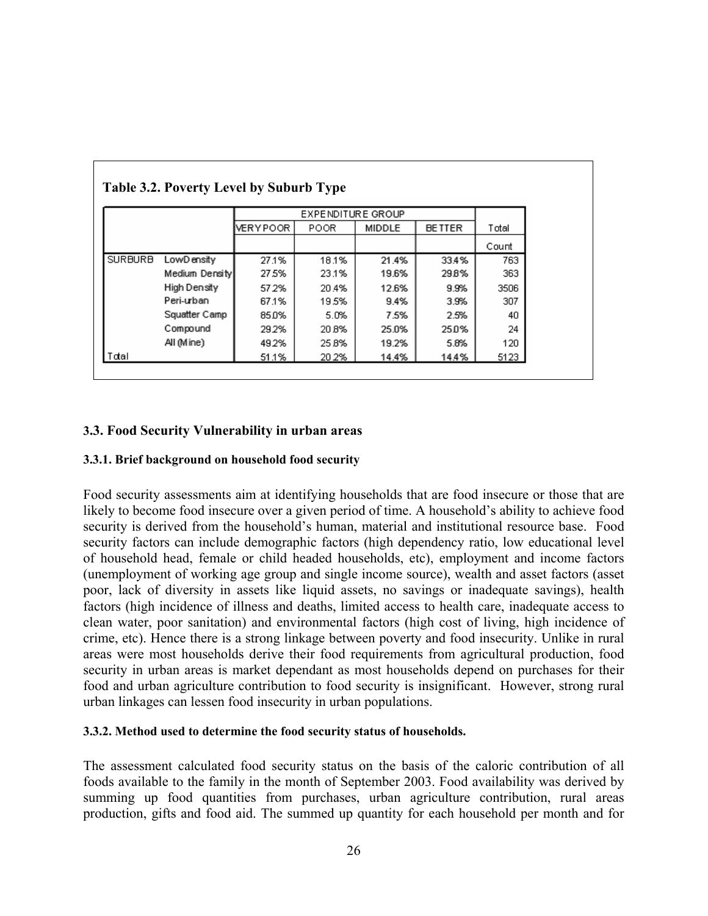|                |                |          | EXPENDITURE GROUP |        |               |       |
|----------------|----------------|----------|-------------------|--------|---------------|-------|
|                |                | VERYPOOR | <b>POOR</b>       | MIDDLE | <b>BETTER</b> | Total |
|                |                |          |                   |        |               | Count |
| <b>SURBURB</b> | LowD ensity    | 27.1%    | 18.1%             | 21.4%  | 33.4%         | 763   |
|                | Medium Density | 27.5%    | 23.1%             | 19.6%  | 29.8%         | 363   |
|                | High Density   | 57.2%    | 20.4%             | 12.6%  | 9.9%          | 3506  |
|                | Peri-urban     | 67.1%    | 19.5%             | 9.4%   | 3.9%          | 307   |
|                | Squatter Camp  | 85.0%    | 5.0%              | 7.5%   | 2.5%          | 40    |
|                | Compound       | 29.2%    | 20.8%             | 25.0%  | 25.0%         | 24    |
|                | All (Mine)     | 492%     | 25.8%             | 19.2%  | 5.8%          | 120   |
| Total          |                | 51.1%    | 202%              | 14.4%  | 14.4%         | 5123  |

# **3.3. Food Security Vulnerability in urban areas**

## **3.3.1. Brief background on household food security**

Food security assessments aim at identifying households that are food insecure or those that are likely to become food insecure over a given period of time. A household's ability to achieve food security is derived from the household's human, material and institutional resource base. Food security factors can include demographic factors (high dependency ratio, low educational level of household head, female or child headed households, etc), employment and income factors (unemployment of working age group and single income source), wealth and asset factors (asset poor, lack of diversity in assets like liquid assets, no savings or inadequate savings), health factors (high incidence of illness and deaths, limited access to health care, inadequate access to clean water, poor sanitation) and environmental factors (high cost of living, high incidence of crime, etc). Hence there is a strong linkage between poverty and food insecurity. Unlike in rural areas were most households derive their food requirements from agricultural production, food security in urban areas is market dependant as most households depend on purchases for their food and urban agriculture contribution to food security is insignificant. However, strong rural urban linkages can lessen food insecurity in urban populations.

## **3.3.2. Method used to determine the food security status of households.**

The assessment calculated food security status on the basis of the caloric contribution of all foods available to the family in the month of September 2003. Food availability was derived by summing up food quantities from purchases, urban agriculture contribution, rural areas production, gifts and food aid. The summed up quantity for each household per month and for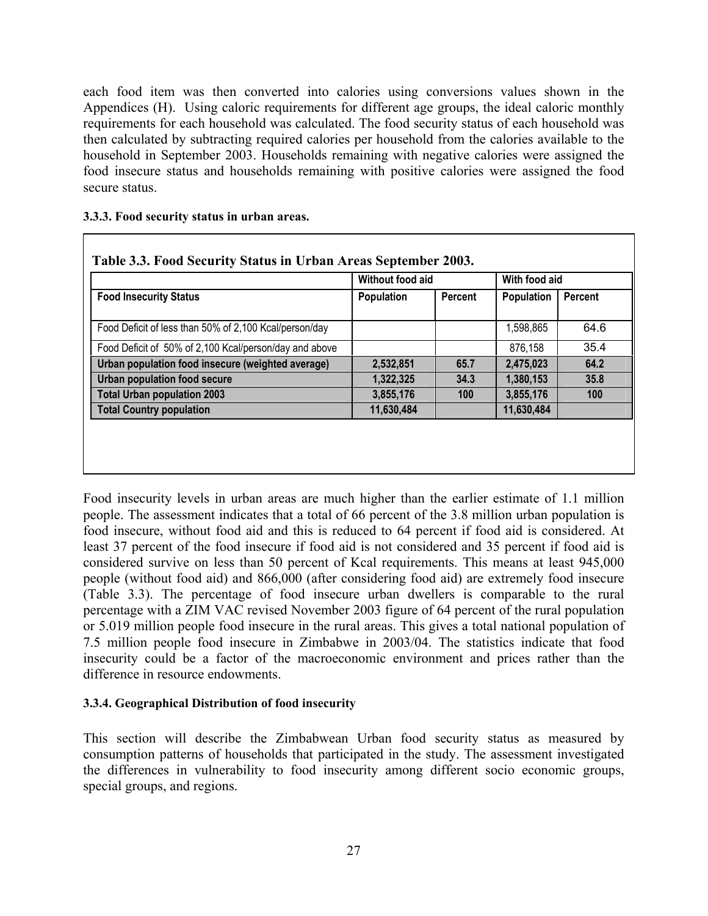each food item was then converted into calories using conversions values shown in the Appendices (H). Using caloric requirements for different age groups, the ideal caloric monthly requirements for each household was calculated. The food security status of each household was then calculated by subtracting required calories per household from the calories available to the household in September 2003. Households remaining with negative calories were assigned the food insecure status and households remaining with positive calories were assigned the food secure status.

|  |  |  | 3.3.3. Food security status in urban areas. |  |  |  |  |
|--|--|--|---------------------------------------------|--|--|--|--|
|--|--|--|---------------------------------------------|--|--|--|--|

|                                                        | Without food aid  |                | With food aid     |                |
|--------------------------------------------------------|-------------------|----------------|-------------------|----------------|
| <b>Food Insecurity Status</b>                          | <b>Population</b> | <b>Percent</b> | <b>Population</b> | <b>Percent</b> |
| Food Deficit of less than 50% of 2,100 Kcal/person/day |                   |                | 1,598,865         | 64.6           |
| Food Deficit of 50% of 2,100 Kcal/person/day and above |                   |                | 876,158           | 35.4           |
| Urban population food insecure (weighted average)      | 2,532,851         | 65.7           | 2,475,023         | 64.2           |
| <b>Urban population food secure</b>                    | 1,322,325         | 34.3           | 1,380,153         | 35.8           |
| <b>Total Urban population 2003</b>                     | 3,855,176         | 100            | 3,855,176         | 100            |
| <b>Total Country population</b>                        | 11,630,484        |                | 11,630,484        |                |

Food insecurity levels in urban areas are much higher than the earlier estimate of 1.1 million people. The assessment indicates that a total of 66 percent of the 3.8 million urban population is food insecure, without food aid and this is reduced to 64 percent if food aid is considered. At least 37 percent of the food insecure if food aid is not considered and 35 percent if food aid is considered survive on less than 50 percent of Kcal requirements. This means at least 945,000 people (without food aid) and 866,000 (after considering food aid) are extremely food insecure (Table 3.3). The percentage of food insecure urban dwellers is comparable to the rural percentage with a ZIM VAC revised November 2003 figure of 64 percent of the rural population or 5.019 million people food insecure in the rural areas. This gives a total national population of 7.5 million people food insecure in Zimbabwe in 2003/04. The statistics indicate that food insecurity could be a factor of the macroeconomic environment and prices rather than the difference in resource endowments.

# **3.3.4. Geographical Distribution of food insecurity**

This section will describe the Zimbabwean Urban food security status as measured by consumption patterns of households that participated in the study. The assessment investigated the differences in vulnerability to food insecurity among different socio economic groups, special groups, and regions.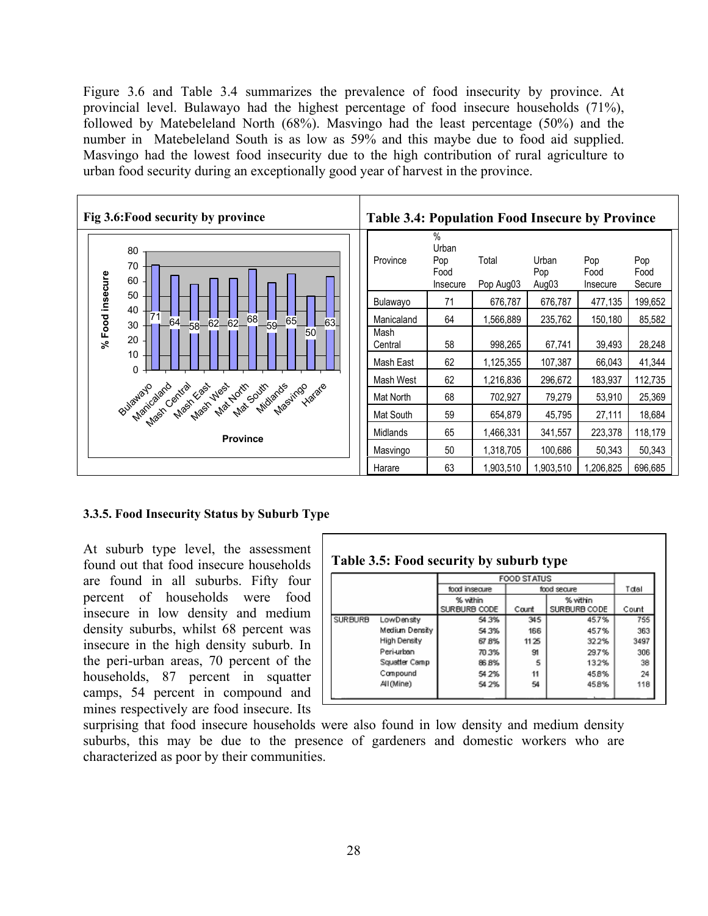Figure 3.6 and Table 3.4 summarizes the prevalence of food insecurity by province. At provincial level. Bulawayo had the highest percentage of food insecure households (71%), followed by Matebeleland North (68%). Masvingo had the least percentage (50%) and the number in Matebeleland South is as low as 59% and this maybe due to food aid supplied. Masvingo had the lowest food insecurity due to the high contribution of rural agriculture to urban food security during an exceptionally good year of harvest in the province.



#### **3.3.5. Food Insecurity Status by Suburb Type**

At suburb type level, the assessment found out that food insecure households are found in all suburbs. Fifty four percent of households were food insecure in low density and medium density suburbs, whilst 68 percent was insecure in the high density suburb. In the peri-urban areas, 70 percent of the households, 87 percent in squatter camps, 54 percent in compound and mines respectively are food insecure. Its

| Table 3.5: Food security by suburb type |  |  |  |  |  |
|-----------------------------------------|--|--|--|--|--|
|-----------------------------------------|--|--|--|--|--|

|                |                | <b>FOOD STATUS</b>       |       |                          |       |
|----------------|----------------|--------------------------|-------|--------------------------|-------|
|                |                | food insecure            | Total |                          |       |
|                |                | % within<br>SURBURB CODE | Count | % within<br>SURBURB CODE | Count |
| <b>SURBURB</b> | LowDensity     | 543%                     | 345   | 45.7%                    | 755   |
|                | Medium Density | 54.3%                    | 166   | 45.7%                    | 363   |
|                | High Density   | 678%                     | 1125  | 322%                     | 3497  |
|                | Peri-urban     | 70.3%                    | 91    | 29.7%                    | 306   |
|                | Squatter Camp  | 86.8%                    | 5     | 132%                     | 38    |
|                | Compound       | 542%                     | 11    | 45.8%                    | 24    |
|                | All (Mine)     | 54.2%                    | 54    | 45.8%                    | 118   |
|                |                |                          |       |                          |       |

surprising that food insecure households were also found in low density and medium density suburbs, this may be due to the presence of gardeners and domestic workers who are characterized as poor by their communities.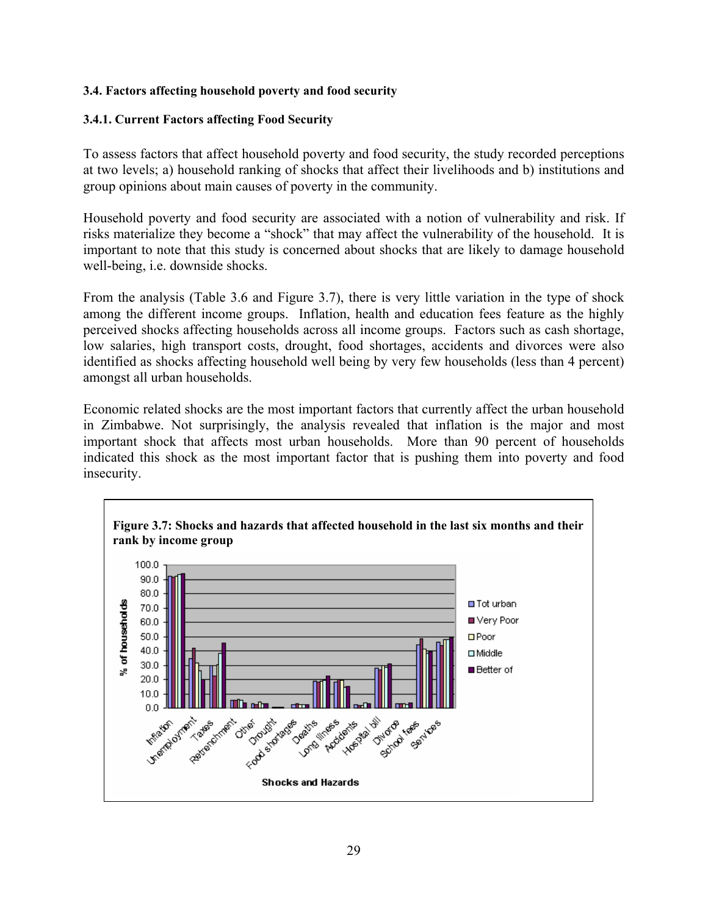# **3.4. Factors affecting household poverty and food security**

# **3.4.1. Current Factors affecting Food Security**

To assess factors that affect household poverty and food security, the study recorded perceptions at two levels; a) household ranking of shocks that affect their livelihoods and b) institutions and group opinions about main causes of poverty in the community.

Household poverty and food security are associated with a notion of vulnerability and risk. If risks materialize they become a "shock" that may affect the vulnerability of the household. It is important to note that this study is concerned about shocks that are likely to damage household well-being, i.e. downside shocks.

From the analysis (Table 3.6 and Figure 3.7), there is very little variation in the type of shock among the different income groups. Inflation, health and education fees feature as the highly perceived shocks affecting households across all income groups. Factors such as cash shortage, low salaries, high transport costs, drought, food shortages, accidents and divorces were also identified as shocks affecting household well being by very few households (less than 4 percent) amongst all urban households.

Economic related shocks are the most important factors that currently affect the urban household in Zimbabwe. Not surprisingly, the analysis revealed that inflation is the major and most important shock that affects most urban households. More than 90 percent of households indicated this shock as the most important factor that is pushing them into poverty and food insecurity.

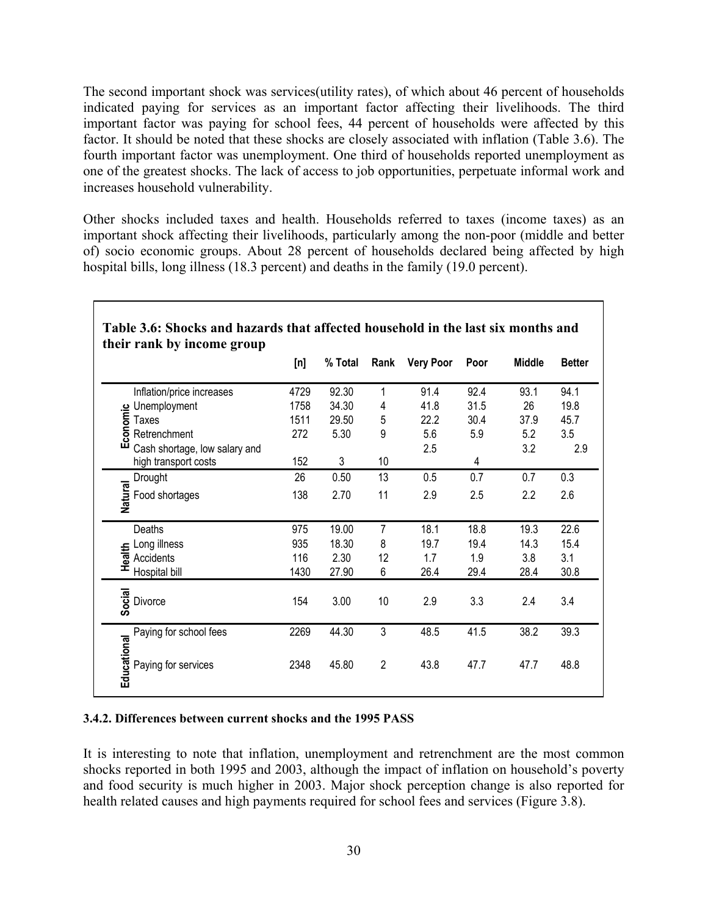The second important shock was services(utility rates), of which about 46 percent of households indicated paying for services as an important factor affecting their livelihoods. The third important factor was paying for school fees, 44 percent of households were affected by this factor. It should be noted that these shocks are closely associated with inflation (Table 3.6). The fourth important factor was unemployment. One third of households reported unemployment as one of the greatest shocks. The lack of access to job opportunities, perpetuate informal work and increases household vulnerability.

Other shocks included taxes and health. Households referred to taxes (income taxes) as an important shock affecting their livelihoods, particularly among the non-poor (middle and better of) socio economic groups. About 28 percent of households declared being affected by high hospital bills, long illness (18.3 percent) and deaths in the family (19.0 percent).

| then Tank by meonic group          |      |         |                |                  |      |               |               |
|------------------------------------|------|---------|----------------|------------------|------|---------------|---------------|
|                                    | [n]  | % Total | Rank           | <b>Very Poor</b> | Poor | <b>Middle</b> | <b>Better</b> |
| Inflation/price increases          | 4729 | 92.30   | 1              | 91.4             | 92.4 | 93.1          | 94.1          |
| Unemployment                       | 1758 | 34.30   | 4              | 41.8             | 31.5 | 26            | 19.8          |
| Economic<br>Taxes                  | 1511 | 29.50   | 5              | 22.2             | 30.4 | 37.9          | 45.7          |
| Retrenchment                       | 272  | 5.30    | 9              | 5.6              | 5.9  | 5.2           | 3.5           |
| Cash shortage, low salary and      |      |         |                | 2.5              |      | 3.2           | 2.9           |
| high transport costs               | 152  | 3       | 10             |                  | 4    |               |               |
| Drought                            | 26   | 0.50    | 13             | 0.5              | 0.7  | 0.7           | 0.3           |
| Natural<br>Food shortages          | 138  | 2.70    | 11             | 2.9              | 2.5  | 2.2           | 2.6           |
|                                    |      |         |                |                  |      |               |               |
| Deaths                             | 975  | 19.00   | 7              | 18.1             | 18.8 | 19.3          | 22.6          |
| Long illness                       | 935  | 18.30   | 8              | 19.7             | 19.4 | 14.3          | 15.4          |
| Health<br>Accidents                | 116  | 2.30    | 12             | 1.7              | 1.9  | 3.8           | 3.1           |
| Hospital bill                      | 1430 | 27.90   | 6              | 26.4             | 29.4 | 28.4          | 30.8          |
| Social<br>Divorce                  | 154  | 3.00    | 10             | 2.9              | 3.3  | 2.4           | 3.4           |
| Paying for school fees             | 2269 | 44.30   | 3              | 48.5             | 41.5 | 38.2          | 39.3          |
| Educational<br>Paying for services | 2348 | 45.80   | $\overline{2}$ | 43.8             | 47.7 | 47.7          | 48.8          |

# **Table 3.6: Shocks and hazards that affected household in the last six months and their rank by income group**

#### **3.4.2. Differences between current shocks and the 1995 PASS**

It is interesting to note that inflation, unemployment and retrenchment are the most common shocks reported in both 1995 and 2003, although the impact of inflation on household's poverty and food security is much higher in 2003. Major shock perception change is also reported for health related causes and high payments required for school fees and services (Figure 3.8).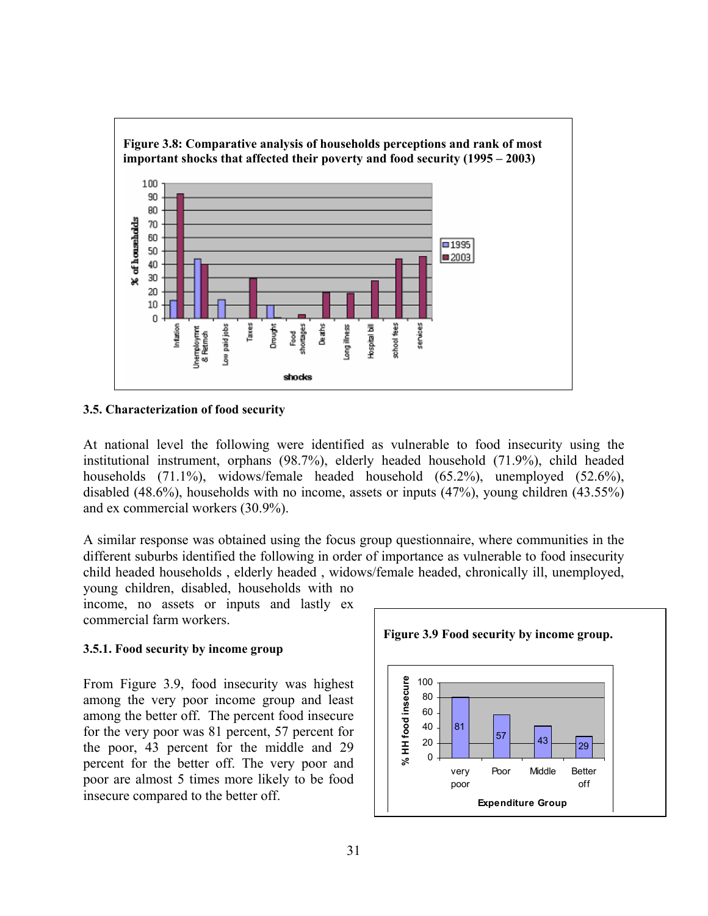

#### **3.5. Characterization of food security**

At national level the following were identified as vulnerable to food insecurity using the institutional instrument, orphans (98.7%), elderly headed household (71.9%), child headed households (71.1%), widows/female headed household (65.2%), unemployed (52.6%), disabled (48.6%), households with no income, assets or inputs (47%), young children (43.55%) and ex commercial workers (30.9%).

A similar response was obtained using the focus group questionnaire, where communities in the different suburbs identified the following in order of importance as vulnerable to food insecurity child headed households , elderly headed , widows/female headed, chronically ill, unemployed,

young children, disabled, households with no income, no assets or inputs and lastly ex commercial farm workers.

#### **3.5.1. Food security by income group**

From Figure 3.9, food insecurity was highest among the very poor income group and least among the better off. The percent food insecure for the very poor was 81 percent, 57 percent for the poor, 43 percent for the middle and 29 percent for the better off. The very poor and poor are almost 5 times more likely to be food insecure compared to the better off.

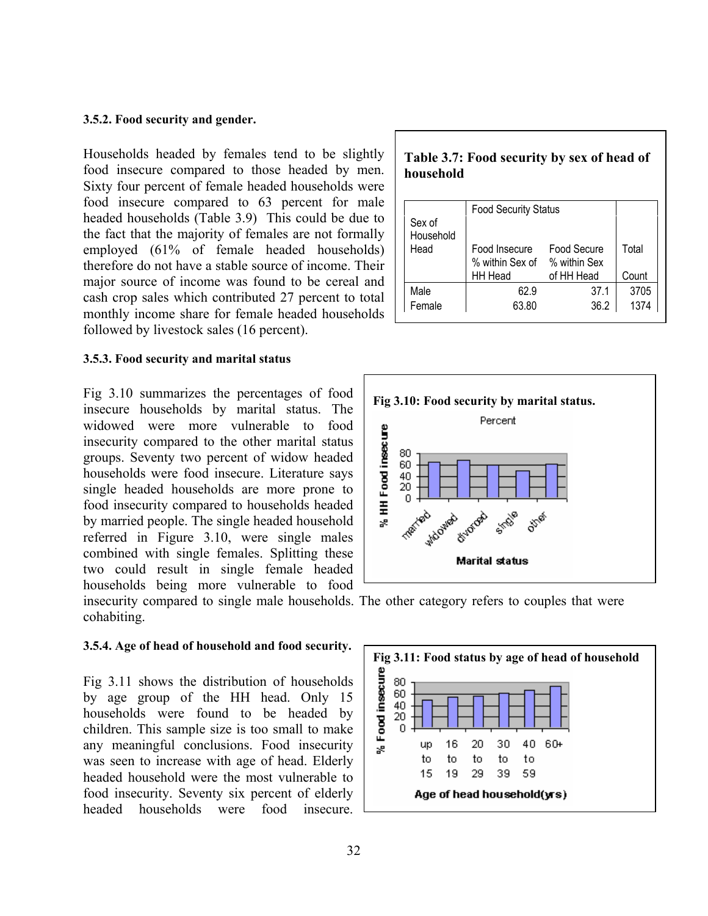#### **3.5.2. Food security and gender.**

Households headed by females tend to be slightly food insecure compared to those headed by men. Sixty four percent of female headed households were food insecure compared to 63 percent for male headed households (Table 3.9) This could be due to the fact that the majority of females are not formally employed (61% of female headed households) therefore do not have a stable source of income. Their major source of income was found to be cereal and cash crop sales which contributed 27 percent to total monthly income share for female headed households followed by livestock sales (16 percent).

#### **3.5.3. Food security and marital status**

Fig 3.10 summarizes the percentages of food insecure households by marital status. The widowed were more vulnerable to food insecurity compared to the other marital status groups. Seventy two percent of widow headed households were food insecure. Literature says single headed households are more prone to food insecurity compared to households headed by married people. The single headed household referred in Figure 3.10, were single males combined with single females. Splitting these two could result in single female headed households being more vulnerable to food

#### **3.5.4. Age of head of household and food security.**

cohabiting.

Fig 3.11 shows the distribution of households by age group of the HH head. Only 15 households were found to be headed by children. This sample size is too small to make any meaningful conclusions. Food insecurity was seen to increase with age of head. Elderly headed household were the most vulnerable to food insecurity. Seventy six percent of elderly headed households were food insecure.





## **Table 3.7: Food security by sex of head of household**

insecurity compared to single male households. The other category refers to couples that were

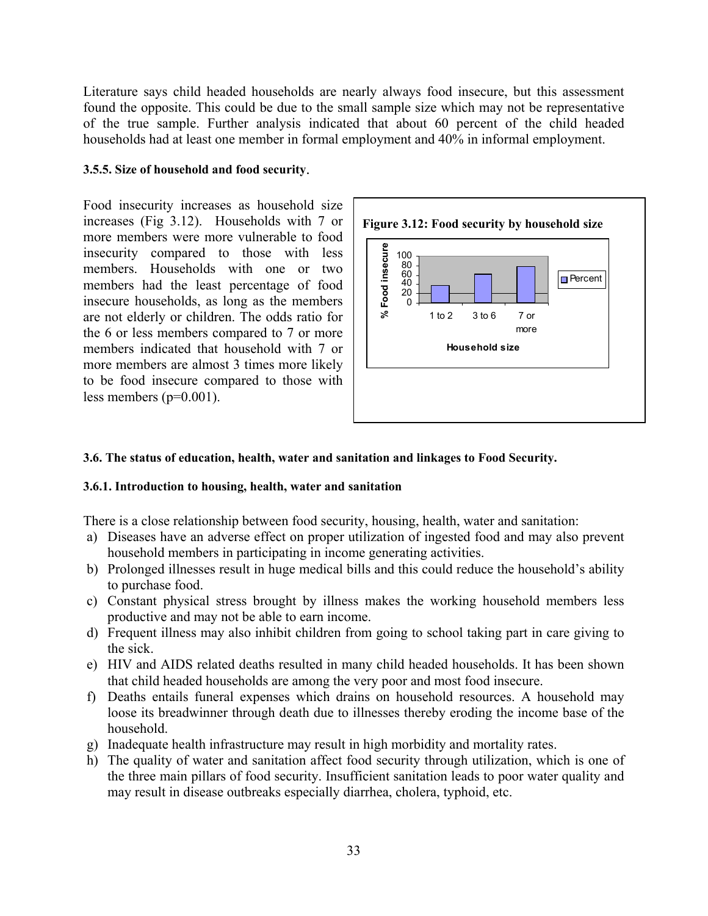Literature says child headed households are nearly always food insecure, but this assessment found the opposite. This could be due to the small sample size which may not be representative of the true sample. Further analysis indicated that about 60 percent of the child headed households had at least one member in formal employment and 40% in informal employment.

#### **3.5.5. Size of household and food security**.

Food insecurity increases as household size increases (Fig 3.12). Households with 7 or more members were more vulnerable to food insecurity compared to those with less members. Households with one or two members had the least percentage of food insecure households, as long as the members are not elderly or children. The odds ratio for the 6 or less members compared to 7 or more members indicated that household with 7 or more members are almost 3 times more likely to be food insecure compared to those with less members (p=0.001).



### **3.6. The status of education, health, water and sanitation and linkages to Food Security.**

#### **3.6.1. Introduction to housing, health, water and sanitation**

There is a close relationship between food security, housing, health, water and sanitation:

- a) Diseases have an adverse effect on proper utilization of ingested food and may also prevent household members in participating in income generating activities.
- b) Prolonged illnesses result in huge medical bills and this could reduce the household's ability to purchase food.
- c) Constant physical stress brought by illness makes the working household members less productive and may not be able to earn income.
- d) Frequent illness may also inhibit children from going to school taking part in care giving to the sick.
- e) HIV and AIDS related deaths resulted in many child headed households. It has been shown that child headed households are among the very poor and most food insecure.
- f) Deaths entails funeral expenses which drains on household resources. A household may loose its breadwinner through death due to illnesses thereby eroding the income base of the household.
- g) Inadequate health infrastructure may result in high morbidity and mortality rates.
- h) The quality of water and sanitation affect food security through utilization, which is one of the three main pillars of food security. Insufficient sanitation leads to poor water quality and may result in disease outbreaks especially diarrhea, cholera, typhoid, etc.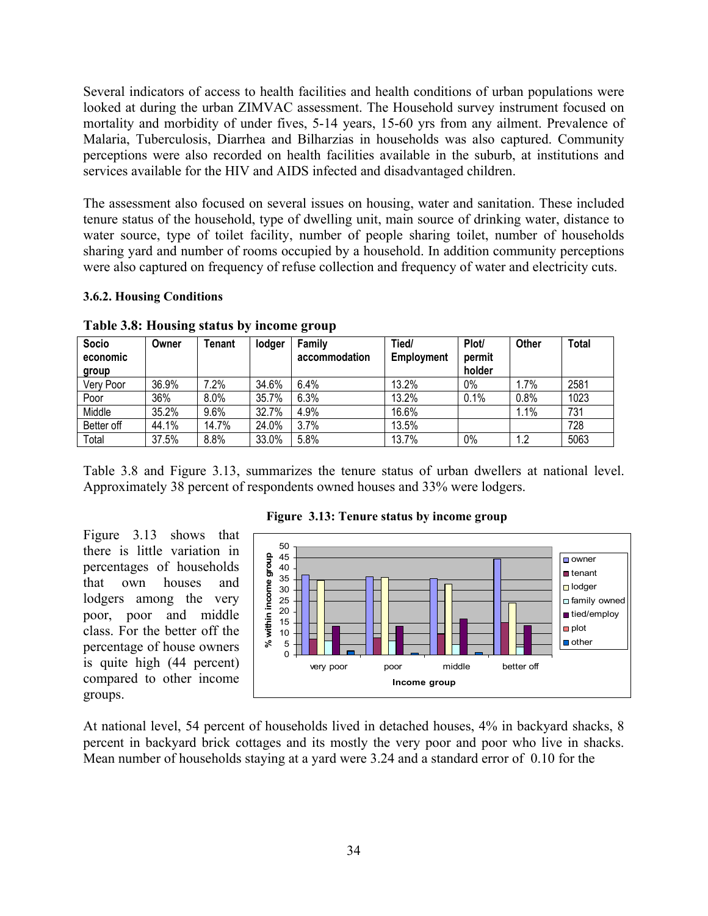Several indicators of access to health facilities and health conditions of urban populations were looked at during the urban ZIMVAC assessment. The Household survey instrument focused on mortality and morbidity of under fives, 5-14 years, 15-60 yrs from any ailment. Prevalence of Malaria, Tuberculosis, Diarrhea and Bilharzias in households was also captured. Community perceptions were also recorded on health facilities available in the suburb, at institutions and services available for the HIV and AIDS infected and disadvantaged children.

The assessment also focused on several issues on housing, water and sanitation. These included tenure status of the household, type of dwelling unit, main source of drinking water, distance to water source, type of toilet facility, number of people sharing toilet, number of households sharing yard and number of rooms occupied by a household. In addition community perceptions were also captured on frequency of refuse collection and frequency of water and electricity cuts.

#### **3.6.2. Housing Conditions**

| Socio      | Owner | Tenant | lodger | Family        | Tied/             | Plot/  | Other | <b>Total</b> |
|------------|-------|--------|--------|---------------|-------------------|--------|-------|--------------|
| economic   |       |        |        | accommodation | <b>Employment</b> | permit |       |              |
| group      |       |        |        |               |                   | holder |       |              |
| Very Poor  | 36.9% | 7.2%   | 34.6%  | 6.4%          | 13.2%             | $0\%$  | '.7%  | 2581         |
| Poor       | 36%   | 8.0%   | 35.7%  | 6.3%          | 13.2%             | 0.1%   | 0.8%  | 1023         |
| Middle     | 35.2% | 9.6%   | 32.7%  | 4.9%          | 16.6%             |        | l.1%  | 731          |
| Better off | 44.1% | 14.7%  | 24.0%  | 3.7%          | 13.5%             |        |       | 728          |
| Total      | 37.5% | 8.8%   | 33.0%  | 5.8%          | 13.7%             | $0\%$  | 1.2   | 5063         |

**Table 3.8: Housing status by income group** 

Table 3.8 and Figure 3.13, summarizes the tenure status of urban dwellers at national level. Approximately 38 percent of respondents owned houses and 33% were lodgers.

Figure 3.13 shows that there is little variation in percentages of households that own houses and lodgers among the very poor, poor and middle class. For the better off the percentage of house owners is quite high (44 percent) compared to other income groups.

**Figure 3.13: Tenure status by income group** 



At national level, 54 percent of households lived in detached houses, 4% in backyard shacks, 8 percent in backyard brick cottages and its mostly the very poor and poor who live in shacks. Mean number of households staying at a yard were 3.24 and a standard error of 0.10 for the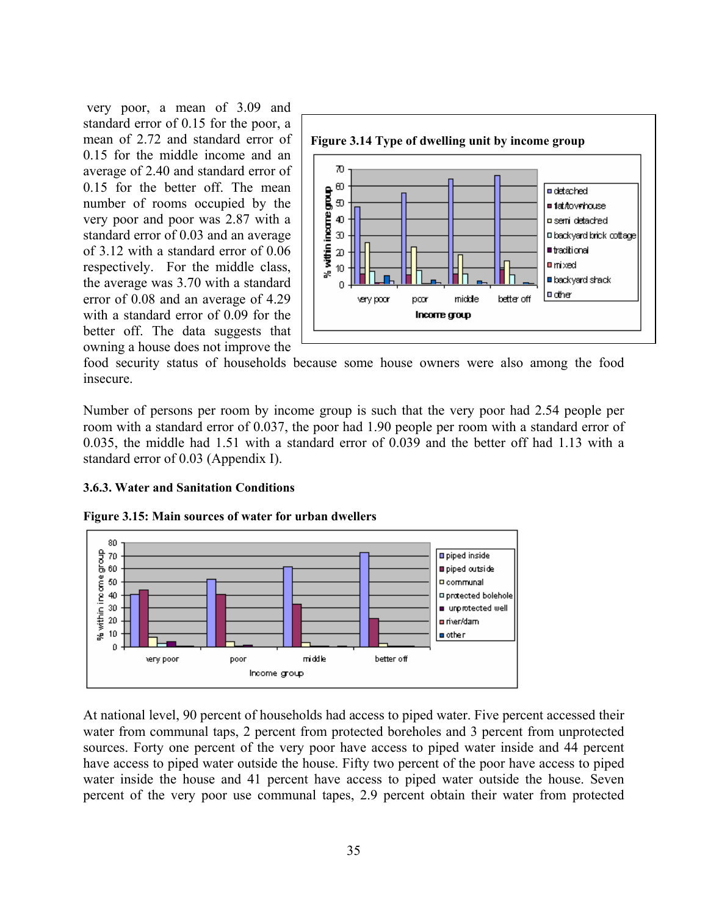very poor, a mean of 3.09 and standard error of 0.15 for the poor, a mean of 2.72 and standard error of 0.15 for the middle income and an average of 2.40 and standard error of 0.15 for the better off. The mean number of rooms occupied by the very poor and poor was 2.87 with a standard error of 0.03 and an average of 3.12 with a standard error of 0.06 respectively. For the middle class, the average was 3.70 with a standard error of 0.08 and an average of 4.29 with a standard error of 0.09 for the better off. The data suggests that owning a house does not improve the



food security status of households because some house owners were also among the food insecure.

Number of persons per room by income group is such that the very poor had 2.54 people per room with a standard error of 0.037, the poor had 1.90 people per room with a standard error of 0.035, the middle had 1.51 with a standard error of 0.039 and the better off had 1.13 with a standard error of 0.03 (Appendix I).

## **3.6.3. Water and Sanitation Conditions**

**Figure 3.15: Main sources of water for urban dwellers** 



At national level, 90 percent of households had access to piped water. Five percent accessed their water from communal taps, 2 percent from protected boreholes and 3 percent from unprotected sources. Forty one percent of the very poor have access to piped water inside and 44 percent have access to piped water outside the house. Fifty two percent of the poor have access to piped water inside the house and 41 percent have access to piped water outside the house. Seven percent of the very poor use communal tapes, 2.9 percent obtain their water from protected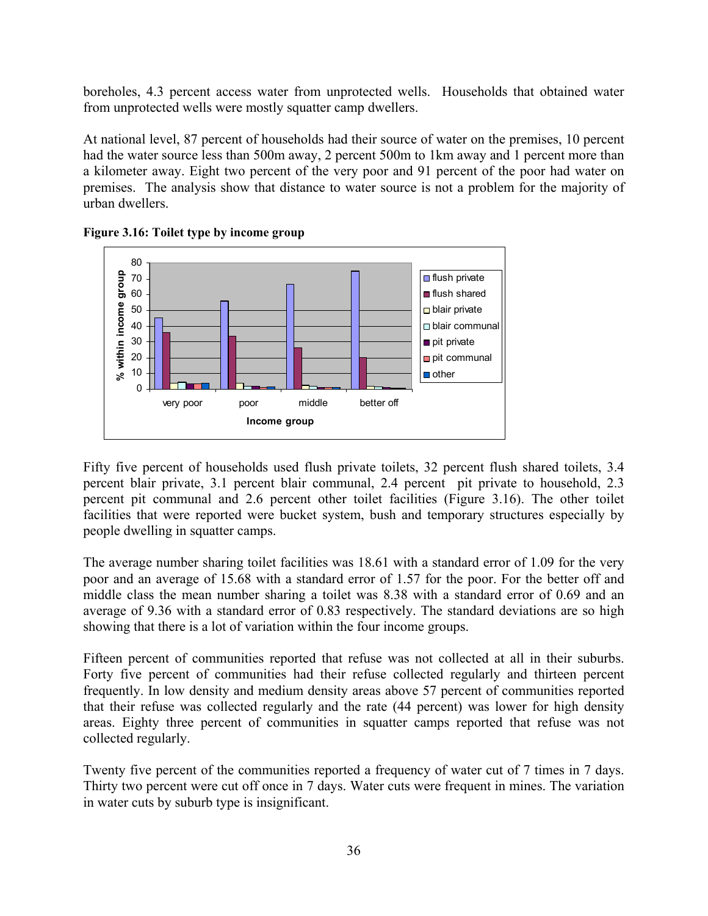boreholes, 4.3 percent access water from unprotected wells. Households that obtained water from unprotected wells were mostly squatter camp dwellers.

At national level, 87 percent of households had their source of water on the premises, 10 percent had the water source less than 500m away, 2 percent 500m to 1km away and 1 percent more than a kilometer away. Eight two percent of the very poor and 91 percent of the poor had water on premises. The analysis show that distance to water source is not a problem for the majority of urban dwellers.





Fifty five percent of households used flush private toilets, 32 percent flush shared toilets, 3.4 percent blair private, 3.1 percent blair communal, 2.4 percent pit private to household, 2.3 percent pit communal and 2.6 percent other toilet facilities (Figure 3.16). The other toilet facilities that were reported were bucket system, bush and temporary structures especially by people dwelling in squatter camps.

The average number sharing toilet facilities was 18.61 with a standard error of 1.09 for the very poor and an average of 15.68 with a standard error of 1.57 for the poor. For the better off and middle class the mean number sharing a toilet was 8.38 with a standard error of 0.69 and an average of 9.36 with a standard error of 0.83 respectively. The standard deviations are so high showing that there is a lot of variation within the four income groups.

Fifteen percent of communities reported that refuse was not collected at all in their suburbs. Forty five percent of communities had their refuse collected regularly and thirteen percent frequently. In low density and medium density areas above 57 percent of communities reported that their refuse was collected regularly and the rate (44 percent) was lower for high density areas. Eighty three percent of communities in squatter camps reported that refuse was not collected regularly.

Twenty five percent of the communities reported a frequency of water cut of 7 times in 7 days. Thirty two percent were cut off once in 7 days. Water cuts were frequent in mines. The variation in water cuts by suburb type is insignificant.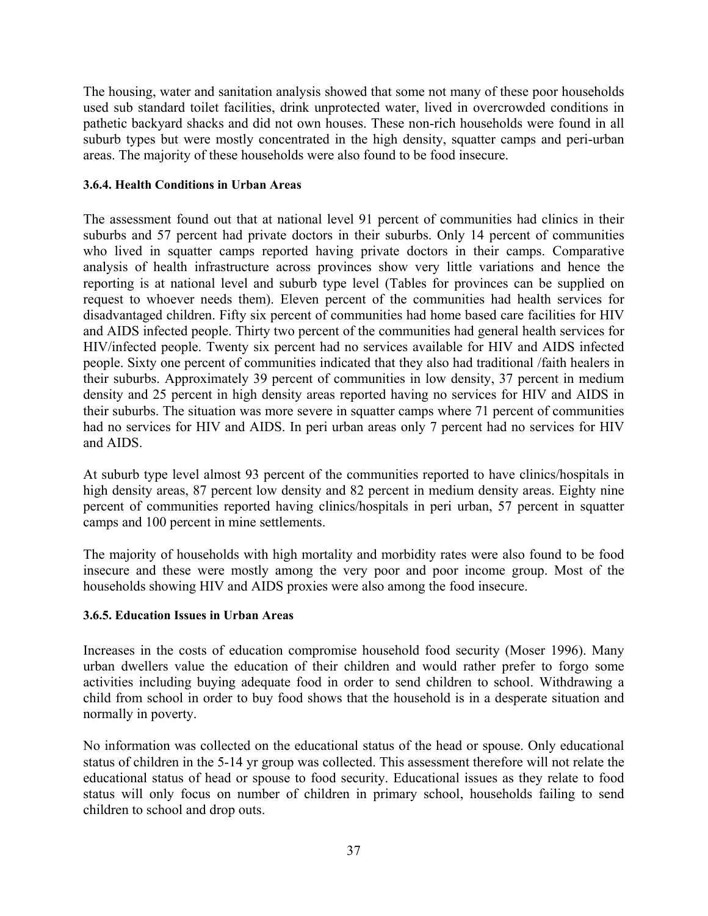The housing, water and sanitation analysis showed that some not many of these poor households used sub standard toilet facilities, drink unprotected water, lived in overcrowded conditions in pathetic backyard shacks and did not own houses. These non-rich households were found in all suburb types but were mostly concentrated in the high density, squatter camps and peri-urban areas. The majority of these households were also found to be food insecure.

### **3.6.4. Health Conditions in Urban Areas**

The assessment found out that at national level 91 percent of communities had clinics in their suburbs and 57 percent had private doctors in their suburbs. Only 14 percent of communities who lived in squatter camps reported having private doctors in their camps. Comparative analysis of health infrastructure across provinces show very little variations and hence the reporting is at national level and suburb type level (Tables for provinces can be supplied on request to whoever needs them). Eleven percent of the communities had health services for disadvantaged children. Fifty six percent of communities had home based care facilities for HIV and AIDS infected people. Thirty two percent of the communities had general health services for HIV/infected people. Twenty six percent had no services available for HIV and AIDS infected people. Sixty one percent of communities indicated that they also had traditional /faith healers in their suburbs. Approximately 39 percent of communities in low density, 37 percent in medium density and 25 percent in high density areas reported having no services for HIV and AIDS in their suburbs. The situation was more severe in squatter camps where 71 percent of communities had no services for HIV and AIDS. In peri urban areas only 7 percent had no services for HIV and AIDS.

At suburb type level almost 93 percent of the communities reported to have clinics/hospitals in high density areas, 87 percent low density and 82 percent in medium density areas. Eighty nine percent of communities reported having clinics/hospitals in peri urban, 57 percent in squatter camps and 100 percent in mine settlements.

The majority of households with high mortality and morbidity rates were also found to be food insecure and these were mostly among the very poor and poor income group. Most of the households showing HIV and AIDS proxies were also among the food insecure.

## **3.6.5. Education Issues in Urban Areas**

Increases in the costs of education compromise household food security (Moser 1996). Many urban dwellers value the education of their children and would rather prefer to forgo some activities including buying adequate food in order to send children to school. Withdrawing a child from school in order to buy food shows that the household is in a desperate situation and normally in poverty.

No information was collected on the educational status of the head or spouse. Only educational status of children in the 5-14 yr group was collected. This assessment therefore will not relate the educational status of head or spouse to food security. Educational issues as they relate to food status will only focus on number of children in primary school, households failing to send children to school and drop outs.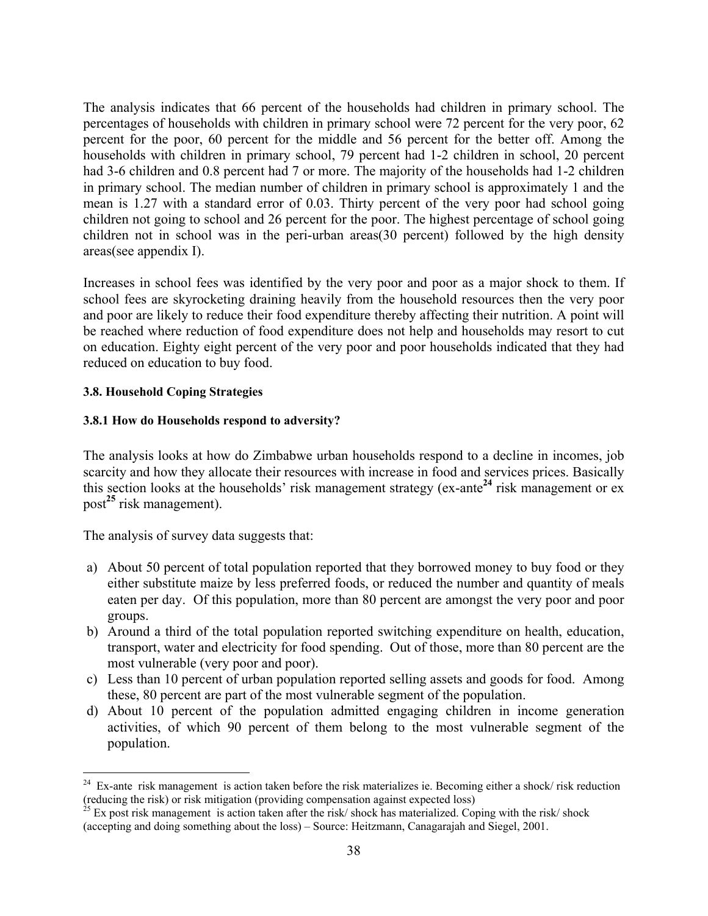The analysis indicates that 66 percent of the households had children in primary school. The percentages of households with children in primary school were 72 percent for the very poor, 62 percent for the poor, 60 percent for the middle and 56 percent for the better off. Among the households with children in primary school, 79 percent had 1-2 children in school, 20 percent had 3-6 children and 0.8 percent had 7 or more. The majority of the households had 1-2 children in primary school. The median number of children in primary school is approximately 1 and the mean is 1.27 with a standard error of 0.03. Thirty percent of the very poor had school going children not going to school and 26 percent for the poor. The highest percentage of school going children not in school was in the peri-urban areas(30 percent) followed by the high density areas(see appendix I).

Increases in school fees was identified by the very poor and poor as a major shock to them. If school fees are skyrocketing draining heavily from the household resources then the very poor and poor are likely to reduce their food expenditure thereby affecting their nutrition. A point will be reached where reduction of food expenditure does not help and households may resort to cut on education. Eighty eight percent of the very poor and poor households indicated that they had reduced on education to buy food.

## **3.8. Household Coping Strategies**

## **3.8.1 How do Households respond to adversity?**

The analysis looks at how do Zimbabwe urban households respond to a decline in incomes, job scarcity and how they allocate their resources with increase in food and services prices. Basically this section looks at the households' risk management strategy (ex-ante**<sup>24</sup>** risk management or ex post**<sup>25</sup>** risk management).

The analysis of survey data suggests that:

 $\overline{a}$ 

- a) About 50 percent of total population reported that they borrowed money to buy food or they either substitute maize by less preferred foods, or reduced the number and quantity of meals eaten per day. Of this population, more than 80 percent are amongst the very poor and poor groups.
- b) Around a third of the total population reported switching expenditure on health, education, transport, water and electricity for food spending. Out of those, more than 80 percent are the most vulnerable (very poor and poor).
- c) Less than 10 percent of urban population reported selling assets and goods for food. Among these, 80 percent are part of the most vulnerable segment of the population.
- d) About 10 percent of the population admitted engaging children in income generation activities, of which 90 percent of them belong to the most vulnerable segment of the population.

 $24$  Ex-ante risk management is action taken before the risk materializes ie. Becoming either a shock/risk reduction (reducing the risk) or risk mitigation (providing compensation against expected loss)

 $^{25}$  Ex post risk management is action taken after the risk/ shock has materialized. Coping with the risk/ shock (accepting and doing something about the loss) – Source: Heitzmann, Canagarajah and Siegel, 2001.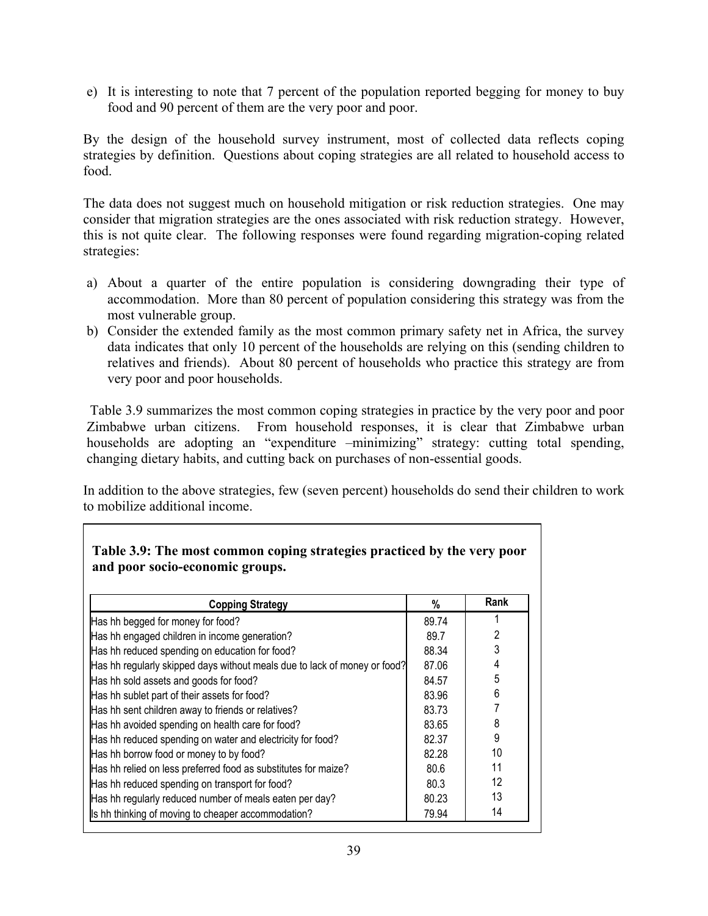e) It is interesting to note that 7 percent of the population reported begging for money to buy food and 90 percent of them are the very poor and poor.

By the design of the household survey instrument, most of collected data reflects coping strategies by definition. Questions about coping strategies are all related to household access to food.

The data does not suggest much on household mitigation or risk reduction strategies. One may consider that migration strategies are the ones associated with risk reduction strategy. However, this is not quite clear. The following responses were found regarding migration-coping related strategies:

- a) About a quarter of the entire population is considering downgrading their type of accommodation. More than 80 percent of population considering this strategy was from the most vulnerable group.
- b) Consider the extended family as the most common primary safety net in Africa, the survey data indicates that only 10 percent of the households are relying on this (sending children to relatives and friends). About 80 percent of households who practice this strategy are from very poor and poor households.

 Table 3.9 summarizes the most common coping strategies in practice by the very poor and poor Zimbabwe urban citizens. From household responses, it is clear that Zimbabwe urban households are adopting an "expenditure –minimizing" strategy: cutting total spending, changing dietary habits, and cutting back on purchases of non-essential goods.

In addition to the above strategies, few (seven percent) households do send their children to work to mobilize additional income.

| <b>Copping Strategy</b>                                                   | %     | Rank |
|---------------------------------------------------------------------------|-------|------|
| Has hh begged for money for food?                                         | 89.74 |      |
| Has hh engaged children in income generation?                             | 89.7  | 2    |
| Has hh reduced spending on education for food?                            | 88.34 | 3    |
| Has hh regularly skipped days without meals due to lack of money or food? | 87.06 | 4    |
| Has hh sold assets and goods for food?                                    | 84.57 | 5    |
| Has hh sublet part of their assets for food?                              | 83.96 | 6    |
| Has hh sent children away to friends or relatives?                        | 83.73 |      |
| Has hh avoided spending on health care for food?                          | 83.65 | 8    |
| Has hh reduced spending on water and electricity for food?                | 82.37 | 9    |
| Has hh borrow food or money to by food?                                   | 82.28 | 10   |
| Has hh relied on less preferred food as substitutes for maize?            | 80.6  | 11   |
| Has hh reduced spending on transport for food?                            | 80.3  | 12   |
| Has hh regularly reduced number of meals eaten per day?                   | 80.23 | 13   |
| Is hh thinking of moving to cheaper accommodation?                        | 79.94 | 14   |

# **Table 3.9: The most common coping strategies practiced by the very poor and poor socio-economic groups.**

 $\overline{a}$  $\overline{\phantom{a}}$  $\overline{\phantom{a}}$  $\overline{\phantom{a}}$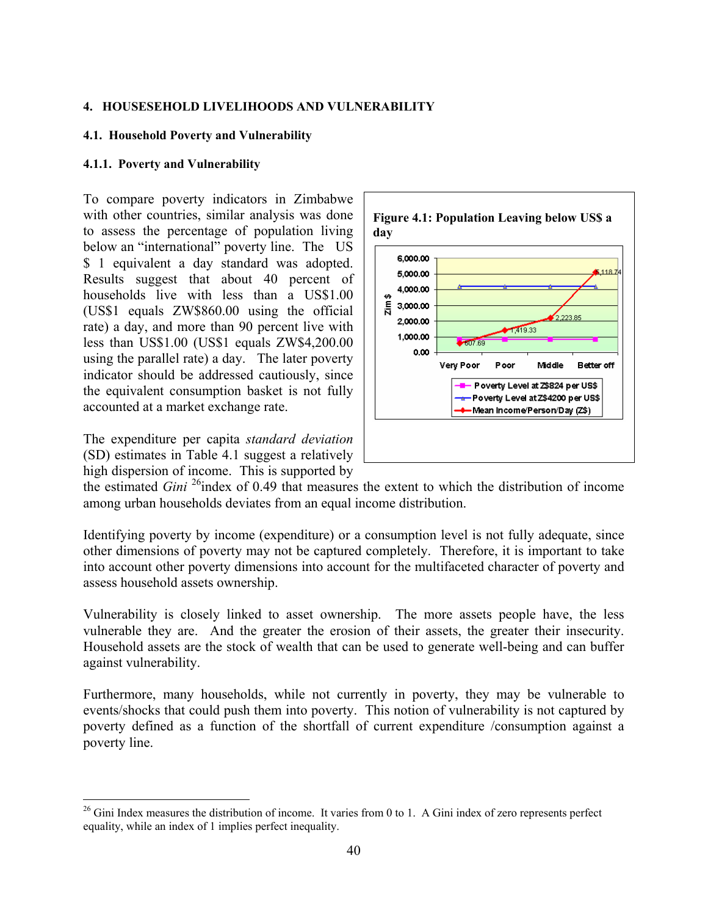#### **4. HOUSESEHOLD LIVELIHOODS AND VULNERABILITY**

#### **4.1. Household Poverty and Vulnerability**

#### **4.1.1. Poverty and Vulnerability**

To compare poverty indicators in Zimbabwe with other countries, similar analysis was done to assess the percentage of population living below an "international" poverty line. The US \$ 1 equivalent a day standard was adopted. Results suggest that about 40 percent of households live with less than a US\$1.00 (US\$1 equals ZW\$860.00 using the official rate) a day, and more than 90 percent live with less than US\$1.00 (US\$1 equals ZW\$4,200.00 using the parallel rate) a day. The later poverty indicator should be addressed cautiously, since the equivalent consumption basket is not fully accounted at a market exchange rate.

The expenditure per capita *standard deviation* (SD) estimates in Table 4.1 suggest a relatively high dispersion of income. This is supported by

 $\overline{a}$ 



the estimated *Gini* <sup>26</sup>index of 0.49 that measures the extent to which the distribution of income among urban households deviates from an equal income distribution.

Identifying poverty by income (expenditure) or a consumption level is not fully adequate, since other dimensions of poverty may not be captured completely. Therefore, it is important to take into account other poverty dimensions into account for the multifaceted character of poverty and assess household assets ownership.

Vulnerability is closely linked to asset ownership. The more assets people have, the less vulnerable they are. And the greater the erosion of their assets, the greater their insecurity. Household assets are the stock of wealth that can be used to generate well-being and can buffer against vulnerability.

Furthermore, many households, while not currently in poverty, they may be vulnerable to events/shocks that could push them into poverty. This notion of vulnerability is not captured by poverty defined as a function of the shortfall of current expenditure /consumption against a poverty line.

 $26$  Gini Index measures the distribution of income. It varies from 0 to 1. A Gini index of zero represents perfect equality, while an index of 1 implies perfect inequality.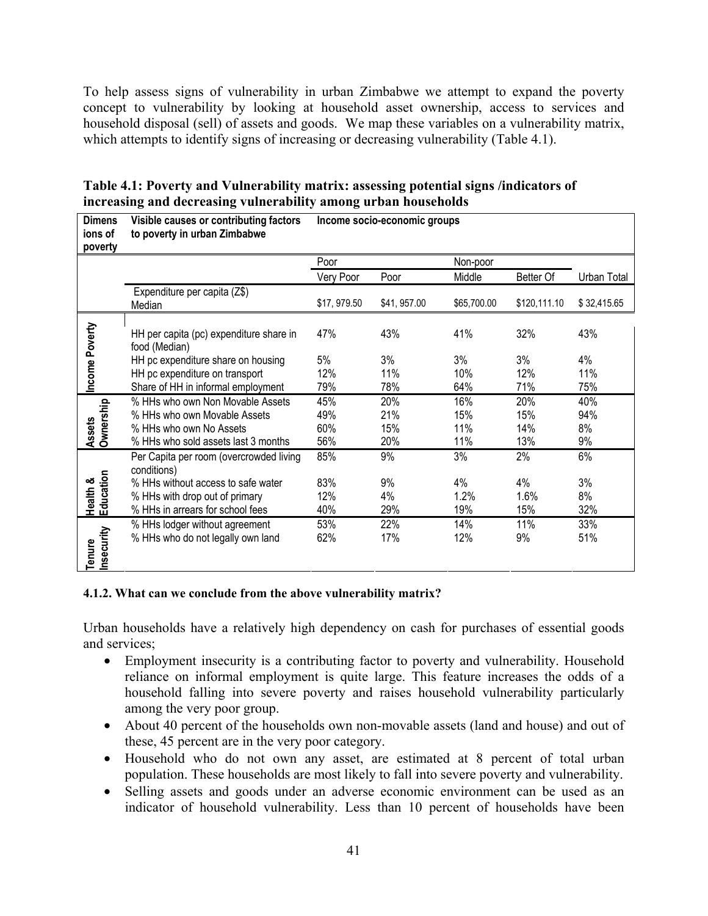To help assess signs of vulnerability in urban Zimbabwe we attempt to expand the poverty concept to vulnerability by looking at household asset ownership, access to services and household disposal (sell) of assets and goods. We map these variables on a vulnerability matrix, which attempts to identify signs of increasing or decreasing vulnerability (Table 4.1).

| <b>Dimens</b><br>ions of<br>poverty | Visible causes or contributing factors<br>to poverty in urban Zimbabwe                                                                                             | Income socio-economic groups |                          |                          |                          |                        |
|-------------------------------------|--------------------------------------------------------------------------------------------------------------------------------------------------------------------|------------------------------|--------------------------|--------------------------|--------------------------|------------------------|
|                                     |                                                                                                                                                                    | Poor                         |                          | Non-poor                 |                          |                        |
|                                     |                                                                                                                                                                    | Very Poor                    | Poor                     | Middle                   | Better Of                | Urban Total            |
|                                     | Expenditure per capita (Z\$)<br>Median                                                                                                                             | \$17,979.50                  | \$41, 957.00             | \$65,700.00              | \$120,111.10             | \$32,415.65            |
|                                     | HH per capita (pc) expenditure share in<br>food (Median)                                                                                                           | 47%                          | 43%                      | 41%                      | 32%                      | 43%                    |
| Income Poverty                      | HH pc expenditure share on housing<br>HH pc expenditure on transport<br>Share of HH in informal employment                                                         | 5%<br>12%<br>79%             | 3%<br>11%<br>78%         | 3%<br>10%<br>64%         | 3%<br>12%<br>71%         | 4%<br>11%<br>75%       |
| Assets<br>Ownership                 | % HHs who own Non Movable Assets<br>% HHs who own Movable Assets<br>% HHs who own No Assets<br>% HHs who sold assets last 3 months                                 | 45%<br>49%<br>60%<br>56%     | 20%<br>21%<br>15%<br>20% | 16%<br>15%<br>11%<br>11% | 20%<br>15%<br>14%<br>13% | 40%<br>94%<br>8%<br>9% |
| Health &<br>Education               | Per Capita per room (overcrowded living<br>conditions)<br>% HHs without access to safe water<br>% HHs with drop out of primary<br>% HHs in arrears for school fees | 85%<br>83%<br>12%<br>40%     | 9%<br>9%<br>4%<br>29%    | 3%<br>4%<br>1.2%<br>19%  | 2%<br>4%<br>1.6%<br>15%  | 6%<br>3%<br>8%<br>32%  |
| Insecurity<br>Tenure                | % HHs lodger without agreement<br>% HHs who do not legally own land                                                                                                | 53%<br>62%                   | 22%<br>17%               | 14%<br>12%               | 11%<br>9%                | 33%<br>51%             |

| increasing and decreasing vulnerability among urban households               | Table 4.1: Poverty and Vulnerability matrix: assessing potential signs /indicators of |
|------------------------------------------------------------------------------|---------------------------------------------------------------------------------------|
| Dimens Uicible couses ar sentributing fectors - Income socio connamic aroune |                                                                                       |

#### **4.1.2. What can we conclude from the above vulnerability matrix?**

Urban households have a relatively high dependency on cash for purchases of essential goods and services;

- Employment insecurity is a contributing factor to poverty and vulnerability. Household reliance on informal employment is quite large. This feature increases the odds of a household falling into severe poverty and raises household vulnerability particularly among the very poor group.
- About 40 percent of the households own non-movable assets (land and house) and out of these, 45 percent are in the very poor category.
- Household who do not own any asset, are estimated at 8 percent of total urban population. These households are most likely to fall into severe poverty and vulnerability.
- Selling assets and goods under an adverse economic environment can be used as an indicator of household vulnerability. Less than 10 percent of households have been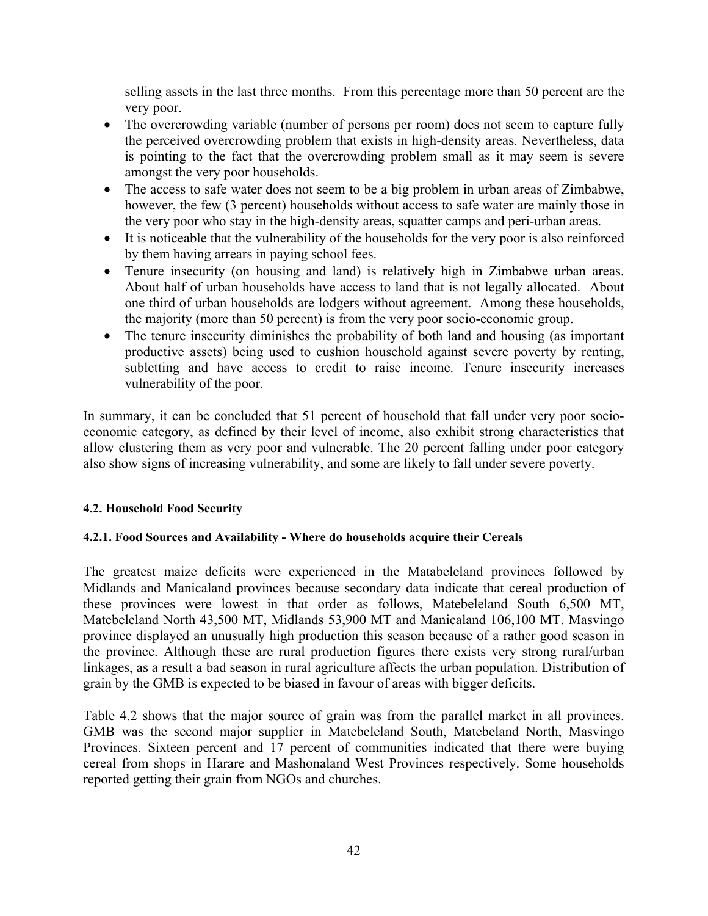selling assets in the last three months. From this percentage more than 50 percent are the very poor.

- The overcrowding variable (number of persons per room) does not seem to capture fully the perceived overcrowding problem that exists in high-density areas. Nevertheless, data is pointing to the fact that the overcrowding problem small as it may seem is severe amongst the very poor households.
- The access to safe water does not seem to be a big problem in urban areas of Zimbabwe, however, the few (3 percent) households without access to safe water are mainly those in the very poor who stay in the high-density areas, squatter camps and peri-urban areas.
- It is noticeable that the vulnerability of the households for the very poor is also reinforced by them having arrears in paying school fees.
- Tenure insecurity (on housing and land) is relatively high in Zimbabwe urban areas. About half of urban households have access to land that is not legally allocated. About one third of urban households are lodgers without agreement. Among these households, the majority (more than 50 percent) is from the very poor socio-economic group.
- The tenure insecurity diminishes the probability of both land and housing (as important productive assets) being used to cushion household against severe poverty by renting, subletting and have access to credit to raise income. Tenure insecurity increases vulnerability of the poor.

In summary, it can be concluded that 51 percent of household that fall under very poor socioeconomic category, as defined by their level of income, also exhibit strong characteristics that allow clustering them as very poor and vulnerable. The 20 percent falling under poor category also show signs of increasing vulnerability, and some are likely to fall under severe poverty.

## **4.2. Household Food Security**

## **4.2.1. Food Sources and Availability - Where do households acquire their Cereals**

The greatest maize deficits were experienced in the Matabeleland provinces followed by Midlands and Manicaland provinces because secondary data indicate that cereal production of these provinces were lowest in that order as follows, Matebeleland South 6,500 MT, Matebeleland North 43,500 MT, Midlands 53,900 MT and Manicaland 106,100 MT. Masvingo province displayed an unusually high production this season because of a rather good season in the province. Although these are rural production figures there exists very strong rural/urban linkages, as a result a bad season in rural agriculture affects the urban population. Distribution of grain by the GMB is expected to be biased in favour of areas with bigger deficits.

Table 4.2 shows that the major source of grain was from the parallel market in all provinces. GMB was the second major supplier in Matebeleland South, Matebeland North, Masvingo Provinces. Sixteen percent and 17 percent of communities indicated that there were buying cereal from shops in Harare and Mashonaland West Provinces respectively. Some households reported getting their grain from NGOs and churches.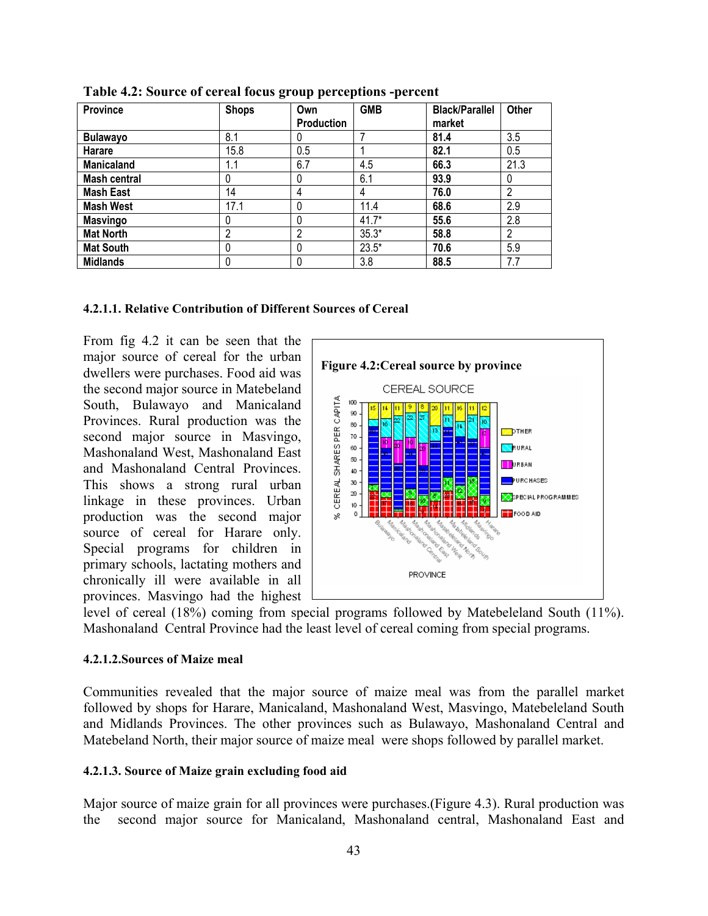| <b>Province</b>   | <b>Shops</b> | Own               | <b>GMB</b> | <b>Black/Parallel</b> | <b>Other</b>   |
|-------------------|--------------|-------------------|------------|-----------------------|----------------|
|                   |              | <b>Production</b> |            | market                |                |
| <b>Bulawayo</b>   | 8.1          |                   |            | 81.4                  | 3.5            |
| Harare            | 15.8         | $0.5\,$           |            | 82.1                  | 0.5            |
| <b>Manicaland</b> | 1.1          | 6.7               | 4.5        | 66.3                  | 21.3           |
| Mash central      |              | 0                 | 6.1        | 93.9                  | 0              |
| <b>Mash East</b>  | 14           | 4                 | 4          | 76.0                  | $\overline{2}$ |
| <b>Mash West</b>  | 17.1         | 0                 | 11.4       | 68.6                  | 2.9            |
| <b>Masvingo</b>   |              | 0                 | $41.7*$    | 55.6                  | 2.8            |
| <b>Mat North</b>  |              | 2                 | $35.3*$    | 58.8                  | $\overline{2}$ |
| <b>Mat South</b>  |              |                   | $23.5*$    | 70.6                  | 5.9            |
| <b>Midlands</b>   |              |                   | 3.8        | 88.5                  | 7.7            |

**Table 4.2: Source of cereal focus group perceptions -percent** 

#### **4.2.1.1. Relative Contribution of Different Sources of Cereal**

From fig 4.2 it can be seen that the major source of cereal for the urban dwellers were purchases. Food aid was the second major source in Matebeland South, Bulawayo and Manicaland Provinces. Rural production was the second major source in Masvingo, Mashonaland West, Mashonaland East and Mashonaland Central Provinces. This shows a strong rural urban linkage in these provinces. Urban production was the second major source of cereal for Harare only. Special programs for children in primary schools, lactating mothers and chronically ill were available in all provinces. Masvingo had the highest



level of cereal (18%) coming from special programs followed by Matebeleland South (11%). Mashonaland Central Province had the least level of cereal coming from special programs.

#### **4.2.1.2.Sources of Maize meal**

Communities revealed that the major source of maize meal was from the parallel market followed by shops for Harare, Manicaland, Mashonaland West, Masvingo, Matebeleland South and Midlands Provinces. The other provinces such as Bulawayo, Mashonaland Central and Matebeland North, their major source of maize meal were shops followed by parallel market.

#### **4.2.1.3. Source of Maize grain excluding food aid**

Major source of maize grain for all provinces were purchases.(Figure 4.3). Rural production was the second major source for Manicaland, Mashonaland central, Mashonaland East and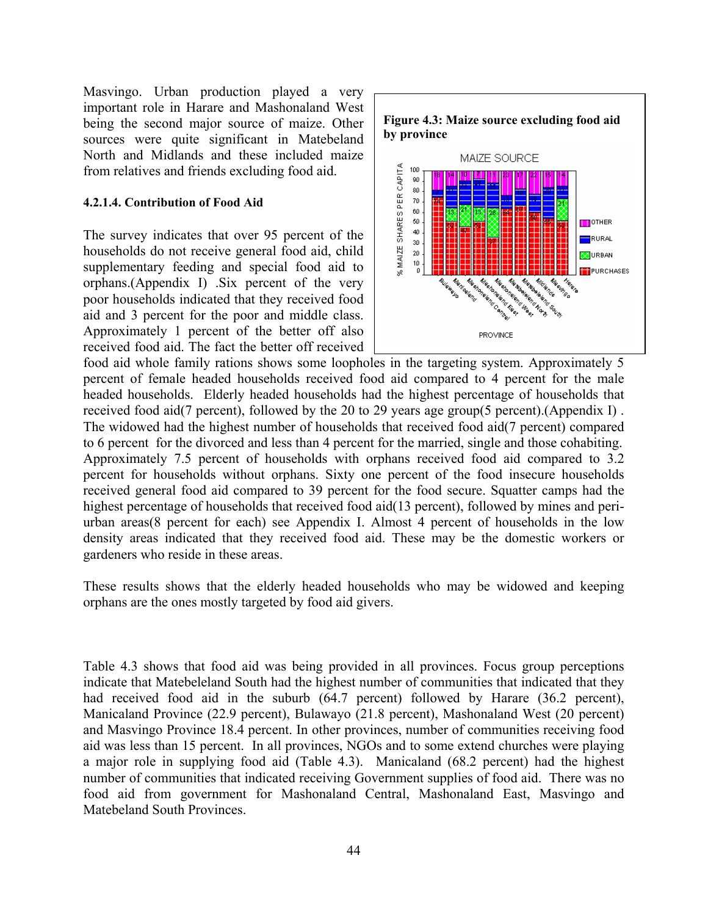Masvingo. Urban production played a very important role in Harare and Mashonaland West being the second major source of maize. Other sources were quite significant in Matebeland North and Midlands and these included maize from relatives and friends excluding food aid.

#### **4.2.1.4. Contribution of Food Aid**

The survey indicates that over 95 percent of the households do not receive general food aid, child supplementary feeding and special food aid to orphans.(Appendix I) .Six percent of the very poor households indicated that they received food aid and 3 percent for the poor and middle class. Approximately 1 percent of the better off also received food aid. The fact the better off received



food aid whole family rations shows some loopholes in the targeting system. Approximately 5 percent of female headed households received food aid compared to 4 percent for the male headed households. Elderly headed households had the highest percentage of households that received food aid(7 percent), followed by the 20 to 29 years age group(5 percent).(Appendix I) . The widowed had the highest number of households that received food aid(7 percent) compared to 6 percent for the divorced and less than 4 percent for the married, single and those cohabiting. Approximately 7.5 percent of households with orphans received food aid compared to 3.2 percent for households without orphans. Sixty one percent of the food insecure households received general food aid compared to 39 percent for the food secure. Squatter camps had the highest percentage of households that received food aid(13 percent), followed by mines and periurban areas(8 percent for each) see Appendix I. Almost 4 percent of households in the low density areas indicated that they received food aid. These may be the domestic workers or gardeners who reside in these areas.

These results shows that the elderly headed households who may be widowed and keeping orphans are the ones mostly targeted by food aid givers.

Table 4.3 shows that food aid was being provided in all provinces. Focus group perceptions indicate that Matebeleland South had the highest number of communities that indicated that they had received food aid in the suburb (64.7 percent) followed by Harare (36.2 percent), Manicaland Province (22.9 percent), Bulawayo (21.8 percent), Mashonaland West (20 percent) and Masvingo Province 18.4 percent. In other provinces, number of communities receiving food aid was less than 15 percent. In all provinces, NGOs and to some extend churches were playing a major role in supplying food aid (Table 4.3). Manicaland (68.2 percent) had the highest number of communities that indicated receiving Government supplies of food aid. There was no food aid from government for Mashonaland Central, Mashonaland East, Masvingo and Matebeland South Provinces.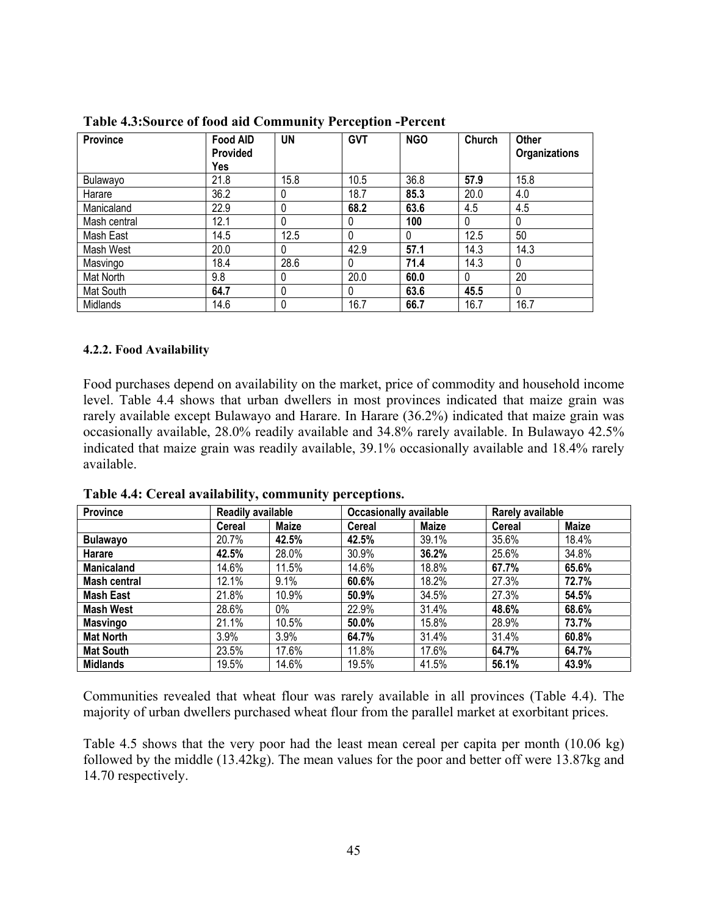| <b>Province</b> | <b>Food AID</b><br><b>Provided</b> | UN           | <b>GVT</b> | <b>NGO</b> | Church   | Other<br>Organizations |
|-----------------|------------------------------------|--------------|------------|------------|----------|------------------------|
| Bulawayo        | Yes<br>21.8                        | 15.8         | 10.5       | 36.8       | 57.9     | 15.8                   |
|                 |                                    |              |            |            |          |                        |
| Harare          | 36.2                               | 0            | 18.7       | 85.3       | 20.0     | 4.0                    |
| Manicaland      | 22.9                               | 0            | 68.2       | 63.6       | 4.5      | 4.5                    |
| Mash central    | 12.1                               | $\mathbf{0}$ | $\Omega$   | 100        | 0        | 0                      |
| Mash East       | 14.5                               | 12.5         | $\Omega$   | 0          | 12.5     | 50                     |
| Mash West       | 20.0                               | 0            | 42.9       | 57.1       | 14.3     | 14.3                   |
| Masvingo        | 18.4                               | 28.6         | $\Omega$   | 71.4       | 14.3     | $\Omega$               |
| Mat North       | 9.8                                | $\Omega$     | 20.0       | 60.0       | $\Omega$ | 20                     |
| Mat South       | 64.7                               | 0            | $\Omega$   | 63.6       | 45.5     | $\Omega$               |
| Midlands        | 14.6                               | 0            | 16.7       | 66.7       | 16.7     | 16.7                   |

**Table 4.3:Source of food aid Community Perception -Percent** 

### **4.2.2. Food Availability**

Food purchases depend on availability on the market, price of commodity and household income level. Table 4.4 shows that urban dwellers in most provinces indicated that maize grain was rarely available except Bulawayo and Harare. In Harare (36.2%) indicated that maize grain was occasionally available, 28.0% readily available and 34.8% rarely available. In Bulawayo 42.5% indicated that maize grain was readily available, 39.1% occasionally available and 18.4% rarely available.

| <b>Province</b>   | Readily available |              |        | Occasionally available | Rarely available |              |
|-------------------|-------------------|--------------|--------|------------------------|------------------|--------------|
|                   | <b>Cereal</b>     | <b>Maize</b> | Cereal | <b>Maize</b>           | <b>Cereal</b>    | <b>Maize</b> |
| <b>Bulawayo</b>   | 20.7%             | 42.5%        | 42.5%  | 39.1%                  | 35.6%            | 18.4%        |
| Harare            | 42.5%             | 28.0%        | 30.9%  | 36.2%                  | 25.6%            | 34.8%        |
| <b>Manicaland</b> | 14.6%             | 11.5%        | 14.6%  | 18.8%                  | 67.7%            | 65.6%        |
| Mash central      | 12.1%             | 9.1%         | 60.6%  | 18.2%                  | 27.3%            | 72.7%        |
| <b>Mash East</b>  | 21.8%             | 10.9%        | 50.9%  | 34.5%                  | 27.3%            | 54.5%        |
| <b>Mash West</b>  | 28.6%             | 0%           | 22.9%  | 31.4%                  | 48.6%            | 68.6%        |
| <b>Masvingo</b>   | 21.1%             | 10.5%        | 50.0%  | 15.8%                  | 28.9%            | 73.7%        |
| <b>Mat North</b>  | 3.9%              | 3.9%         | 64.7%  | 31.4%                  | 31.4%            | 60.8%        |
| <b>Mat South</b>  | 23.5%             | 17.6%        | 11.8%  | 17.6%                  | 64.7%            | 64.7%        |
| <b>Midlands</b>   | 19.5%             | 14.6%        | 19.5%  | 41.5%                  | 56.1%            | 43.9%        |

**Table 4.4: Cereal availability, community perceptions.** 

Communities revealed that wheat flour was rarely available in all provinces (Table 4.4). The majority of urban dwellers purchased wheat flour from the parallel market at exorbitant prices.

Table 4.5 shows that the very poor had the least mean cereal per capita per month (10.06 kg) followed by the middle (13.42kg). The mean values for the poor and better off were 13.87kg and 14.70 respectively.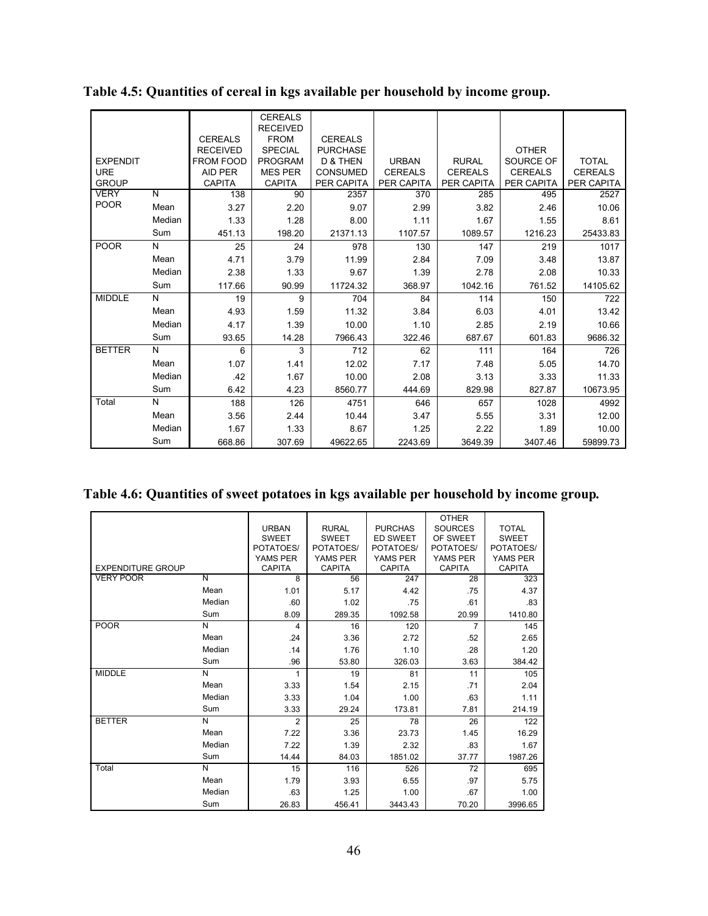|                             |                         |                  | <b>CEREALS</b>  |                 |                |                |                |                |
|-----------------------------|-------------------------|------------------|-----------------|-----------------|----------------|----------------|----------------|----------------|
|                             |                         |                  | <b>RECEIVED</b> |                 |                |                |                |                |
|                             |                         | <b>CEREALS</b>   | <b>FROM</b>     | <b>CEREALS</b>  |                |                |                |                |
|                             |                         | <b>RECEIVED</b>  | <b>SPECIAL</b>  | <b>PURCHASE</b> |                |                | <b>OTHER</b>   |                |
| <b>EXPENDIT</b>             |                         | <b>FROM FOOD</b> | <b>PROGRAM</b>  | D & THEN        | <b>URBAN</b>   | <b>RURAL</b>   | SOURCE OF      | <b>TOTAL</b>   |
| <b>URE</b>                  |                         | <b>AID PER</b>   | <b>MES PER</b>  | <b>CONSUMED</b> | <b>CEREALS</b> | <b>CEREALS</b> | <b>CEREALS</b> | <b>CEREALS</b> |
| <b>GROUP</b><br><b>VERY</b> | $\overline{\mathsf{N}}$ | <b>CAPITA</b>    | <b>CAPITA</b>   | PER CAPITA      | PER CAPITA     | PER CAPITA     | PER CAPITA     | PER CAPITA     |
| <b>POOR</b>                 |                         | 138              | 90              | 2357            | 370            | 285            | 495            | 2527           |
|                             | Mean                    | 3.27             | 2.20            | 9.07            | 2.99           | 3.82           | 2.46           | 10.06          |
|                             | Median                  | 1.33             | 1.28            | 8.00            | 1.11           | 1.67           | 1.55           | 8.61           |
|                             | Sum                     | 451.13           | 198.20          | 21371.13        | 1107.57        | 1089.57        | 1216.23        | 25433.83       |
| <b>POOR</b>                 | N                       | 25               | 24              | 978             | 130            | 147            | 219            | 1017           |
|                             | Mean                    | 4.71             | 3.79            | 11.99           | 2.84           | 7.09           | 3.48           | 13.87          |
|                             | Median                  | 2.38             | 1.33            | 9.67            | 1.39           | 2.78           | 2.08           | 10.33          |
|                             | Sum                     | 117.66           | 90.99           | 11724.32        | 368.97         | 1042.16        | 761.52         | 14105.62       |
| <b>MIDDLE</b>               | N                       | 19               | 9               | 704             | 84             | 114            | 150            | 722            |
|                             | Mean                    | 4.93             | 1.59            | 11.32           | 3.84           | 6.03           | 4.01           | 13.42          |
|                             | Median                  | 4.17             | 1.39            | 10.00           | 1.10           | 2.85           | 2.19           | 10.66          |
|                             | Sum                     | 93.65            | 14.28           | 7966.43         | 322.46         | 687.67         | 601.83         | 9686.32        |
| <b>BETTER</b>               | N                       | 6                | 3               | 712             | 62             | 111            | 164            | 726            |
|                             | Mean                    | 1.07             | 1.41            | 12.02           | 7.17           | 7.48           | 5.05           | 14.70          |
|                             | Median                  | .42              | 1.67            | 10.00           | 2.08           | 3.13           | 3.33           | 11.33          |
|                             | Sum                     | 6.42             | 4.23            | 8560.77         | 444.69         | 829.98         | 827.87         | 10673.95       |
| Total                       | N                       | 188              | 126             | 4751            | 646            | 657            | 1028           | 4992           |
|                             | Mean                    | 3.56             | 2.44            | 10.44           | 3.47           | 5.55           | 3.31           | 12.00          |
|                             | Median                  | 1.67             | 1.33            | 8.67            | 1.25           | 2.22           | 1.89           | 10.00          |
|                             | Sum                     | 668.86           | 307.69          | 49622.65        | 2243.69        | 3649.39        | 3407.46        | 59899.73       |

**Table 4.5: Quantities of cereal in kgs available per household by income group.** 

|  | Table 4.6: Quantities of sweet potatoes in kgs available per household by income group. |
|--|-----------------------------------------------------------------------------------------|
|  |                                                                                         |

| <b>EXPENDITURE GROUP</b> |                         | <b>URBAN</b><br><b>SWEET</b><br>POTATOES/<br>YAMS PER<br><b>CAPITA</b> | <b>RURAL</b><br><b>SWEET</b><br>POTATOES/<br>YAMS PER<br><b>CAPITA</b> | <b>PURCHAS</b><br><b>ED SWEET</b><br>POTATOES/<br>YAMS PER<br><b>CAPITA</b> | <b>OTHER</b><br><b>SOURCES</b><br>OF SWEET<br>POTATOES/<br>YAMS PER<br><b>CAPITA</b> | <b>TOTAL</b><br><b>SWEET</b><br>POTATOES/<br>YAMS PER<br><b>CAPITA</b> |
|--------------------------|-------------------------|------------------------------------------------------------------------|------------------------------------------------------------------------|-----------------------------------------------------------------------------|--------------------------------------------------------------------------------------|------------------------------------------------------------------------|
| <b>VERY POOR</b>         | $\overline{\mathsf{N}}$ | 8                                                                      | 56                                                                     | 247                                                                         | 28                                                                                   | 323                                                                    |
|                          | Mean                    | 1.01                                                                   | 5.17                                                                   | 4.42                                                                        | .75                                                                                  | 4.37                                                                   |
|                          | Median                  | .60                                                                    | 1.02                                                                   | .75                                                                         | .61                                                                                  | .83                                                                    |
|                          | Sum                     | 8.09                                                                   | 289.35                                                                 | 1092.58                                                                     | 20.99                                                                                | 1410.80                                                                |
| <b>POOR</b>              | N                       | 4                                                                      | 16                                                                     | 120                                                                         | 7                                                                                    | 145                                                                    |
|                          | Mean                    | .24                                                                    | 3.36                                                                   | 2.72                                                                        | .52                                                                                  | 2.65                                                                   |
|                          | Median                  | .14                                                                    | 1.76                                                                   | 1.10                                                                        | .28                                                                                  | 1.20                                                                   |
|                          | Sum                     | .96                                                                    | 53.80                                                                  | 326.03                                                                      | 3.63                                                                                 | 384.42                                                                 |
| <b>MIDDLE</b>            | N                       | 1                                                                      | 19                                                                     | 81                                                                          | 11                                                                                   | 105                                                                    |
|                          | Mean                    | 3.33                                                                   | 1.54                                                                   | 2.15                                                                        | .71                                                                                  | 2.04                                                                   |
|                          | Median                  | 3.33                                                                   | 1.04                                                                   | 1.00                                                                        | .63                                                                                  | 1.11                                                                   |
|                          | Sum                     | 3.33                                                                   | 29.24                                                                  | 173.81                                                                      | 7.81                                                                                 | 214.19                                                                 |
| <b>BETTER</b>            | N                       | $\overline{2}$                                                         | 25                                                                     | 78                                                                          | 26                                                                                   | 122                                                                    |
|                          | Mean                    | 7.22                                                                   | 3.36                                                                   | 23.73                                                                       | 1.45                                                                                 | 16.29                                                                  |
|                          | Median                  | 7.22                                                                   | 1.39                                                                   | 2.32                                                                        | .83                                                                                  | 1.67                                                                   |
|                          | Sum                     | 14.44                                                                  | 84.03                                                                  | 1851.02                                                                     | 37.77                                                                                | 1987.26                                                                |
| Total                    | N                       | 15                                                                     | 116                                                                    | 526                                                                         | 72                                                                                   | 695                                                                    |
|                          | Mean                    | 1.79                                                                   | 3.93                                                                   | 6.55                                                                        | .97                                                                                  | 5.75                                                                   |
|                          | Median                  | .63                                                                    | 1.25                                                                   | 1.00                                                                        | .67                                                                                  | 1.00                                                                   |
|                          | Sum                     | 26.83                                                                  | 456.41                                                                 | 3443.43                                                                     | 70.20                                                                                | 3996.65                                                                |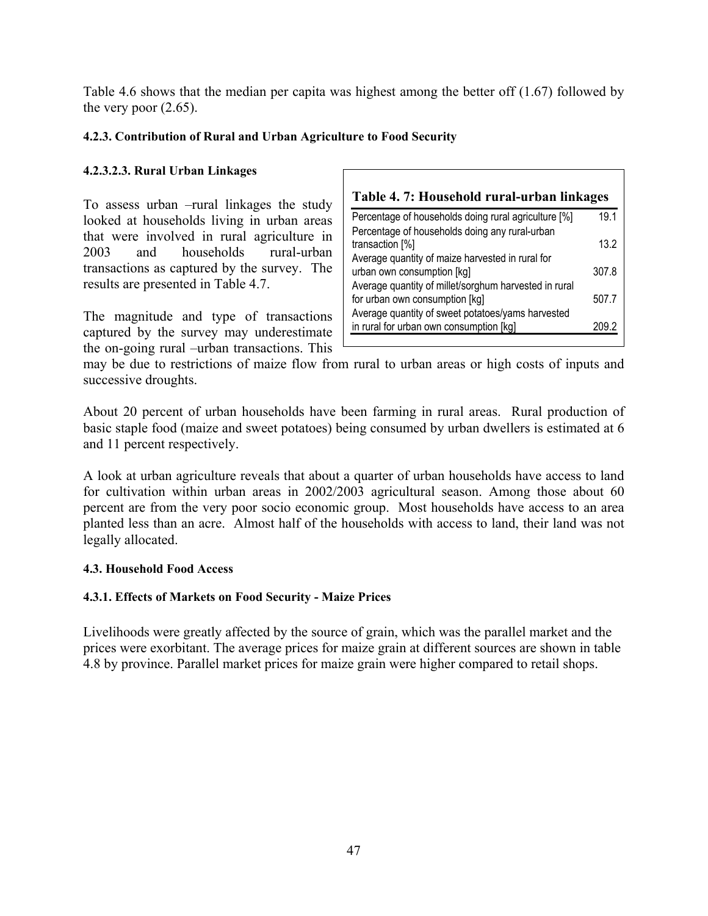Table 4.6 shows that the median per capita was highest among the better off (1.67) followed by the very poor  $(2.65)$ .

# **4.2.3. Contribution of Rural and Urban Agriculture to Food Security**

# **4.2.3.2.3. Rural Urban Linkages**

To assess urban –rural linkages the study looked at households living in urban areas that were involved in rural agriculture in 2003 and households rural-urban transactions as captured by the survey. The results are presented in Table 4.7.

The magnitude and type of transactions captured by the survey may underestimate the on-going rural –urban transactions. This

| Table 4.7: Household rural-urban linkages             |       |
|-------------------------------------------------------|-------|
| Percentage of households doing rural agriculture [%]  | 19.1  |
| Percentage of households doing any rural-urban        |       |
| transaction [%]                                       | 13.2  |
| Average quantity of maize harvested in rural for      |       |
| urban own consumption [kg]                            | 307.8 |
| Average quantity of millet/sorghum harvested in rural |       |
| for urban own consumption [kg]                        | 507.7 |
| Average quantity of sweet potatoes/yams harvested     |       |
| in rural for urban own consumption [kg]               |       |

may be due to restrictions of maize flow from rural to urban areas or high costs of inputs and successive droughts.

About 20 percent of urban households have been farming in rural areas. Rural production of basic staple food (maize and sweet potatoes) being consumed by urban dwellers is estimated at 6 and 11 percent respectively.

A look at urban agriculture reveals that about a quarter of urban households have access to land for cultivation within urban areas in 2002/2003 agricultural season. Among those about 60 percent are from the very poor socio economic group. Most households have access to an area planted less than an acre. Almost half of the households with access to land, their land was not legally allocated.

# **4.3. Household Food Access**

# **4.3.1. Effects of Markets on Food Security - Maize Prices**

Livelihoods were greatly affected by the source of grain, which was the parallel market and the prices were exorbitant. The average prices for maize grain at different sources are shown in table 4.8 by province. Parallel market prices for maize grain were higher compared to retail shops.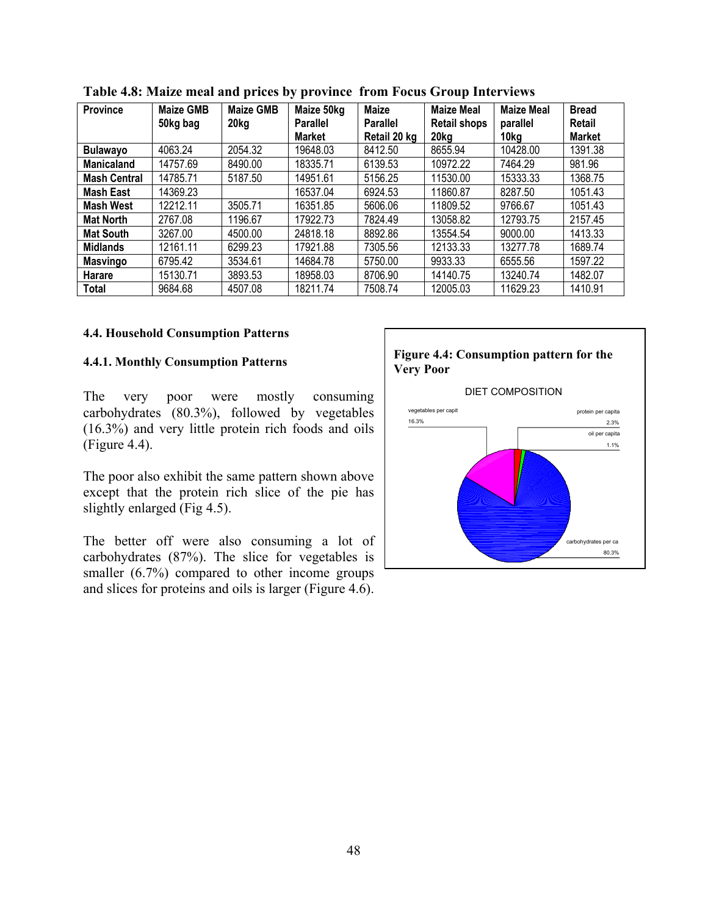| <b>Province</b>     | <b>Maize GMB</b><br>50kg bag | <b>Maize GMB</b><br>20kg | Maize 50kg<br><b>Parallel</b><br><b>Market</b> | <b>Maize</b><br><b>Parallel</b><br>Retail 20 kg | <b>Maize Meal</b><br><b>Retail shops</b><br>20kg | <b>Maize Meal</b><br>parallel<br>10kg | <b>Bread</b><br><b>Retail</b><br><b>Market</b> |
|---------------------|------------------------------|--------------------------|------------------------------------------------|-------------------------------------------------|--------------------------------------------------|---------------------------------------|------------------------------------------------|
| <b>Bulawayo</b>     | 4063.24                      | 2054.32                  | 19648.03                                       | 8412.50                                         | 8655.94                                          | 10428.00                              | 1391.38                                        |
| <b>Manicaland</b>   | 14757.69                     | 8490.00                  | 18335.71                                       | 6139.53                                         | 10972.22                                         | 7464.29                               | 981.96                                         |
| <b>Mash Central</b> | 14785.71                     | 5187.50                  | 14951.61                                       | 5156.25                                         | 11530.00                                         | 15333.33                              | 1368.75                                        |
| <b>Mash East</b>    | 14369.23                     |                          | 16537.04                                       | 6924.53                                         | 11860.87                                         | 8287.50                               | 1051.43                                        |
| Mash West           | 12212.11                     | 3505.71                  | 16351.85                                       | 5606.06                                         | 11809.52                                         | 9766.67                               | 1051.43                                        |
| <b>Mat North</b>    | 2767.08                      | 1196.67                  | 17922.73                                       | 7824.49                                         | 13058.82                                         | 12793.75                              | 2157.45                                        |
| <b>Mat South</b>    | 3267.00                      | 4500.00                  | 24818.18                                       | 8892.86                                         | 13554.54                                         | 9000.00                               | 1413.33                                        |
| <b>Midlands</b>     | 12161.11                     | 6299.23                  | 17921.88                                       | 7305.56                                         | 12133.33                                         | 13277.78                              | 1689.74                                        |
| <b>Masvingo</b>     | 6795.42                      | 3534.61                  | 14684.78                                       | 5750.00                                         | 9933.33                                          | 6555.56                               | 1597.22                                        |
| Harare              | 15130.71                     | 3893.53                  | 18958.03                                       | 8706.90                                         | 14140.75                                         | 13240.74                              | 1482.07                                        |
| Total               | 9684.68                      | 4507.08                  | 18211.74                                       | 7508.74                                         | 12005.03                                         | 11629.23                              | 1410.91                                        |

**Table 4.8: Maize meal and prices by province from Focus Group Interviews** 

#### **4.4. Household Consumption Patterns**

### **4.4.1. Monthly Consumption Patterns**

The very poor were mostly consuming carbohydrates (80.3%), followed by vegetables (16.3%) and very little protein rich foods and oils (Figure 4.4).

The poor also exhibit the same pattern shown above except that the protein rich slice of the pie has slightly enlarged (Fig 4.5).

The better off were also consuming a lot of carbohydrates (87%). The slice for vegetables is smaller (6.7%) compared to other income groups and slices for proteins and oils is larger (Figure 4.6).

#### **Figure 4.4: Consumption pattern for the Very Poor**

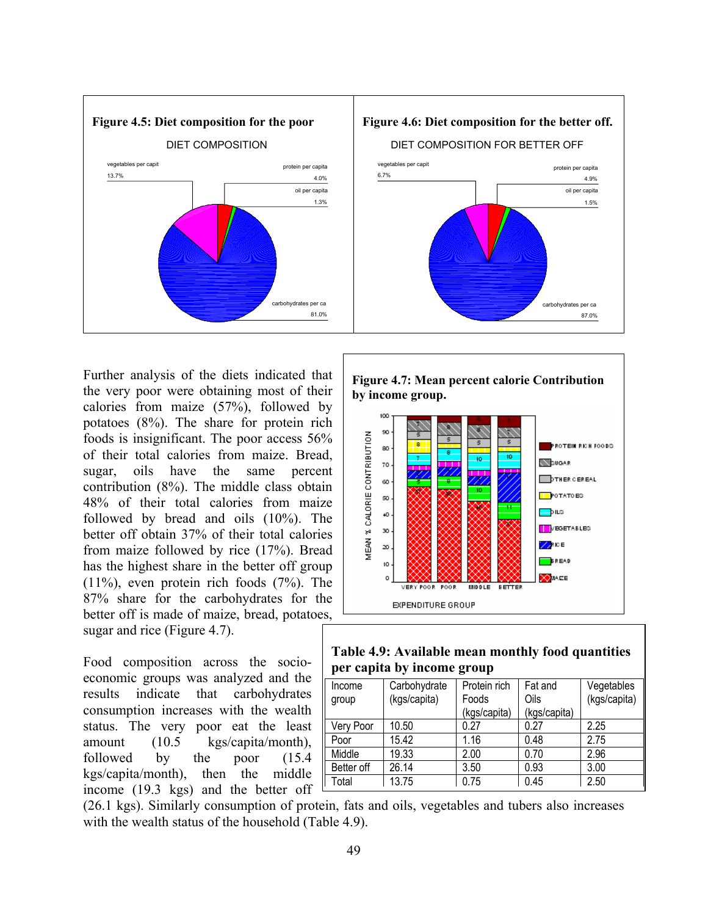

Further analysis of the diets indicated that the very poor were obtaining most of their calories from maize (57%), followed by potatoes (8%). The share for protein rich foods is insignificant. The poor access 56% of their total calories from maize. Bread, sugar, oils have the same percent contribution (8%). The middle class obtain 48% of their total calories from maize followed by bread and oils (10%). The better off obtain 37% of their total calories from maize followed by rice (17%). Bread has the highest share in the better off group (11%), even protein rich foods (7%). The 87% share for the carbohydrates for the better off is made of maize, bread, potatoes, sugar and rice (Figure 4.7).

Food composition across the socioeconomic groups was analyzed and the results indicate that carbohydrates consumption increases with the wealth status. The very poor eat the least amount (10.5 kgs/capita/month), followed by the poor (15.4 kgs/capita/month), then the middle income (19.3 kgs) and the better off





### **Table 4.9: Available mean monthly food quantities per capita by income group**

| Income<br>group | Carbohydrate<br>(kgs/capita) | Protein rich<br>Foods<br>(kgs/capita) | Fat and<br>Oils<br>(kgs/capita) | Vegetables<br>(kgs/capita) |
|-----------------|------------------------------|---------------------------------------|---------------------------------|----------------------------|
| Very Poor       | 10.50                        | 0.27                                  | 0.27                            | 2.25                       |
| Poor            | 15.42                        | 1.16                                  | 0.48                            | 2.75                       |
| Middle          | 19.33                        | 2.00                                  | 0.70                            | 2.96                       |
| Better off      | 26.14                        | 3.50                                  | 0.93                            | 3.00                       |
| Total           | 13.75                        | 0.75                                  | 0.45                            | 2.50                       |

(26.1 kgs). Similarly consumption of protein, fats and oils, vegetables and tubers also increases with the wealth status of the household (Table 4.9).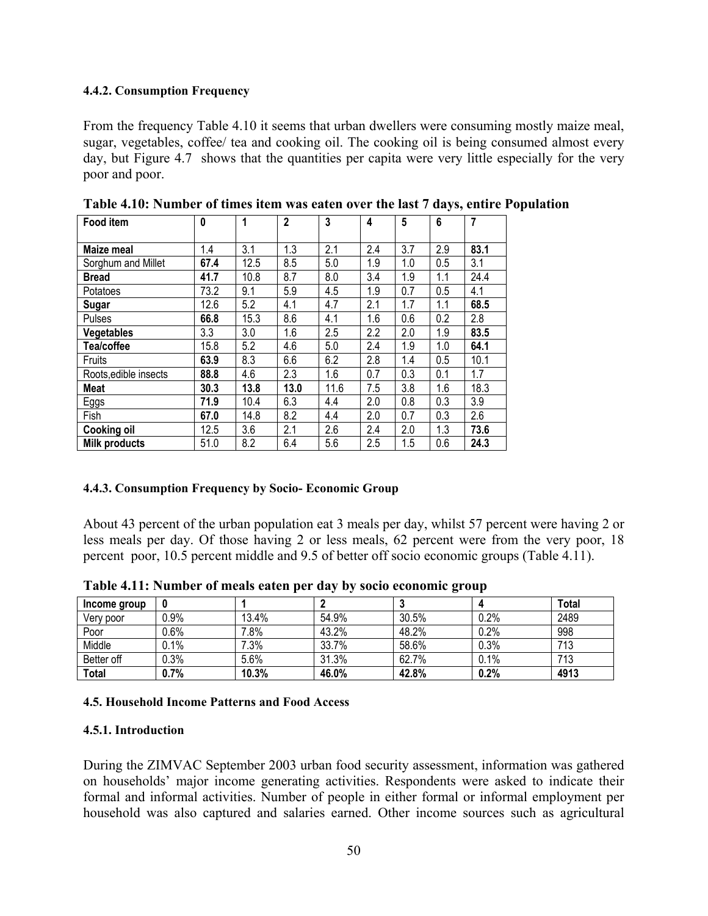### **4.4.2. Consumption Frequency**

From the frequency Table 4.10 it seems that urban dwellers were consuming mostly maize meal, sugar, vegetables, coffee/ tea and cooking oil. The cooking oil is being consumed almost every day, but Figure 4.7 shows that the quantities per capita were very little especially for the very poor and poor.

| <b>Food item</b>      | 0    | 1    | $\overline{2}$ | 3    | 4   | 5   | 6   | 7    |
|-----------------------|------|------|----------------|------|-----|-----|-----|------|
|                       |      |      |                |      |     |     |     |      |
| <b>Maize meal</b>     | 1.4  | 3.1  | 1.3            | 2.1  | 2.4 | 3.7 | 2.9 | 83.1 |
| Sorghum and Millet    | 67.4 | 12.5 | 8.5            | 5.0  | 1.9 | 1.0 | 0.5 | 3.1  |
| <b>Bread</b>          | 41.7 | 10.8 | 8.7            | 8.0  | 3.4 | 1.9 | 1.1 | 24.4 |
| Potatoes              | 73.2 | 9.1  | 5.9            | 4.5  | 1.9 | 0.7 | 0.5 | 4.1  |
| Sugar                 | 12.6 | 5.2  | 4.1            | 4.7  | 2.1 | 1.7 | 1.1 | 68.5 |
| Pulses                | 66.8 | 15.3 | 8.6            | 4.1  | 1.6 | 0.6 | 0.2 | 2.8  |
| <b>Vegetables</b>     | 3.3  | 3.0  | 1.6            | 2.5  | 2.2 | 2.0 | 1.9 | 83.5 |
| Tea/coffee            | 15.8 | 5.2  | 4.6            | 5.0  | 2.4 | 1.9 | 1.0 | 64.1 |
| Fruits                | 63.9 | 8.3  | 6.6            | 6.2  | 2.8 | 1.4 | 0.5 | 10.1 |
| Roots, edible insects | 88.8 | 4.6  | 2.3            | 1.6  | 0.7 | 0.3 | 0.1 | 1.7  |
| Meat                  | 30.3 | 13.8 | 13.0           | 11.6 | 7.5 | 3.8 | 1.6 | 18.3 |
| Eggs                  | 71.9 | 10.4 | 6.3            | 4.4  | 2.0 | 0.8 | 0.3 | 3.9  |
| Fish                  | 67.0 | 14.8 | 8.2            | 4.4  | 2.0 | 0.7 | 0.3 | 2.6  |
| <b>Cooking oil</b>    | 12.5 | 3.6  | 2.1            | 2.6  | 2.4 | 2.0 | 1.3 | 73.6 |
| <b>Milk products</b>  | 51.0 | 8.2  | 6.4            | 5.6  | 2.5 | 1.5 | 0.6 | 24.3 |

**Table 4.10: Number of times item was eaten over the last 7 days, entire Population** 

#### **4.4.3. Consumption Frequency by Socio- Economic Group**

About 43 percent of the urban population eat 3 meals per day, whilst 57 percent were having 2 or less meals per day. Of those having 2 or less meals, 62 percent were from the very poor, 18 percent poor, 10.5 percent middle and 9.5 of better off socio economic groups (Table 4.11).

| Income group | U    |       |       |       |      | Total |
|--------------|------|-------|-------|-------|------|-------|
| Very poor    | 0.9% | 13.4% | 54.9% | 30.5% | 0.2% | 2489  |
| Poor         | 0.6% | 7.8%  | 43.2% | 48.2% | 0.2% | 998   |
| Middle       | 0.1% | 7.3%  | 33.7% | 58.6% | 0.3% | 713   |
| Better off   | 0.3% | 5.6%  | 31.3% | 62.7% | 0.1% | 713   |
| <b>Total</b> | 0.7% | 10.3% | 46.0% | 42.8% | 0.2% | 4913  |

**Table 4.11: Number of meals eaten per day by socio economic group** 

#### **4.5. Household Income Patterns and Food Access**

#### **4.5.1. Introduction**

During the ZIMVAC September 2003 urban food security assessment, information was gathered on households' major income generating activities. Respondents were asked to indicate their formal and informal activities. Number of people in either formal or informal employment per household was also captured and salaries earned. Other income sources such as agricultural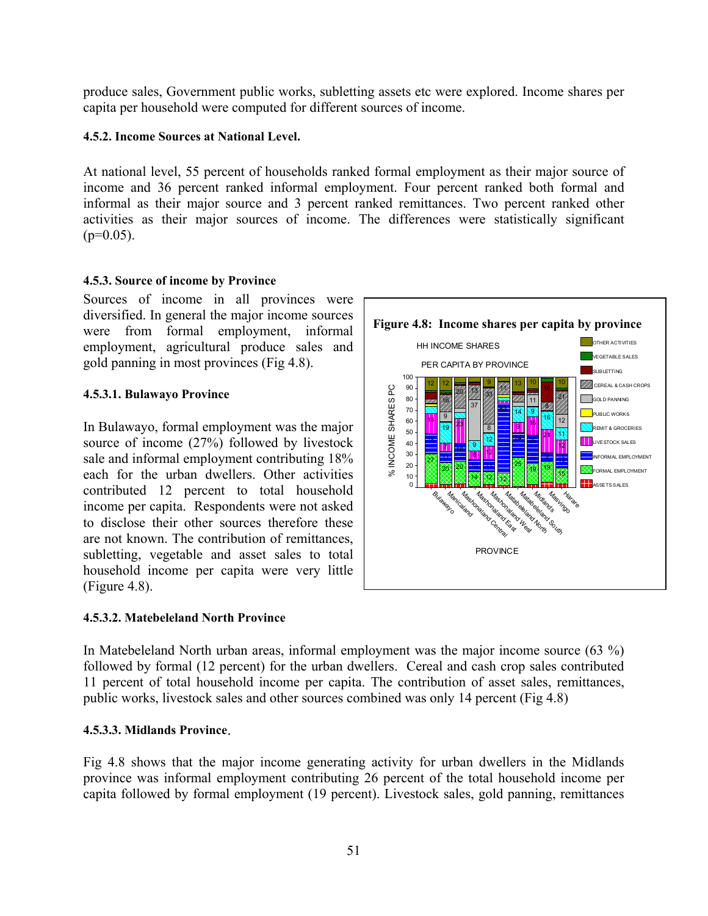produce sales, Government public works, subletting assets etc were explored. Income shares per capita per household were computed for different sources of income.

## **4.5.2. Income Sources at National Level.**

At national level, 55 percent of households ranked formal employment as their major source of income and 36 percent ranked informal employment. Four percent ranked both formal and informal as their major source and 3 percent ranked remittances. Two percent ranked other activities as their major sources of income. The differences were statistically significant  $(p=0.05)$ .

## **4.5.3. Source of income by Province**

Sources of income in all provinces were diversified. In general the major income sources were from formal employment, informal employment, agricultural produce sales and gold panning in most provinces (Fig 4.8).

## **4.5.3.1. Bulawayo Province**

In Bulawayo, formal employment was the major source of income (27%) followed by livestock sale and informal employment contributing 18% each for the urban dwellers. Other activities contributed 12 percent to total household income per capita. Respondents were not asked to disclose their other sources therefore these are not known. The contribution of remittances, subletting, vegetable and asset sales to total household income per capita were very little (Figure 4.8).



In Matebeleland North urban areas, informal employment was the major income source (63 %) followed by formal (12 percent) for the urban dwellers. Cereal and cash crop sales contributed 11 percent of total household income per capita. The contribution of asset sales, remittances, public works, livestock sales and other sources combined was only 14 percent (Fig 4.8)

# **4.5.3.3. Midlands Province**.

Fig 4.8 shows that the major income generating activity for urban dwellers in the Midlands province was informal employment contributing 26 percent of the total household income per capita followed by formal employment (19 percent). Livestock sales, gold panning, remittances

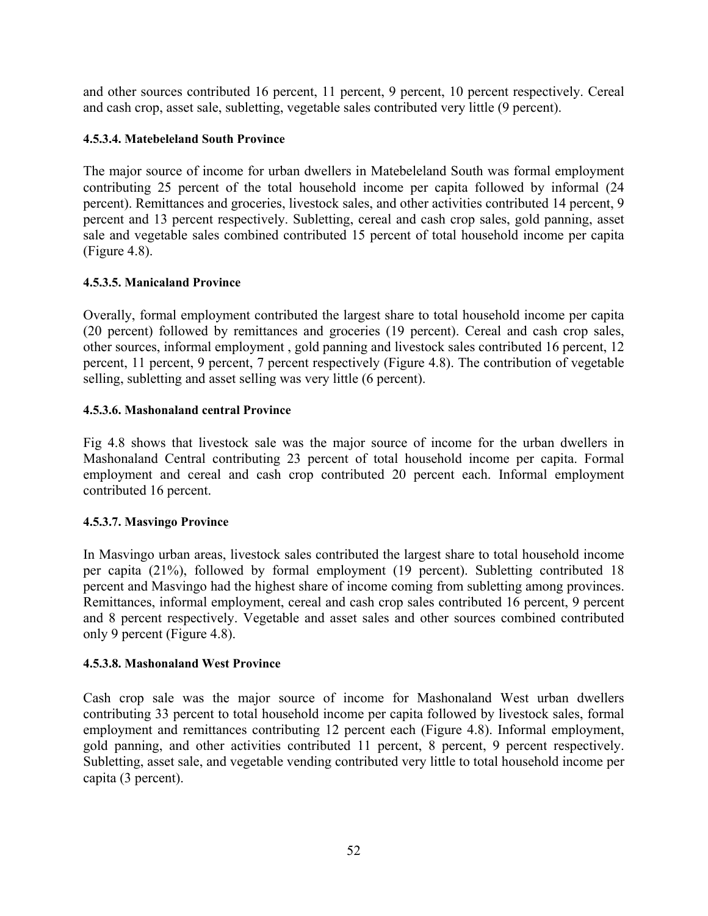and other sources contributed 16 percent, 11 percent, 9 percent, 10 percent respectively. Cereal and cash crop, asset sale, subletting, vegetable sales contributed very little (9 percent).

## **4.5.3.4. Matebeleland South Province**

The major source of income for urban dwellers in Matebeleland South was formal employment contributing 25 percent of the total household income per capita followed by informal (24 percent). Remittances and groceries, livestock sales, and other activities contributed 14 percent, 9 percent and 13 percent respectively. Subletting, cereal and cash crop sales, gold panning, asset sale and vegetable sales combined contributed 15 percent of total household income per capita (Figure 4.8).

### **4.5.3.5. Manicaland Province**

Overally, formal employment contributed the largest share to total household income per capita (20 percent) followed by remittances and groceries (19 percent). Cereal and cash crop sales, other sources, informal employment , gold panning and livestock sales contributed 16 percent, 12 percent, 11 percent, 9 percent, 7 percent respectively (Figure 4.8). The contribution of vegetable selling, subletting and asset selling was very little (6 percent).

### **4.5.3.6. Mashonaland central Province**

Fig 4.8 shows that livestock sale was the major source of income for the urban dwellers in Mashonaland Central contributing 23 percent of total household income per capita. Formal employment and cereal and cash crop contributed 20 percent each. Informal employment contributed 16 percent.

## **4.5.3.7. Masvingo Province**

In Masvingo urban areas, livestock sales contributed the largest share to total household income per capita (21%), followed by formal employment (19 percent). Subletting contributed 18 percent and Masvingo had the highest share of income coming from subletting among provinces. Remittances, informal employment, cereal and cash crop sales contributed 16 percent, 9 percent and 8 percent respectively. Vegetable and asset sales and other sources combined contributed only 9 percent (Figure 4.8).

#### **4.5.3.8. Mashonaland West Province**

Cash crop sale was the major source of income for Mashonaland West urban dwellers contributing 33 percent to total household income per capita followed by livestock sales, formal employment and remittances contributing 12 percent each (Figure 4.8). Informal employment, gold panning, and other activities contributed 11 percent, 8 percent, 9 percent respectively. Subletting, asset sale, and vegetable vending contributed very little to total household income per capita (3 percent).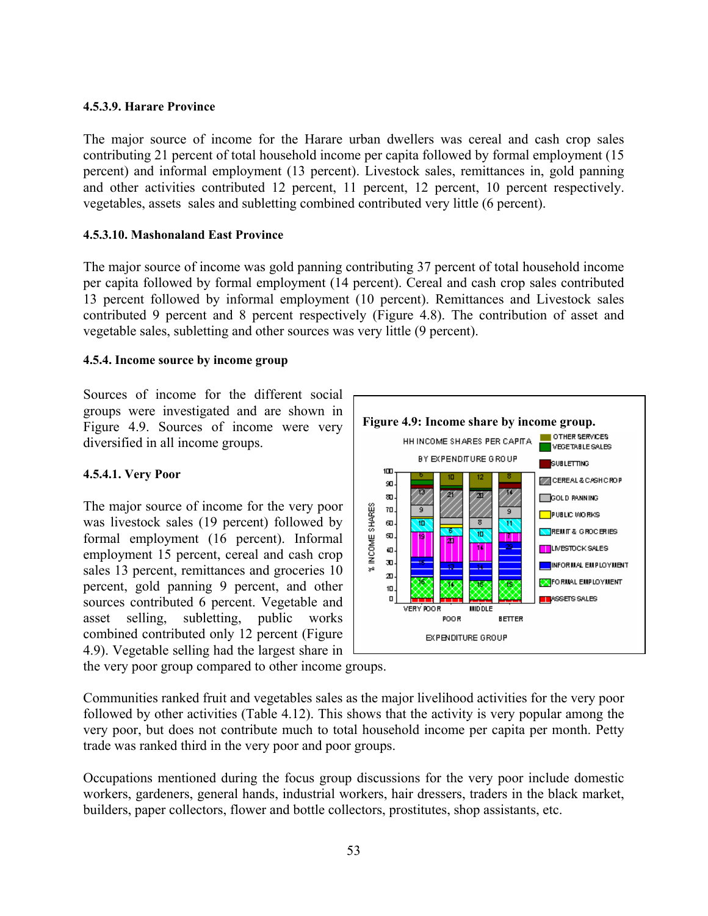### **4.5.3.9. Harare Province**

The major source of income for the Harare urban dwellers was cereal and cash crop sales contributing 21 percent of total household income per capita followed by formal employment (15 percent) and informal employment (13 percent). Livestock sales, remittances in, gold panning and other activities contributed 12 percent, 11 percent, 12 percent, 10 percent respectively. vegetables, assets sales and subletting combined contributed very little (6 percent).

### **4.5.3.10. Mashonaland East Province**

The major source of income was gold panning contributing 37 percent of total household income per capita followed by formal employment (14 percent). Cereal and cash crop sales contributed 13 percent followed by informal employment (10 percent). Remittances and Livestock sales contributed 9 percent and 8 percent respectively (Figure 4.8). The contribution of asset and vegetable sales, subletting and other sources was very little (9 percent).

### **4.5.4. Income source by income group**

Sources of income for the different social groups were investigated and are shown in Figure 4.9. Sources of income were very diversified in all income groups.

## **4.5.4.1. Very Poor**

The major source of income for the very poor was livestock sales (19 percent) followed by formal employment (16 percent). Informal employment 15 percent, cereal and cash crop sales 13 percent, remittances and groceries 10 percent, gold panning 9 percent, and other sources contributed 6 percent. Vegetable and asset selling, subletting, public works combined contributed only 12 percent (Figure 4.9). Vegetable selling had the largest share in



the very poor group compared to other income groups.

Communities ranked fruit and vegetables sales as the major livelihood activities for the very poor followed by other activities (Table 4.12). This shows that the activity is very popular among the very poor, but does not contribute much to total household income per capita per month. Petty trade was ranked third in the very poor and poor groups.

Occupations mentioned during the focus group discussions for the very poor include domestic workers, gardeners, general hands, industrial workers, hair dressers, traders in the black market, builders, paper collectors, flower and bottle collectors, prostitutes, shop assistants, etc.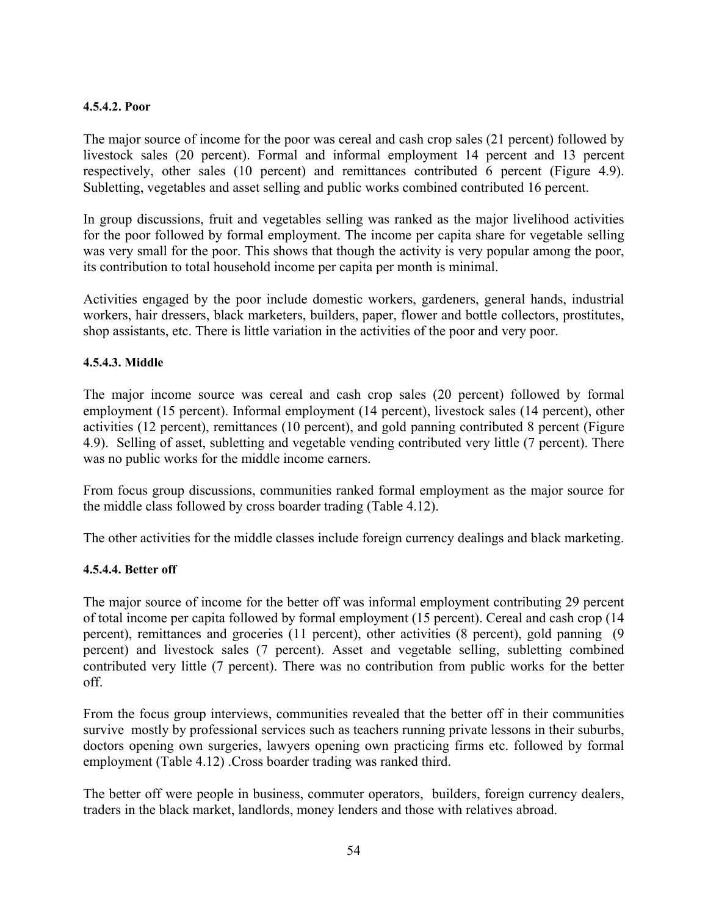## **4.5.4.2. Poor**

The major source of income for the poor was cereal and cash crop sales (21 percent) followed by livestock sales (20 percent). Formal and informal employment 14 percent and 13 percent respectively, other sales (10 percent) and remittances contributed 6 percent (Figure 4.9). Subletting, vegetables and asset selling and public works combined contributed 16 percent.

In group discussions, fruit and vegetables selling was ranked as the major livelihood activities for the poor followed by formal employment. The income per capita share for vegetable selling was very small for the poor. This shows that though the activity is very popular among the poor, its contribution to total household income per capita per month is minimal.

Activities engaged by the poor include domestic workers, gardeners, general hands, industrial workers, hair dressers, black marketers, builders, paper, flower and bottle collectors, prostitutes, shop assistants, etc. There is little variation in the activities of the poor and very poor.

## **4.5.4.3. Middle**

The major income source was cereal and cash crop sales (20 percent) followed by formal employment (15 percent). Informal employment (14 percent), livestock sales (14 percent), other activities (12 percent), remittances (10 percent), and gold panning contributed 8 percent (Figure 4.9). Selling of asset, subletting and vegetable vending contributed very little (7 percent). There was no public works for the middle income earners.

From focus group discussions, communities ranked formal employment as the major source for the middle class followed by cross boarder trading (Table 4.12).

The other activities for the middle classes include foreign currency dealings and black marketing.

## **4.5.4.4. Better off**

The major source of income for the better off was informal employment contributing 29 percent of total income per capita followed by formal employment (15 percent). Cereal and cash crop (14 percent), remittances and groceries (11 percent), other activities (8 percent), gold panning (9 percent) and livestock sales (7 percent). Asset and vegetable selling, subletting combined contributed very little (7 percent). There was no contribution from public works for the better off.

From the focus group interviews, communities revealed that the better off in their communities survive mostly by professional services such as teachers running private lessons in their suburbs, doctors opening own surgeries, lawyers opening own practicing firms etc. followed by formal employment (Table 4.12) .Cross boarder trading was ranked third.

The better off were people in business, commuter operators, builders, foreign currency dealers, traders in the black market, landlords, money lenders and those with relatives abroad.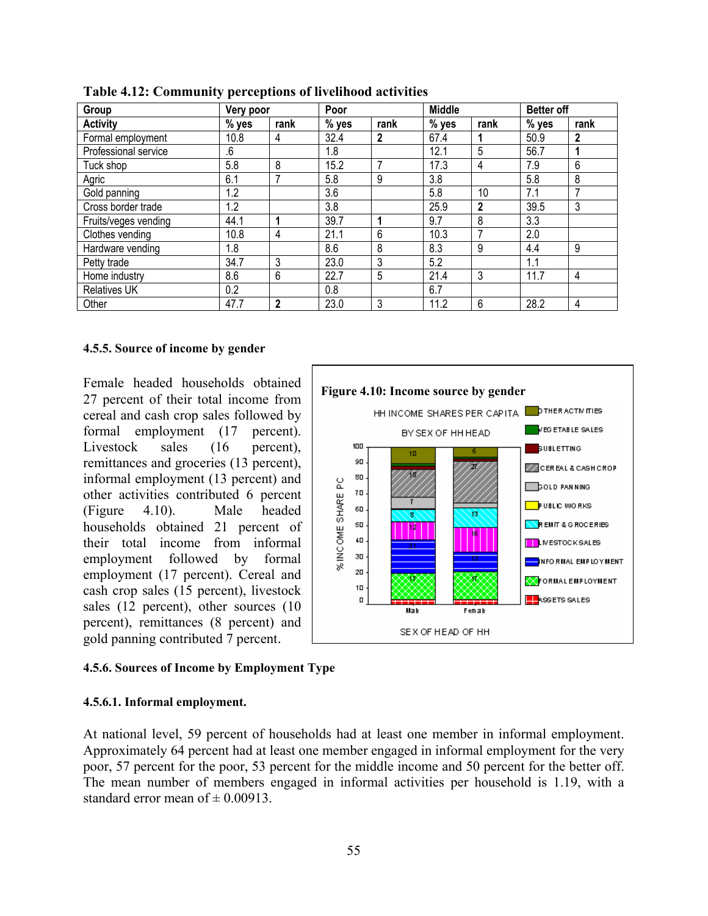| Group                | Very poor |              | Poor    |              | <b>Middle</b> |              | <b>Better off</b> |      |
|----------------------|-----------|--------------|---------|--------------|---------------|--------------|-------------------|------|
| <b>Activity</b>      | % yes     | rank         | $%$ yes | rank         | % yes         | rank         | % yes             | rank |
| Formal employment    | 10.8      | 4            | 32.4    | 2            | 67.4          |              | 50.9              | 2    |
| Professional service | .6        |              | 1.8     |              | 12.1          | 5            | 56.7              |      |
| Tuck shop            | 5.8       | 8            | 15.2    |              | 17.3          | 4            | 7.9               | 6    |
| Agric                | 6.1       |              | 5.8     | 9            | 3.8           |              | 5.8               | 8    |
| Gold panning         | 1.2       |              | 3.6     |              | 5.8           | 10           | 7.1               |      |
| Cross border trade   | 1.2       |              | 3.8     |              | 25.9          | $\mathbf{2}$ | 39.5              | 3    |
| Fruits/veges vending | 44.1      |              | 39.7    |              | 9.7           | 8            | 3.3               |      |
| Clothes vending      | 10.8      | 4            | 21.1    | 6            | 10.3          |              | 2.0               |      |
| Hardware vending     | 1.8       |              | 8.6     | 8            | 8.3           | 9            | 4.4               | 9    |
| Petty trade          | 34.7      | 3            | 23.0    | $\mathbf{3}$ | 5.2           |              | 1.1               |      |
| Home industry        | 8.6       | 6            | 22.7    | 5            | 21.4          | 3            | 11.7              | 4    |
| <b>Relatives UK</b>  | 0.2       |              | 0.8     |              | 6.7           |              |                   |      |
| Other                | 47.7      | $\mathbf{2}$ | 23.0    | 3            | 11.2          | 6            | 28.2              | 4    |

**Table 4.12: Community perceptions of livelihood activities** 

#### **4.5.5. Source of income by gender**

Female headed households obtained 27 percent of their total income from cereal and cash crop sales followed by formal employment (17 percent). Livestock sales (16 percent), remittances and groceries (13 percent), informal employment (13 percent) and other activities contributed 6 percent (Figure 4.10). Male headed households obtained 21 percent of their total income from informal employment followed by formal employment (17 percent). Cereal and cash crop sales (15 percent), livestock sales (12 percent), other sources (10 percent), remittances (8 percent) and gold panning contributed 7 percent.



#### **4.5.6.1. Informal employment.**

At national level, 59 percent of households had at least one member in informal employment. Approximately 64 percent had at least one member engaged in informal employment for the very poor, 57 percent for the poor, 53 percent for the middle income and 50 percent for the better off. The mean number of members engaged in informal activities per household is 1.19, with a standard error mean of  $\pm 0.00913$ .

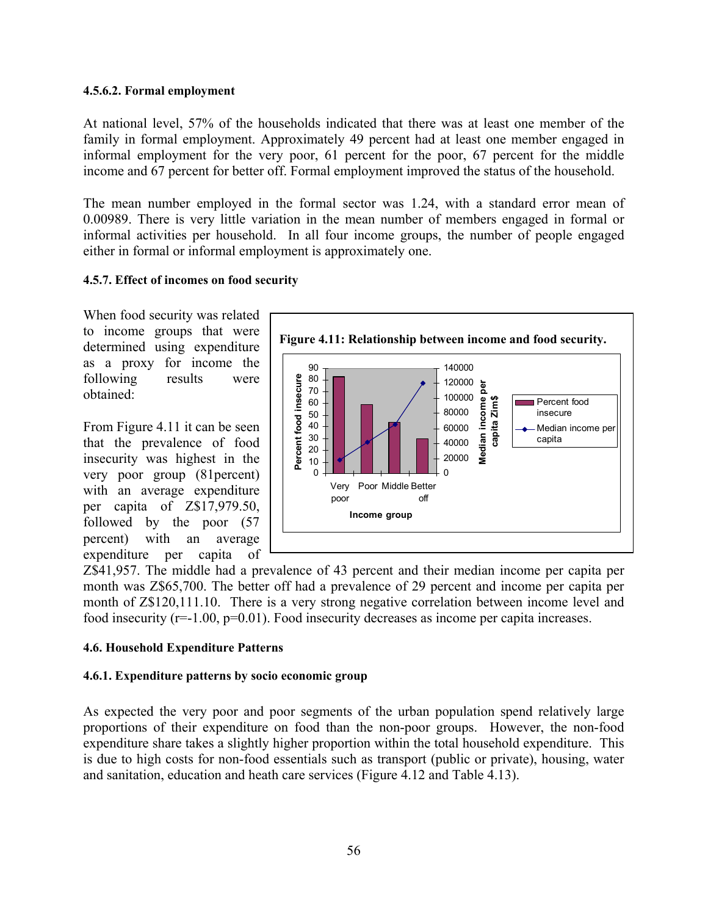#### **4.5.6.2. Formal employment**

At national level, 57% of the households indicated that there was at least one member of the family in formal employment. Approximately 49 percent had at least one member engaged in informal employment for the very poor, 61 percent for the poor, 67 percent for the middle income and 67 percent for better off. Formal employment improved the status of the household.

The mean number employed in the formal sector was 1.24, with a standard error mean of 0.00989. There is very little variation in the mean number of members engaged in formal or informal activities per household. In all four income groups, the number of people engaged either in formal or informal employment is approximately one.

### **4.5.7. Effect of incomes on food security**

When food security was related to income groups that were determined using expenditure as a proxy for income the following results were obtained:

From Figure 4.11 it can be seen that the prevalence of food insecurity was highest in the very poor group (81percent) with an average expenditure per capita of Z\$17,979.50, followed by the poor (57 percent) with an average expenditure per capita of



Z\$41,957. The middle had a prevalence of 43 percent and their median income per capita per month was Z\$65,700. The better off had a prevalence of 29 percent and income per capita per month of Z\$120,111.10. There is a very strong negative correlation between income level and food insecurity (r=-1.00, p=0.01). Food insecurity decreases as income per capita increases.

#### **4.6. Household Expenditure Patterns**

## **4.6.1. Expenditure patterns by socio economic group**

As expected the very poor and poor segments of the urban population spend relatively large proportions of their expenditure on food than the non-poor groups. However, the non-food expenditure share takes a slightly higher proportion within the total household expenditure. This is due to high costs for non-food essentials such as transport (public or private), housing, water and sanitation, education and heath care services (Figure 4.12 and Table 4.13).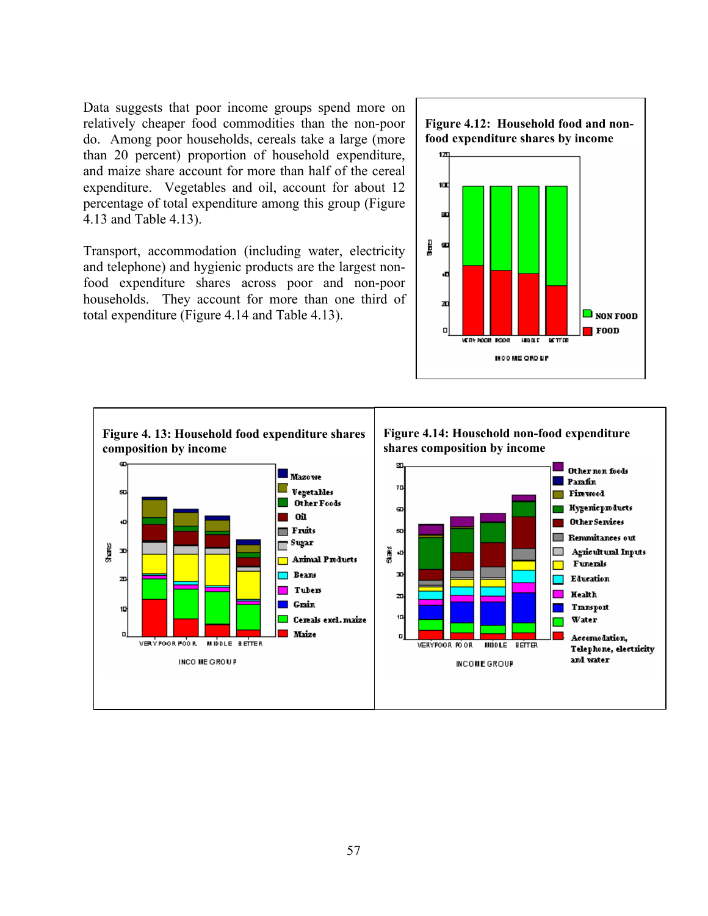Data suggests that poor income groups spend more on relatively cheaper food commodities than the non-poor do. Among poor households, cereals take a large (more than 20 percent) proportion of household expenditure, and maize share account for more than half of the cereal expenditure. Vegetables and oil, account for about 12 percentage of total expenditure among this group (Figure 4.13 and Table 4.13).

Transport, accommodation (including water, electricity and telephone) and hygienic products are the largest nonfood expenditure shares across poor and non-poor households. They account for more than one third of total expenditure (Figure 4.14 and Table 4.13).



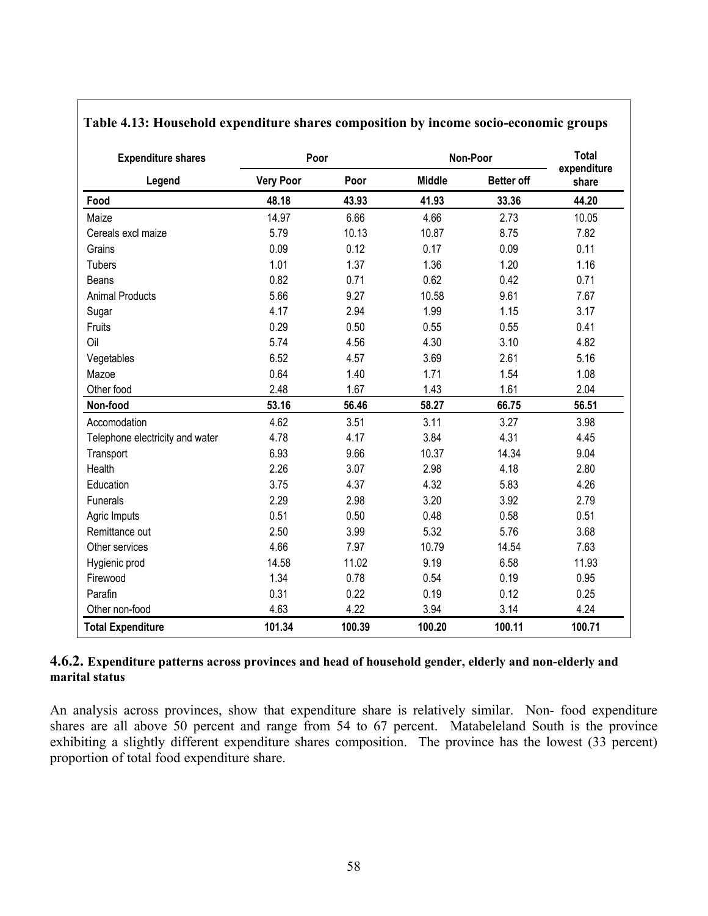| <b>Expenditure shares</b>       | Poor             |        |               | Non-Poor          | <b>Total</b>         |
|---------------------------------|------------------|--------|---------------|-------------------|----------------------|
| Legend                          | <b>Very Poor</b> | Poor   | <b>Middle</b> | <b>Better off</b> | expenditure<br>share |
| Food                            | 48.18            | 43.93  | 41.93         | 33.36             | 44.20                |
| Maize                           | 14.97            | 6.66   | 4.66          | 2.73              | 10.05                |
| Cereals excl maize              | 5.79             | 10.13  | 10.87         | 8.75              | 7.82                 |
| Grains                          | 0.09             | 0.12   | 0.17          | 0.09              | 0.11                 |
| <b>Tubers</b>                   | 1.01             | 1.37   | 1.36          | 1.20              | 1.16                 |
| Beans                           | 0.82             | 0.71   | 0.62          | 0.42              | 0.71                 |
| <b>Animal Products</b>          | 5.66             | 9.27   | 10.58         | 9.61              | 7.67                 |
| Sugar                           | 4.17             | 2.94   | 1.99          | 1.15              | 3.17                 |
| Fruits                          | 0.29             | 0.50   | 0.55          | 0.55              | 0.41                 |
| Oil                             | 5.74             | 4.56   | 4.30          | 3.10              | 4.82                 |
| Vegetables                      | 6.52             | 4.57   | 3.69          | 2.61              | 5.16                 |
| Mazoe                           | 0.64             | 1.40   | 1.71          | 1.54              | 1.08                 |
| Other food                      | 2.48             | 1.67   | 1.43          | 1.61              | 2.04                 |
| Non-food                        | 53.16            | 56.46  | 58.27         | 66.75             | 56.51                |
| Accomodation                    | 4.62             | 3.51   | 3.11          | 3.27              | 3.98                 |
| Telephone electricity and water | 4.78             | 4.17   | 3.84          | 4.31              | 4.45                 |
| Transport                       | 6.93             | 9.66   | 10.37         | 14.34             | 9.04                 |
| Health                          | 2.26             | 3.07   | 2.98          | 4.18              | 2.80                 |
| Education                       | 3.75             | 4.37   | 4.32          | 5.83              | 4.26                 |
| <b>Funerals</b>                 | 2.29             | 2.98   | 3.20          | 3.92              | 2.79                 |
| Agric Imputs                    | 0.51             | 0.50   | 0.48          | 0.58              | 0.51                 |
| Remittance out                  | 2.50             | 3.99   | 5.32          | 5.76              | 3.68                 |
| Other services                  | 4.66             | 7.97   | 10.79         | 14.54             | 7.63                 |
| Hygienic prod                   | 14.58            | 11.02  | 9.19          | 6.58              | 11.93                |
| Firewood                        | 1.34             | 0.78   | 0.54          | 0.19              | 0.95                 |
| Parafin                         | 0.31             | 0.22   | 0.19          | 0.12              | 0.25                 |
| Other non-food                  | 4.63             | 4.22   | 3.94          | 3.14              | 4.24                 |
| <b>Total Expenditure</b>        | 101.34           | 100.39 | 100.20        | 100.11            | 100.71               |

# **Table 4.13: Household expenditure shares composition by income socio-economic groups**

## **4.6.2. Expenditure patterns across provinces and head of household gender, elderly and non-elderly and marital status**

An analysis across provinces, show that expenditure share is relatively similar. Non- food expenditure shares are all above 50 percent and range from 54 to 67 percent. Matabeleland South is the province exhibiting a slightly different expenditure shares composition. The province has the lowest (33 percent) proportion of total food expenditure share.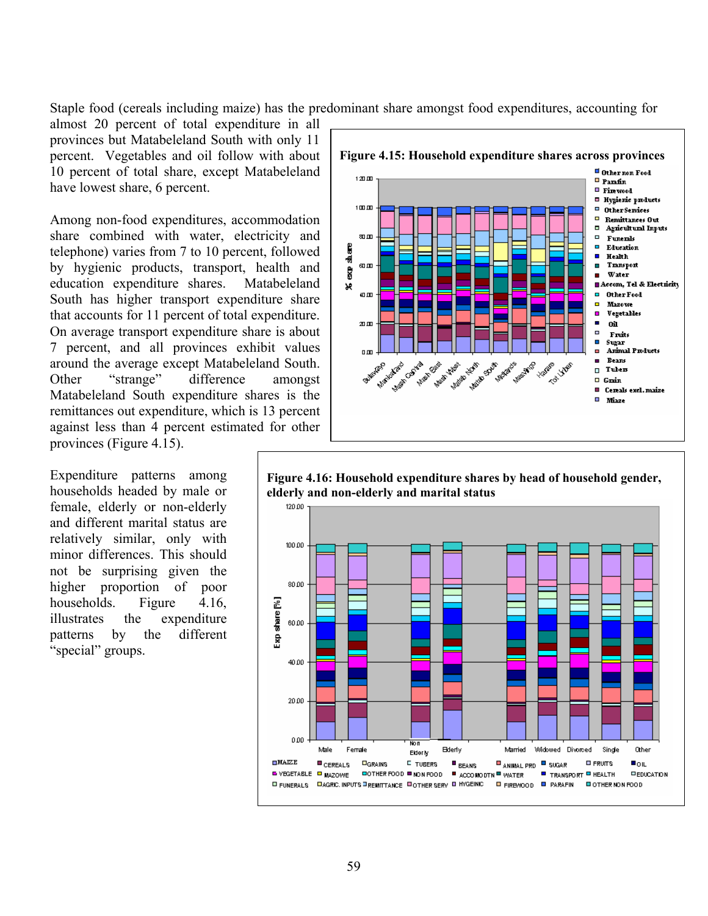Staple food (cereals including maize) has the predominant share amongst food expenditures, accounting for

almost 20 percent of total expenditure in all provinces but Matabeleland South with only 11 percent. Vegetables and oil follow with about 10 percent of total share, except Matabeleland have lowest share, 6 percent.

Among non-food expenditures, accommodation share combined with water, electricity and telephone) varies from 7 to 10 percent, followed by hygienic products, transport, health and education expenditure shares. Matabeleland South has higher transport expenditure share that accounts for 11 percent of total expenditure. On average transport expenditure share is about 7 percent, and all provinces exhibit values around the average except Matabeleland South. Other "strange" difference amongst Matabeleland South expenditure shares is the remittances out expenditure, which is 13 percent against less than 4 percent estimated for other provinces (Figure 4.15).

Expenditure patterns among households headed by male or female, elderly or non-elderly and different marital status are relatively similar, only with minor differences. This should not be surprising given the higher proportion of poor households. Figure 4.16, illustrates the expenditure patterns by the different "special" groups.





**elderly and non-elderly and marital status**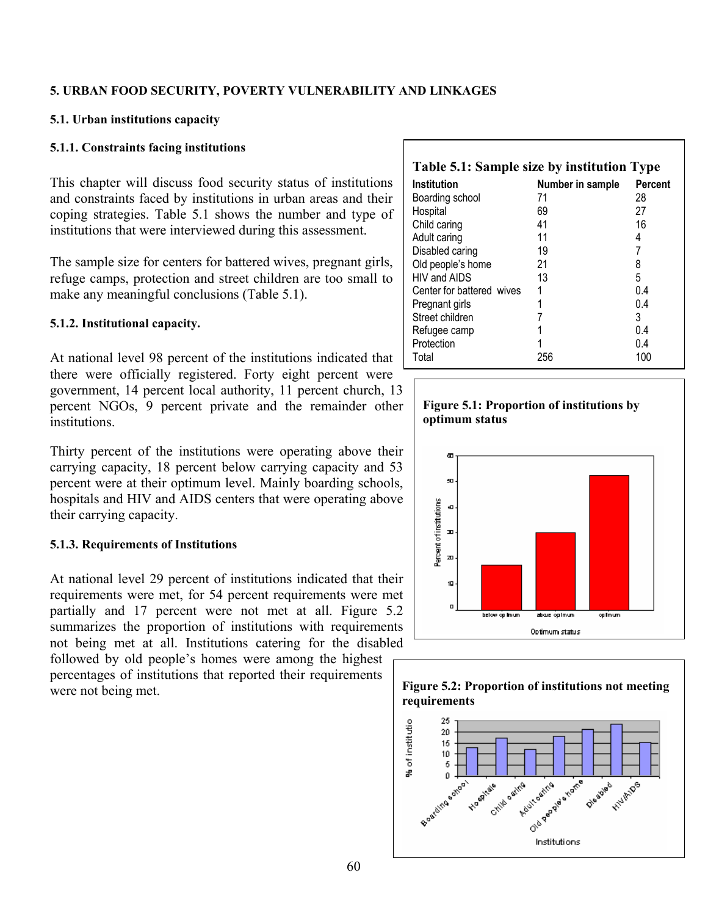#### **5. URBAN FOOD SECURITY, POVERTY VULNERABILITY AND LINKAGES**

#### **5.1. Urban institutions capacity**

#### **5.1.1. Constraints facing institutions**

This chapter will discuss food security status of institutions and constraints faced by institutions in urban areas and their coping strategies. Table 5.1 shows the number and type of institutions that were interviewed during this assessment.

The sample size for centers for battered wives, pregnant girls, refuge camps, protection and street children are too small to make any meaningful conclusions (Table 5.1).

### **5.1.2. Institutional capacity.**

At national level 98 percent of the institutions indicated that there were officially registered. Forty eight percent were government, 14 percent local authority, 11 percent church, 13 percent NGOs, 9 percent private and the remainder other institutions.

Thirty percent of the institutions were operating above their carrying capacity, 18 percent below carrying capacity and 53 percent were at their optimum level. Mainly boarding schools, hospitals and HIV and AIDS centers that were operating above their carrying capacity.

## **5.1.3. Requirements of Institutions**

At national level 29 percent of institutions indicated that their requirements were met, for 54 percent requirements were met partially and 17 percent were not met at all. Figure 5.2 summarizes the proportion of institutions with requirements not being met at all. Institutions catering for the disabled

followed by old people's homes were among the highest percentages of institutions that reported their requirements were not being met.

| Table 5.1: Sample size by institution Type |                  |                |  |  |  |  |  |
|--------------------------------------------|------------------|----------------|--|--|--|--|--|
| <b>Institution</b>                         | Number in sample | <b>Percent</b> |  |  |  |  |  |
| Boarding school                            | 71               | 28             |  |  |  |  |  |
| Hospital                                   | 69               | 27             |  |  |  |  |  |
| Child caring                               | 41               | 16             |  |  |  |  |  |
| Adult caring                               | 11               | 4              |  |  |  |  |  |
| Disabled caring                            | 19               |                |  |  |  |  |  |
| Old people's home                          | 21               | 8              |  |  |  |  |  |
| HIV and AIDS                               | 13               | 5              |  |  |  |  |  |
| Center for battered wives                  |                  | 0.4            |  |  |  |  |  |
| Pregnant girls                             |                  | 0.4            |  |  |  |  |  |
| Street children                            |                  | 3              |  |  |  |  |  |
| Refugee camp                               |                  | 0.4            |  |  |  |  |  |
| Protection                                 |                  | 0.4            |  |  |  |  |  |
| Total                                      | 256              | 100            |  |  |  |  |  |

### **Figure 5.1: Proportion of institutions by optimum status**



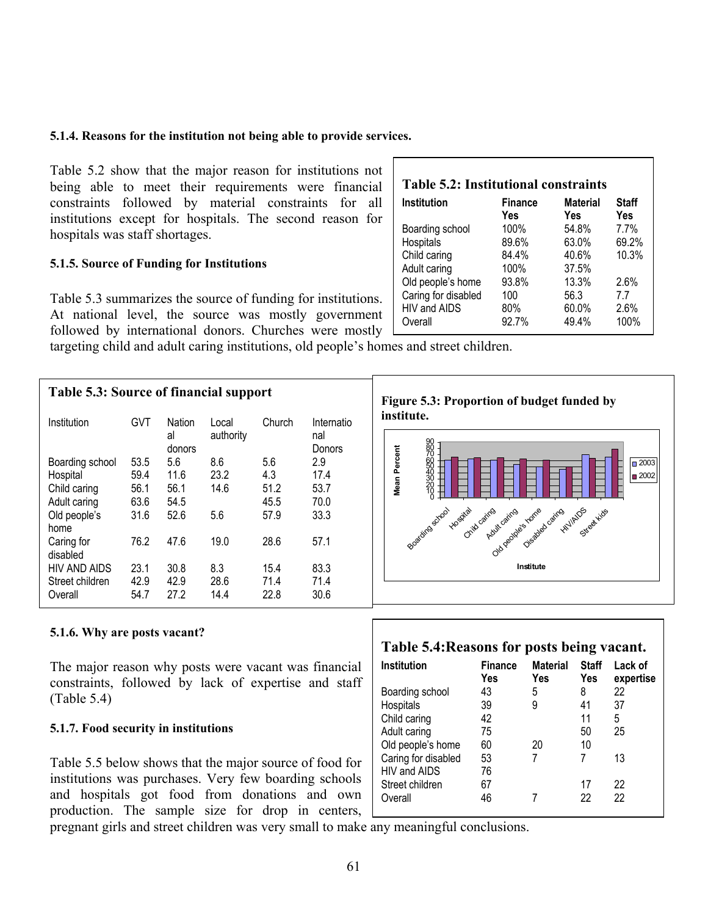#### **5.1.4. Reasons for the institution not being able to provide services.**

Table 5.2 show that the major reason for institutions not being able to meet their requirements were financial constraints followed by material constraints for all institutions except for hospitals. The second reason for hospitals was staff shortages.

#### **5.1.5. Source of Funding for Institutions**

Table 5.3 summarizes the source of funding for institutions. At national level, the source was mostly government followed by international donors. Churches were mostly

| <b>Institution</b>  | <b>Finance</b> | <b>Material</b> | <b>Staff</b> |
|---------------------|----------------|-----------------|--------------|
|                     | Yes            | Yes             | <b>Yes</b>   |
| Boarding school     | 100%           | 54.8%           | 7.7%         |
| Hospitals           | 89.6%          | 63.0%           | 69.2%        |
| Child caring        | 84.4%          | 40.6%           | 10.3%        |
| Adult caring        | 100%           | 37.5%           |              |
| Old people's home   | 93.8%          | 13.3%           | 2.6%         |
| Caring for disabled | 100            | 56.3            | 7.7          |
| HIV and AIDS        | 80%            | 60.0%           | 2.6%         |
| Overall             | 92.7%          | 49.4%           | 100%         |

targeting child and adult caring institutions, old people's homes and street children.

| Table 5.3: Source of financial support |              |                        |                    |              |                             |  |
|----------------------------------------|--------------|------------------------|--------------------|--------------|-----------------------------|--|
| Institution                            | GVT          | Nation<br>al<br>donors | Local<br>authority | Church       | Internatio<br>nal<br>Donors |  |
| Boarding school<br>Hospital            | 53.5<br>59.4 | 5.6<br>11.6            | 8.6<br>23.2        | 5.6<br>4.3   | 2.9<br>17.4                 |  |
| Child caring<br>Adult caring           | 56.1<br>63.6 | 56.1<br>54.5           | 14.6               | 51.2<br>45.5 | 53.7<br>70.0                |  |
| Old people's<br>home                   | 31.6         | 52.6                   | 5.6                | 57.9         | 33.3                        |  |
| Caring for<br>disabled                 | 76.2         | 47.6                   | 19.0               | 28.6         | 57.1                        |  |
| HIV AND AIDS<br>Street children        | 23.1<br>42.9 | 30.8<br>42.9           | 8.3<br>28.6        | 15.4<br>71.4 | 83.3<br>71.4                |  |
| Overall                                | 54.7         | 27.2                   | 14.4               | 22.8         | 30.6                        |  |



#### **5.1.6. Why are posts vacant?**

The major reason why posts were vacant was financial constraints, followed by lack of expertise and staff (Table 5.4)

### **5.1.7. Food security in institutions**

Table 5.5 below shows that the major source of food for institutions was purchases. Very few boarding schools and hospitals got food from donations and own production. The sample size for drop in centers,

# **Table 5.4:Reasons for posts being vacant.**

| <b>Institution</b>  | <b>Finance</b><br>Yes | <b>Material</b><br>Yes | <b>Staff</b><br>Yes | Lack of<br>expertise |
|---------------------|-----------------------|------------------------|---------------------|----------------------|
| Boarding school     | 43                    | 5                      | 8                   | 22                   |
| Hospitals           | 39                    | 9                      | 41                  | 37                   |
| Child caring        | 42                    |                        | 11                  | 5                    |
| Adult caring        | 75                    |                        | 50                  | 25                   |
| Old people's home   | 60                    | 20                     | 10                  |                      |
| Caring for disabled | 53                    | 7                      | 7                   | 13                   |
| HIV and AIDS        | 76                    |                        |                     |                      |
| Street children     | 67                    |                        | 17                  | 22                   |
| Overall             | 46                    |                        | 22                  | 22                   |
|                     |                       |                        |                     |                      |

pregnant girls and street children was very small to make any meaningful conclusions.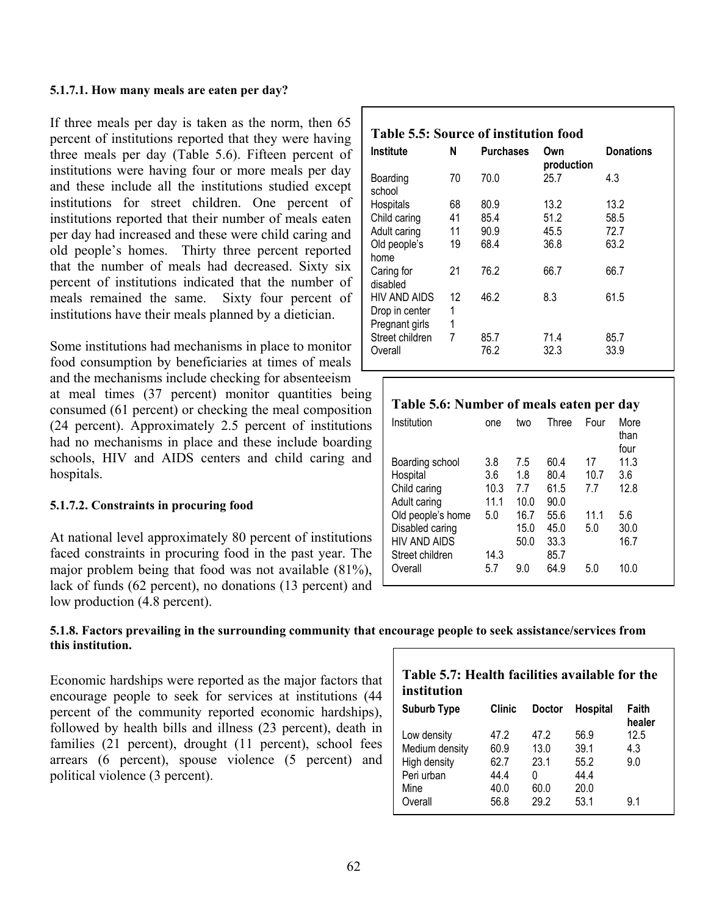#### **5.1.7.1. How many meals are eaten per day?**

If three meals per day is taken as the norm, then 65 percent of institutions reported that they were having three meals per day (Table 5.6). Fifteen percent of institutions were having four or more meals per day and these include all the institutions studied except institutions for street children. One percent of institutions reported that their number of meals eaten per day had increased and these were child caring and old people's homes. Thirty three percent reported that the number of meals had decreased. Sixty six percent of institutions indicated that the number of meals remained the same. Sixty four percent of institutions have their meals planned by a dietician.

Some institutions had mechanisms in place to monitor food consumption by beneficiaries at times of meals and the mechanisms include checking for absenteeism

at meal times (37 percent) monitor quantities being consumed (61 percent) or checking the meal composition (24 percent). Approximately 2.5 percent of institutions had no mechanisms in place and these include boarding schools, HIV and AIDS centers and child caring and hospitals.

## **5.1.7.2. Constraints in procuring food**

At national level approximately 80 percent of institutions faced constraints in procuring food in the past year. The major problem being that food was not available (81%), lack of funds (62 percent), no donations (13 percent) and low production (4.8 percent).

| <b>Table 5.5: Source of institution food</b>     |              |                  |                   |                  |
|--------------------------------------------------|--------------|------------------|-------------------|------------------|
| Institute                                        | N            | <b>Purchases</b> | Own<br>production | <b>Donations</b> |
| Boarding<br>school                               | 70           | 70.0             | 25.7              | 4.3              |
| Hospitals                                        | 68           | 80.9             | 13.2 <sub>2</sub> | 13.2             |
| Child caring                                     | 41           | 85.4             | 51.2              | 58.5             |
| Adult caring                                     | 11           | 90.9             | 45.5              | 72.7             |
| Old people's<br>home                             | 19           | 68.4             | 36.8              | 63.2             |
| Caring for<br>disabled                           | 21           | 76.2             | 66.7              | 66.7             |
| HIV AND AIDS<br>Drop in center<br>Pregnant girls | 12<br>1<br>1 | 46.2             | 8.3               | 61.5             |
| Street children<br>Overall                       | 7            | 85.7<br>76.2     | 71.4<br>32.3      | 85.7<br>33.9     |

## **Table 5.6: Number of meals eaten per day**

| Institution       | one  | two  | Three | Four | More<br>than<br>four |
|-------------------|------|------|-------|------|----------------------|
| Boarding school   | 3.8  | 7.5  | 60.4  | 17   | 11.3                 |
| Hospital          | 3.6  | 1.8  | 80.4  | 10.7 | 3.6                  |
| Child caring      | 10.3 | 77   | 61.5  | 77   | 12.8                 |
| Adult caring      | 11.1 | 10.0 | 90.0  |      |                      |
| Old people's home | 5.0  | 16.7 | 55.6  | 11.1 | 5.6                  |
| Disabled caring   |      | 15.0 | 45.0  | 5.0  | 30.0                 |
| HIV AND AIDS      |      | 50.0 | 33.3  |      | 16.7                 |
| Street children   | 14.3 |      | 85.7  |      |                      |
| Overall           | 5.7  | 9.0  | 64.9  | 5.0  | 10.0                 |
|                   |      |      |       |      |                      |

#### **5.1.8. Factors prevailing in the surrounding community that encourage people to seek assistance/services from this institution.**

Economic hardships were reported as the major factors that encourage people to seek for services at institutions (44 percent of the community reported economic hardships), followed by health bills and illness (23 percent), death in families (21 percent), drought (11 percent), school fees arrears (6 percent), spouse violence (5 percent) and political violence (3 percent).

| Table 5.7: Health facilities available for the |  |  |  |
|------------------------------------------------|--|--|--|
| institution                                    |  |  |  |

| <b>Suburb Type</b> | Clinic | <b>Doctor</b> | <b>Hospital</b> | Faith<br>healer |
|--------------------|--------|---------------|-----------------|-----------------|
| Low density        | 47.2   | 47.2          | 56.9            | 12.5            |
| Medium density     | 60.9   | 13.0          | 39.1            | 4.3             |
| High density       | 62.7   | 23.1          | 55.2            | 9.0             |
| Peri urban         | 44.4   | 0             | 44.4            |                 |
| Mine               | 40.0   | 60.0          | 20.0            |                 |
| Overall            | 56.8   | 29.2          | 53.1            | 91              |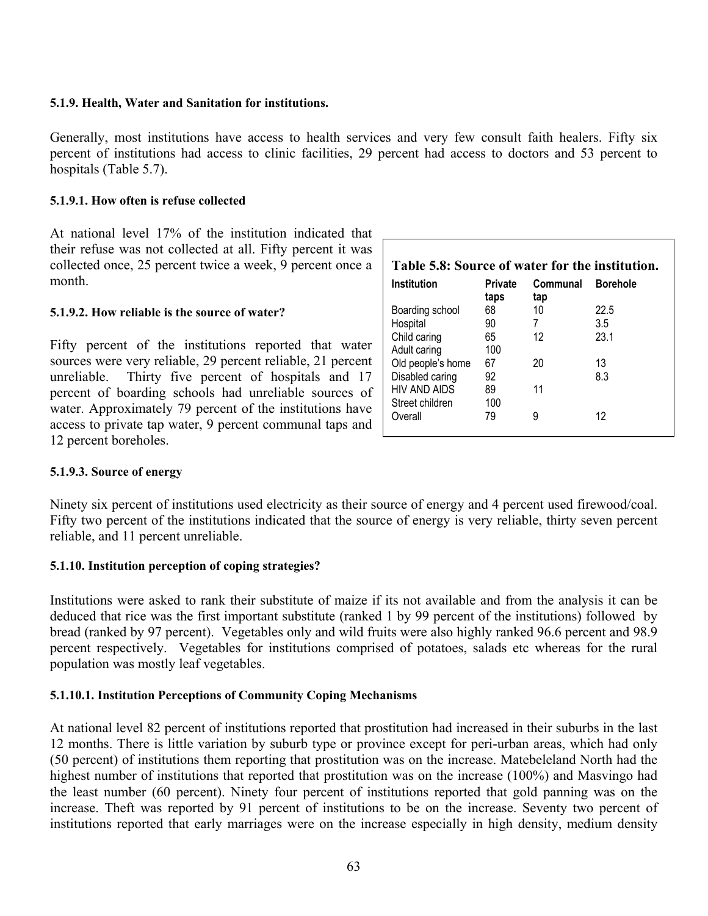### **5.1.9. Health, Water and Sanitation for institutions.**

Generally, most institutions have access to health services and very few consult faith healers. Fifty six percent of institutions had access to clinic facilities, 29 percent had access to doctors and 53 percent to hospitals (Table 5.7).

### **5.1.9.1. How often is refuse collected**

At national level 17% of the institution indicated that their refuse was not collected at all. Fifty percent it was collected once, 25 percent twice a week, 9 percent once a month.

### **5.1.9.2. How reliable is the source of water?**

Fifty percent of the institutions reported that water sources were very reliable, 29 percent reliable, 21 percent unreliable. Thirty five percent of hospitals and 17 percent of boarding schools had unreliable sources of water. Approximately 79 percent of the institutions have access to private tap water, 9 percent communal taps and 12 percent boreholes.

| Institution       | <b>Private</b> | Communal | <b>Borehole</b> |  |
|-------------------|----------------|----------|-----------------|--|
|                   | taps           | tap      |                 |  |
| Boarding school   | 68             | 10       | 22.5            |  |
| Hospital          | 90             | 7        | 3.5             |  |
| Child caring      | 65             | 12       | 23.1            |  |
| Adult caring      | 100            |          |                 |  |
| Old people's home | 67             | 20       | 13              |  |
| Disabled caring   | 92             |          | 8.3             |  |
| HIV AND AIDS      | 89             | 11       |                 |  |
| Street children   | 100            |          |                 |  |
| Overall           | 79             | g        | 12              |  |

#### **5.1.9.3. Source of energy**

Ninety six percent of institutions used electricity as their source of energy and 4 percent used firewood/coal. Fifty two percent of the institutions indicated that the source of energy is very reliable, thirty seven percent reliable, and 11 percent unreliable.

#### **5.1.10. Institution perception of coping strategies?**

Institutions were asked to rank their substitute of maize if its not available and from the analysis it can be deduced that rice was the first important substitute (ranked 1 by 99 percent of the institutions) followed by bread (ranked by 97 percent). Vegetables only and wild fruits were also highly ranked 96.6 percent and 98.9 percent respectively. Vegetables for institutions comprised of potatoes, salads etc whereas for the rural population was mostly leaf vegetables.

## **5.1.10.1. Institution Perceptions of Community Coping Mechanisms**

At national level 82 percent of institutions reported that prostitution had increased in their suburbs in the last 12 months. There is little variation by suburb type or province except for peri-urban areas, which had only (50 percent) of institutions them reporting that prostitution was on the increase. Matebeleland North had the highest number of institutions that reported that prostitution was on the increase (100%) and Masvingo had the least number (60 percent). Ninety four percent of institutions reported that gold panning was on the increase. Theft was reported by 91 percent of institutions to be on the increase. Seventy two percent of institutions reported that early marriages were on the increase especially in high density, medium density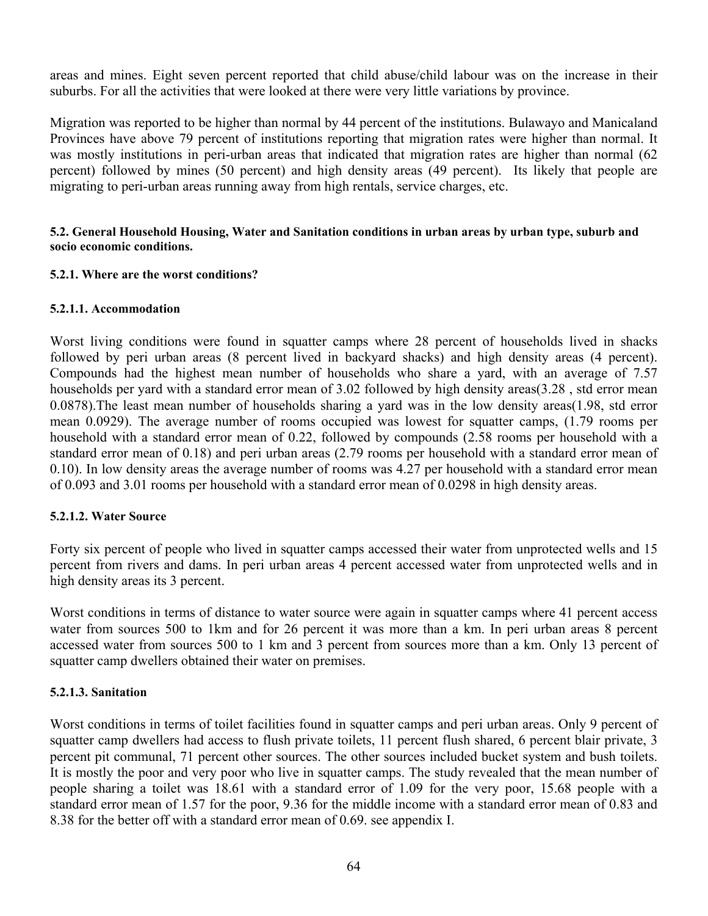areas and mines. Eight seven percent reported that child abuse/child labour was on the increase in their suburbs. For all the activities that were looked at there were very little variations by province.

Migration was reported to be higher than normal by 44 percent of the institutions. Bulawayo and Manicaland Provinces have above 79 percent of institutions reporting that migration rates were higher than normal. It was mostly institutions in peri-urban areas that indicated that migration rates are higher than normal (62 percent) followed by mines (50 percent) and high density areas (49 percent). Its likely that people are migrating to peri-urban areas running away from high rentals, service charges, etc.

### **5.2. General Household Housing, Water and Sanitation conditions in urban areas by urban type, suburb and socio economic conditions.**

## **5.2.1. Where are the worst conditions?**

### **5.2.1.1. Accommodation**

Worst living conditions were found in squatter camps where 28 percent of households lived in shacks followed by peri urban areas (8 percent lived in backyard shacks) and high density areas (4 percent). Compounds had the highest mean number of households who share a yard, with an average of 7.57 households per yard with a standard error mean of 3.02 followed by high density areas(3.28 , std error mean 0.0878).The least mean number of households sharing a yard was in the low density areas(1.98, std error mean 0.0929). The average number of rooms occupied was lowest for squatter camps, (1.79 rooms per household with a standard error mean of 0.22, followed by compounds (2.58 rooms per household with a standard error mean of 0.18) and peri urban areas (2.79 rooms per household with a standard error mean of 0.10). In low density areas the average number of rooms was 4.27 per household with a standard error mean of 0.093 and 3.01 rooms per household with a standard error mean of 0.0298 in high density areas.

## **5.2.1.2. Water Source**

Forty six percent of people who lived in squatter camps accessed their water from unprotected wells and 15 percent from rivers and dams. In peri urban areas 4 percent accessed water from unprotected wells and in high density areas its 3 percent.

Worst conditions in terms of distance to water source were again in squatter camps where 41 percent access water from sources 500 to 1km and for 26 percent it was more than a km. In peri urban areas 8 percent accessed water from sources 500 to 1 km and 3 percent from sources more than a km. Only 13 percent of squatter camp dwellers obtained their water on premises.

## **5.2.1.3. Sanitation**

Worst conditions in terms of toilet facilities found in squatter camps and peri urban areas. Only 9 percent of squatter camp dwellers had access to flush private toilets, 11 percent flush shared, 6 percent blair private, 3 percent pit communal, 71 percent other sources. The other sources included bucket system and bush toilets. It is mostly the poor and very poor who live in squatter camps. The study revealed that the mean number of people sharing a toilet was 18.61 with a standard error of 1.09 for the very poor, 15.68 people with a standard error mean of 1.57 for the poor, 9.36 for the middle income with a standard error mean of 0.83 and 8.38 for the better off with a standard error mean of 0.69. see appendix I.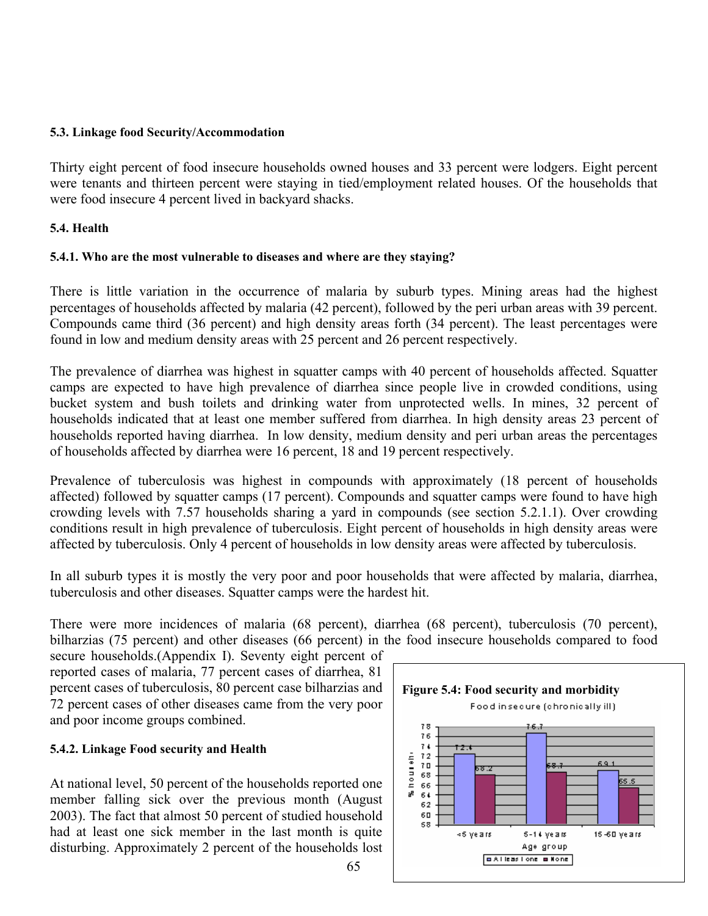## **5.3. Linkage food Security/Accommodation**

Thirty eight percent of food insecure households owned houses and 33 percent were lodgers. Eight percent were tenants and thirteen percent were staying in tied/employment related houses. Of the households that were food insecure 4 percent lived in backyard shacks.

## **5.4. Health**

# **5.4.1. Who are the most vulnerable to diseases and where are they staying?**

There is little variation in the occurrence of malaria by suburb types. Mining areas had the highest percentages of households affected by malaria (42 percent), followed by the peri urban areas with 39 percent. Compounds came third (36 percent) and high density areas forth (34 percent). The least percentages were found in low and medium density areas with 25 percent and 26 percent respectively.

The prevalence of diarrhea was highest in squatter camps with 40 percent of households affected. Squatter camps are expected to have high prevalence of diarrhea since people live in crowded conditions, using bucket system and bush toilets and drinking water from unprotected wells. In mines, 32 percent of households indicated that at least one member suffered from diarrhea. In high density areas 23 percent of households reported having diarrhea. In low density, medium density and peri urban areas the percentages of households affected by diarrhea were 16 percent, 18 and 19 percent respectively.

Prevalence of tuberculosis was highest in compounds with approximately (18 percent of households affected) followed by squatter camps (17 percent). Compounds and squatter camps were found to have high crowding levels with 7.57 households sharing a yard in compounds (see section 5.2.1.1). Over crowding conditions result in high prevalence of tuberculosis. Eight percent of households in high density areas were affected by tuberculosis. Only 4 percent of households in low density areas were affected by tuberculosis.

In all suburb types it is mostly the very poor and poor households that were affected by malaria, diarrhea, tuberculosis and other diseases. Squatter camps were the hardest hit.

There were more incidences of malaria (68 percent), diarrhea (68 percent), tuberculosis (70 percent), bilharzias (75 percent) and other diseases (66 percent) in the food insecure households compared to food

secure households.(Appendix I). Seventy eight percent of reported cases of malaria, 77 percent cases of diarrhea, 81 percent cases of tuberculosis, 80 percent case bilharzias and 72 percent cases of other diseases came from the very poor and poor income groups combined.

# **5.4.2. Linkage Food security and Health**

At national level, 50 percent of the households reported one member falling sick over the previous month (August 2003). The fact that almost 50 percent of studied household had at least one sick member in the last month is quite disturbing. Approximately 2 percent of the households lost

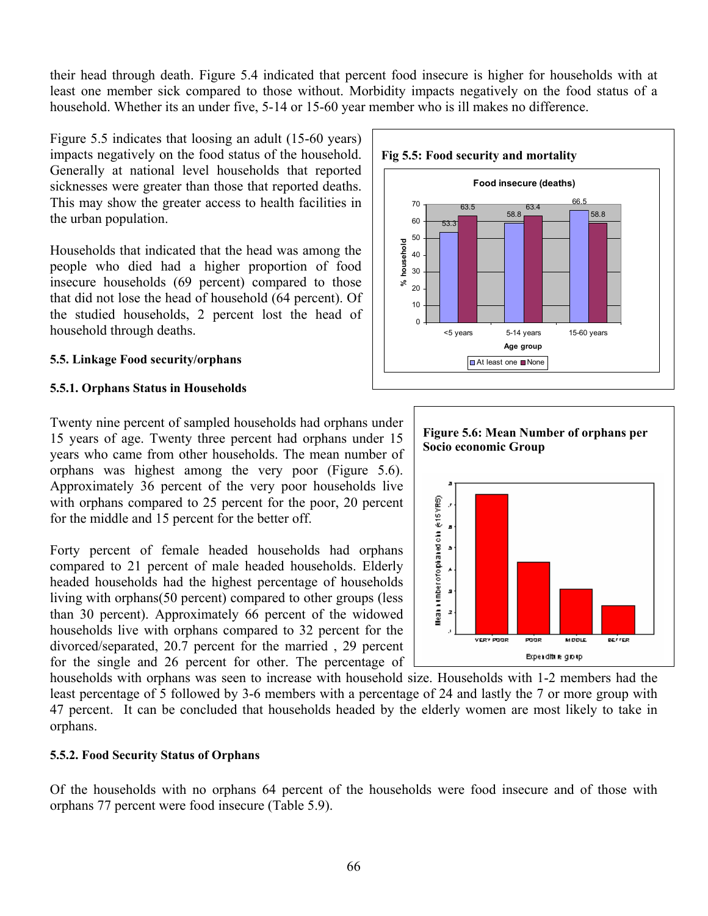their head through death. Figure 5.4 indicated that percent food insecure is higher for households with at least one member sick compared to those without. Morbidity impacts negatively on the food status of a household. Whether its an under five, 5-14 or 15-60 year member who is ill makes no difference.

Figure 5.5 indicates that loosing an adult (15-60 years) impacts negatively on the food status of the household. Generally at national level households that reported sicknesses were greater than those that reported deaths. This may show the greater access to health facilities in the urban population.

Households that indicated that the head was among the people who died had a higher proportion of food insecure households (69 percent) compared to those that did not lose the head of household (64 percent). Of the studied households, 2 percent lost the head of household through deaths.

## **5.5. Linkage Food security/orphans**

## **5.5.1. Orphans Status in Households**

Twenty nine percent of sampled households had orphans under 15 years of age. Twenty three percent had orphans under 15 years who came from other households. The mean number of orphans was highest among the very poor (Figure 5.6). Approximately 36 percent of the very poor households live with orphans compared to 25 percent for the poor, 20 percent for the middle and 15 percent for the better off.

Forty percent of female headed households had orphans compared to 21 percent of male headed households. Elderly headed households had the highest percentage of households living with orphans(50 percent) compared to other groups (less than 30 percent). Approximately 66 percent of the widowed households live with orphans compared to 32 percent for the divorced/separated, 20.7 percent for the married , 29 percent for the single and 26 percent for other. The percentage of

households with orphans was seen to increase with household size. Households with 1-2 members had the least percentage of 5 followed by 3-6 members with a percentage of 24 and lastly the 7 or more group with 47 percent. It can be concluded that households headed by the elderly women are most likely to take in orphans.

## **5.5.2. Food Security Status of Orphans**

Of the households with no orphans 64 percent of the households were food insecure and of those with orphans 77 percent were food insecure (Table 5.9).



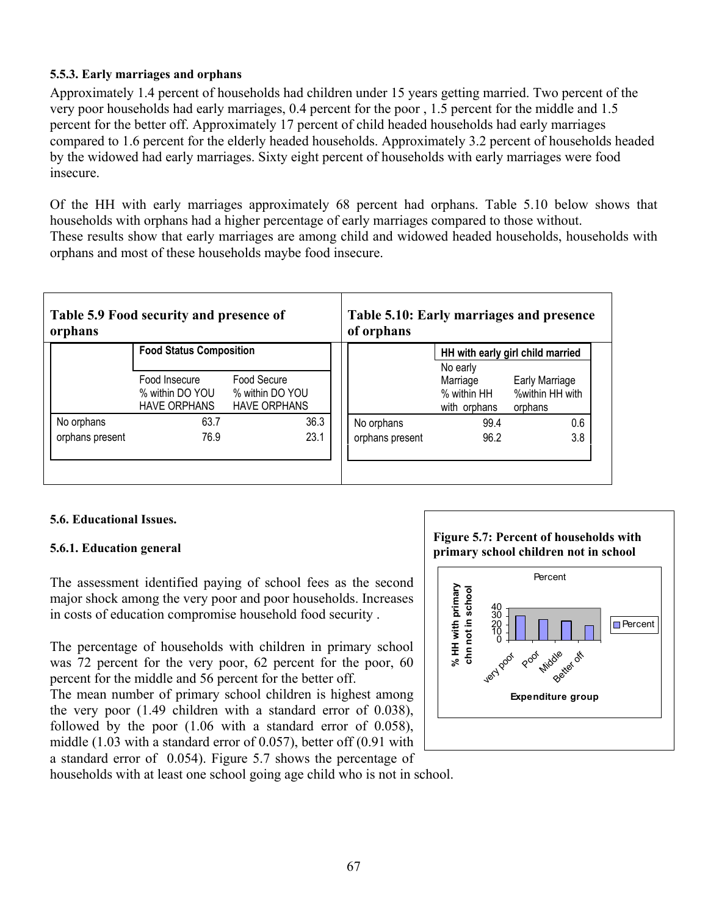# **5.5.3. Early marriages and orphans**

Approximately 1.4 percent of households had children under 15 years getting married. Two percent of the very poor households had early marriages, 0.4 percent for the poor , 1.5 percent for the middle and 1.5 percent for the better off. Approximately 17 percent of child headed households had early marriages compared to 1.6 percent for the elderly headed households. Approximately 3.2 percent of households headed by the widowed had early marriages. Sixty eight percent of households with early marriages were food insecure.

Of the HH with early marriages approximately 68 percent had orphans. Table 5.10 below shows that households with orphans had a higher percentage of early marriages compared to those without. These results show that early marriages are among child and widowed headed households, households with orphans and most of these households maybe food insecure.

| Table 5.9 Food security and presence of<br>orphans |                                                         |                                                       | Table 5.10: Early marriages and presence<br>of orphans |                                                     |                                              |  |
|----------------------------------------------------|---------------------------------------------------------|-------------------------------------------------------|--------------------------------------------------------|-----------------------------------------------------|----------------------------------------------|--|
| <b>Food Status Composition</b>                     |                                                         |                                                       | HH with early girl child married                       |                                                     |                                              |  |
|                                                    | Food Insecure<br>% within DO YOU<br><b>HAVE ORPHANS</b> | Food Secure<br>% within DO YOU<br><b>HAVE ORPHANS</b> |                                                        | No early<br>Marriage<br>% within HH<br>with orphans | Early Marriage<br>%within HH with<br>orphans |  |
| No orphans                                         | 63.7                                                    | 36.3                                                  | No orphans                                             | 99.4                                                | 0.6                                          |  |
| orphans present                                    | 76.9                                                    | 23.1                                                  | orphans present                                        | 96.2                                                | 3.8                                          |  |

## **5.6. Educational Issues.**

## **5.6.1. Education general**

The assessment identified paying of school fees as the second major shock among the very poor and poor households. Increases in costs of education compromise household food security .

The percentage of households with children in primary school was 72 percent for the very poor, 62 percent for the poor, 60 percent for the middle and 56 percent for the better off.

The mean number of primary school children is highest among the very poor (1.49 children with a standard error of 0.038), followed by the poor (1.06 with a standard error of 0.058), middle (1.03 with a standard error of 0.057), better off (0.91 with a standard error of 0.054). Figure 5.7 shows the percentage of





households with at least one school going age child who is not in school.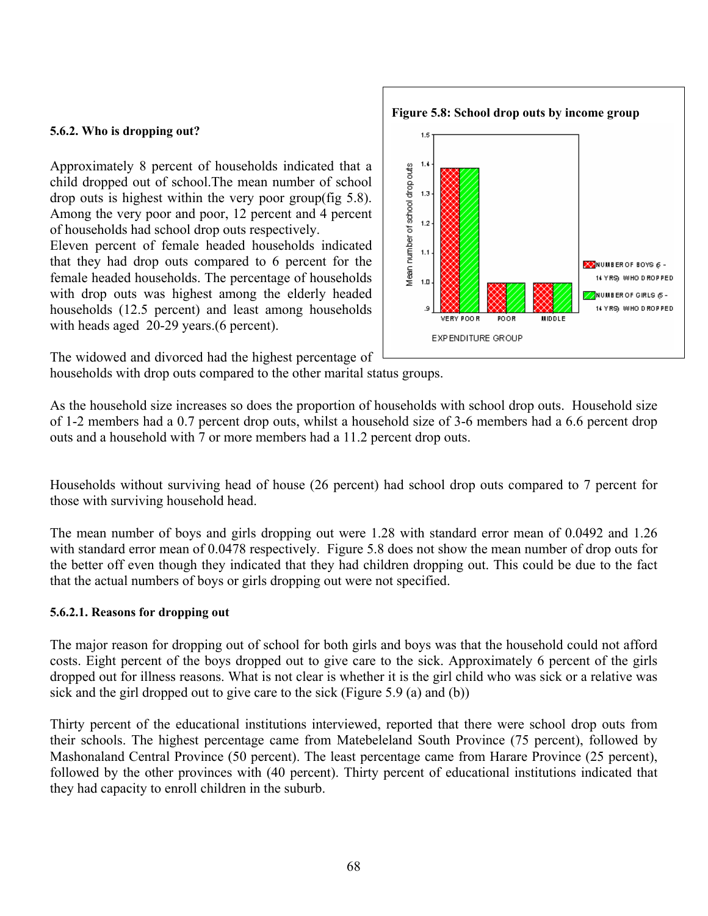### **5.6.2. Who is dropping out?**

Approximately 8 percent of households indicated that a child dropped out of school.The mean number of school drop outs is highest within the very poor group(fig 5.8). Among the very poor and poor, 12 percent and 4 percent of households had school drop outs respectively.

Eleven percent of female headed households indicated that they had drop outs compared to 6 percent for the female headed households. The percentage of households with drop outs was highest among the elderly headed households (12.5 percent) and least among households with heads aged 20-29 years.(6 percent).

 $1.1$  $1.0$ **UIDDLE** VERY POOR POOR EXPENDITURE GROUP

The widowed and divorced had the highest percentage of

households with drop outs compared to the other marital status groups.

As the household size increases so does the proportion of households with school drop outs. Household size of 1-2 members had a 0.7 percent drop outs, whilst a household size of 3-6 members had a 6.6 percent drop outs and a household with 7 or more members had a 11.2 percent drop outs.

Households without surviving head of house (26 percent) had school drop outs compared to 7 percent for those with surviving household head.

The mean number of boys and girls dropping out were 1.28 with standard error mean of 0.0492 and 1.26 with standard error mean of 0.0478 respectively. Figure 5.8 does not show the mean number of drop outs for the better off even though they indicated that they had children dropping out. This could be due to the fact that the actual numbers of boys or girls dropping out were not specified.

#### **5.6.2.1. Reasons for dropping out**

The major reason for dropping out of school for both girls and boys was that the household could not afford costs. Eight percent of the boys dropped out to give care to the sick. Approximately 6 percent of the girls dropped out for illness reasons. What is not clear is whether it is the girl child who was sick or a relative was sick and the girl dropped out to give care to the sick (Figure 5.9 (a) and (b))

Thirty percent of the educational institutions interviewed, reported that there were school drop outs from their schools. The highest percentage came from Matebeleland South Province (75 percent), followed by Mashonaland Central Province (50 percent). The least percentage came from Harare Province (25 percent), followed by the other provinces with (40 percent). Thirty percent of educational institutions indicated that they had capacity to enroll children in the suburb.

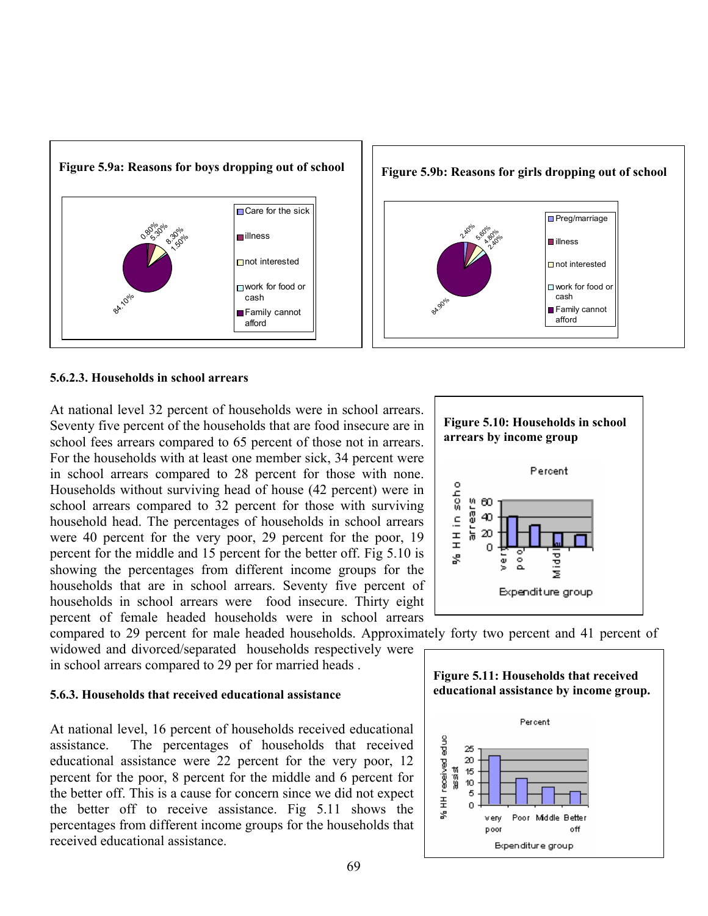



### **5.6.2.3. Households in school arrears**

At national level 32 percent of households were in school arrears. Seventy five percent of the households that are food insecure are in school fees arrears compared to 65 percent of those not in arrears. For the households with at least one member sick, 34 percent were in school arrears compared to 28 percent for those with none. Households without surviving head of house (42 percent) were in school arrears compared to 32 percent for those with surviving household head. The percentages of households in school arrears were 40 percent for the very poor, 29 percent for the poor, 19 percent for the middle and 15 percent for the better off. Fig 5.10 is showing the percentages from different income groups for the households that are in school arrears. Seventy five percent of households in school arrears were food insecure. Thirty eight percent of female headed households were in school arrears

compared to 29 percent for male headed households. Approximately forty two percent and 41 percent of

widowed and divorced/separated households respectively were in school arrears compared to 29 per for married heads .

#### **5.6.3. Households that received educational assistance**

At national level, 16 percent of households received educational assistance. The percentages of households that received educational assistance were 22 percent for the very poor, 12 percent for the poor, 8 percent for the middle and 6 percent for the better off. This is a cause for concern since we did not expect the better off to receive assistance. Fig 5.11 shows the percentages from different income groups for the households that received educational assistance.



**Figure 5.11: Households that received educational assistance by income group.** 

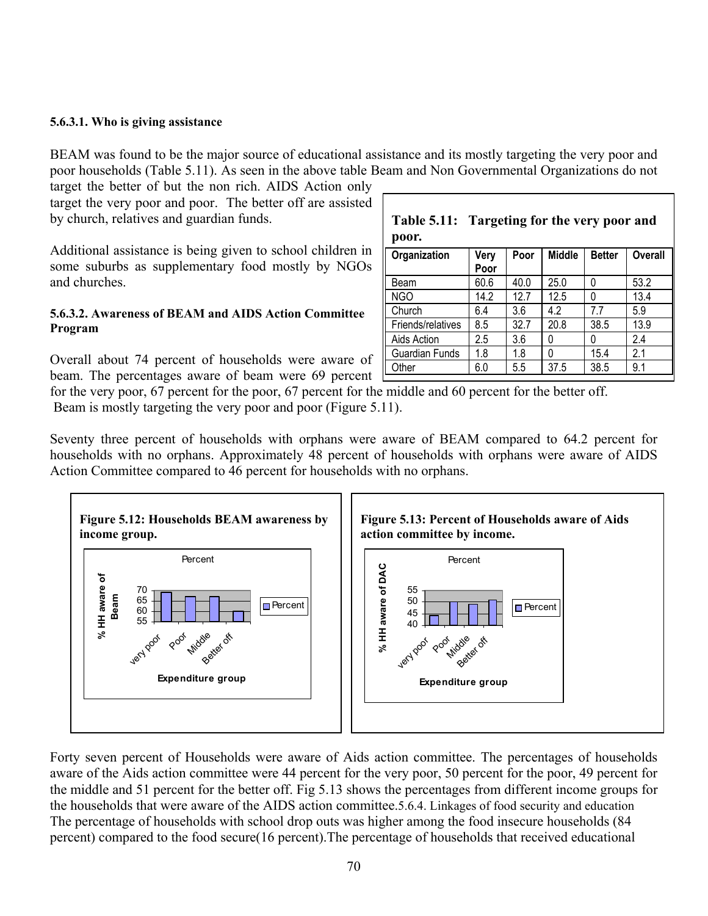#### **5.6.3.1. Who is giving assistance**

BEAM was found to be the major source of educational assistance and its mostly targeting the very poor and poor households (Table 5.11). As seen in the above table Beam and Non Governmental Organizations do not

target the better of but the non rich. AIDS Action only target the very poor and poor. The better off are assisted by church, relatives and guardian funds.

Additional assistance is being given to school children in some suburbs as supplementary food mostly by NGOs and churches.

## **5.6.3.2. Awareness of BEAM and AIDS Action Committee Program**

Overall about 74 percent of households were aware of beam. The percentages aware of beam were 69 percent  $\Box$ 

|         | Table 5.11: Targeting for the very poor and |  |  |
|---------|---------------------------------------------|--|--|
| . poor. |                                             |  |  |

| Organization      | Very<br>Poor | Poor | <b>Middle</b> | <b>Better</b> | <b>Overall</b> |
|-------------------|--------------|------|---------------|---------------|----------------|
| Beam              | 60.6         | 40.0 | 25.0          |               | 53.2           |
| <b>NGO</b>        | 14.2         | 12.7 | 12.5          | 0             | 13.4           |
| Church            | 6.4          | 3.6  | 4.2           | 7.7           | 5.9            |
| Friends/relatives | 8.5          | 32.7 | 20.8          | 38.5          | 13.9           |
| Aids Action       | 2.5          | 3.6  |               |               | 2.4            |
| Guardian Funds    | 1.8          | 1.8  |               | 15.4          | 2.1            |
| Other             | 6.0          | 5.5  | 37.5          | 38.5          | 9.1            |

for the very poor, 67 percent for the poor, 67 percent for the middle and 60 percent for the better off. Beam is mostly targeting the very poor and poor (Figure 5.11).

Seventy three percent of households with orphans were aware of BEAM compared to 64.2 percent for households with no orphans. Approximately 48 percent of households with orphans were aware of AIDS Action Committee compared to 46 percent for households with no orphans.



Forty seven percent of Households were aware of Aids action committee. The percentages of households aware of the Aids action committee were 44 percent for the very poor, 50 percent for the poor, 49 percent for the middle and 51 percent for the better off. Fig 5.13 shows the percentages from different income groups for the households that were aware of the AIDS action committee.5.6.4. Linkages of food security and education The percentage of households with school drop outs was higher among the food insecure households (84 percent) compared to the food secure(16 percent).The percentage of households that received educational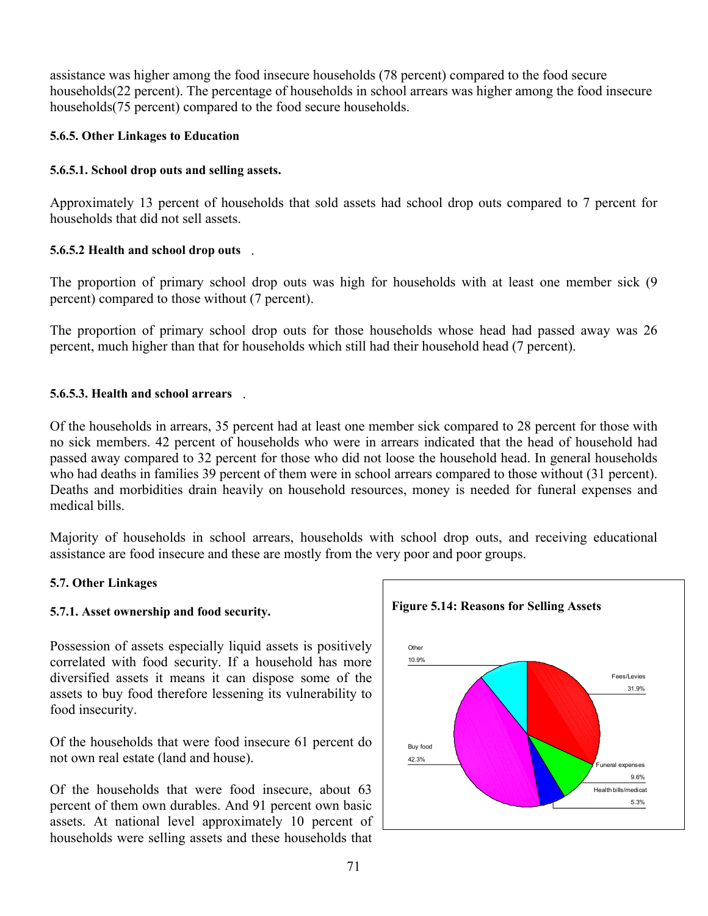assistance was higher among the food insecure households (78 percent) compared to the food secure households(22 percent). The percentage of households in school arrears was higher among the food insecure households(75 percent) compared to the food secure households.

# **5.6.5. Other Linkages to Education**

# **5.6.5.1. School drop outs and selling assets.**

Approximately 13 percent of households that sold assets had school drop outs compared to 7 percent for households that did not sell assets.

# . **5.6.5.2 Health and school drop outs**

The proportion of primary school drop outs was high for households with at least one member sick (9 percent) compared to those without (7 percent).

The proportion of primary school drop outs for those households whose head had passed away was 26 percent, much higher than that for households which still had their household head (7 percent).

# . **5.6.5.3. Health and school arrears**

Of the households in arrears, 35 percent had at least one member sick compared to 28 percent for those with no sick members. 42 percent of households who were in arrears indicated that the head of household had passed away compared to 32 percent for those who did not loose the household head. In general households who had deaths in families 39 percent of them were in school arrears compared to those without (31 percent). Deaths and morbidities drain heavily on household resources, money is needed for funeral expenses and medical bills.

Majority of households in school arrears, households with school drop outs, and receiving educational assistance are food insecure and these are mostly from the very poor and poor groups.

# **5.7. Other Linkages**

# **5.7.1. Asset ownership and food security.**

Possession of assets especially liquid assets is positively correlated with food security. If a household has more diversified assets it means it can dispose some of the assets to buy food therefore lessening its vulnerability to food insecurity.

Of the households that were food insecure 61 percent do not own real estate (land and house).

Of the households that were food insecure, about 63 percent of them own durables. And 91 percent own basic assets. At national level approximately 10 percent of households were selling assets and these households that

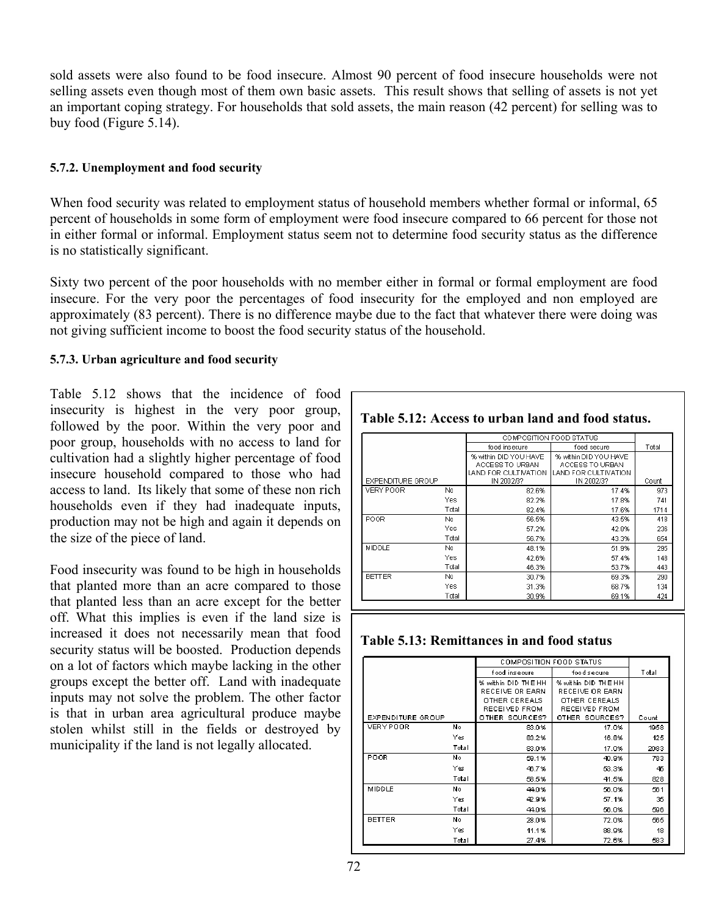sold assets were also found to be food insecure. Almost 90 percent of food insecure households were not selling assets even though most of them own basic assets. This result shows that selling of assets is not yet an important coping strategy. For households that sold assets, the main reason (42 percent) for selling was to buy food (Figure 5.14).

#### **5.7.2. Unemployment and food security**

When food security was related to employment status of household members whether formal or informal, 65 percent of households in some form of employment were food insecure compared to 66 percent for those not in either formal or informal. Employment status seem not to determine food security status as the difference is no statistically significant.

Sixty two percent of the poor households with no member either in formal or formal employment are food insecure. For the very poor the percentages of food insecurity for the employed and non employed are approximately (83 percent). There is no difference maybe due to the fact that whatever there were doing was not giving sufficient income to boost the food security status of the household.

### **5.7.3. Urban agriculture and food security**

Table 5.12 shows that the incidence of food insecurity is highest in the very poor group, followed by the poor. Within the very poor and poor group, households with no access to land for cultivation had a slightly higher percentage of food insecure household compared to those who had access to land. Its likely that some of these non rich households even if they had inadequate inputs, production may not be high and again it depends on the size of the piece of land.

Food insecurity was found to be high in households that planted more than an acre compared to those that planted less than an acre except for the better off. What this implies is even if the land size is increased it does not necessarily mean that food security status will be boosted. Production depends on a lot of factors which maybe lacking in the other groups except the better off. Land with inadequate inputs may not solve the problem. The other factor is that in urban area agricultural produce maybe stolen whilst still in the fields or destroyed by municipality if the land is not legally allocated.

**Table 5.12: Access to urban land and food status.** 

|                   |       | COMPOSITION FOOD STATUS |                       |       |
|-------------------|-------|-------------------------|-----------------------|-------|
|                   |       | food insecure           | food secure           | Total |
|                   |       | % within DID YOU HAVE   | % within DID YOU HAVE |       |
|                   |       | ACCESS TO URBAN         | ACCESS TO URBAN       |       |
|                   |       | LAND FOR CULTIVATION    | LAND FOR CULTIVATION  |       |
| EXPENDITURE GROUP |       | IN 2002/3?              | IN 2002/3?            | Count |
| <b>VERY POOR</b>  | No    | 82.6%                   | 17.4%                 | 973   |
|                   | Yes   | 82.2%                   | 17.8%                 | 741   |
|                   | Total | 82.4%                   | 17.6%                 | 1714  |
| POOR              | No    | 56.5%                   | 43.5%                 | 418   |
|                   | Yes   | 57.2%                   | 42.8%                 | 236   |
|                   | Total | 56.7%                   | 43.3%                 | 654   |
| MIDDLE            | No    | 48.1%                   | 51.9%                 | 295   |
|                   | Yes   | 42.6%                   | 57.4%                 | 148   |
|                   | Total | 46.3%                   | 53.7%                 | 443   |
| <b>BETTER</b>     | No    | 30.7%                   | 69.3%                 | 290   |
|                   | Yes   | 31.3%                   | 68.7%                 | 134   |
|                   | Total | 30.9%                   | 69.1%                 | 424   |

**Table 5.13: Remittances in and food status** 

|                   |       | COMPOSITION FOOD STATUS                |                                         |       |
|-------------------|-------|----------------------------------------|-----------------------------------------|-------|
|                   |       | food insecure                          | food secure                             | Total |
|                   |       | % within DID THE HH<br>RECEIVE OR EARN | % within DID THE HH<br>RECEIVE OR EARN. |       |
|                   |       | OTHER CEREALS<br>RECEIVED FROM         | OTHER CEREALS<br>RECEIVED FROM          |       |
| EXPENDITURE GROUP |       | OTHER SOURCES?                         | OTHER SOURCES?                          | Count |
| <b>VERY POOR</b>  | No.   | 83.0%                                  | 17.0%                                   | 1958  |
|                   | Yesi  | 83.2%                                  | 16.8%                                   | 125   |
|                   | Total | 83.0%                                  | 17.0%                                   | 2083  |
| POOR              | No.   | 59.1%                                  | 40.9%                                   | 783   |
|                   | Yes   | 46.7%                                  | 53.3%                                   | 46    |
|                   | Total | 58.5%                                  | 41.5%                                   | 828   |
| MIDDLE            | No.   | 44.0%                                  | 56.0%                                   | 561   |
|                   | Yes   | 42.9%                                  | 57.1%                                   | 35    |
|                   | Total | 44.0%                                  | 56.0%                                   | 596   |
| <b>BETTER</b>     | No.   | 28.0%                                  | 72.0%                                   | 565   |
|                   | Yes   | 11.1%                                  | 88.9%                                   | 18    |
|                   | Total | 27.4%                                  | 72.6%                                   | 583   |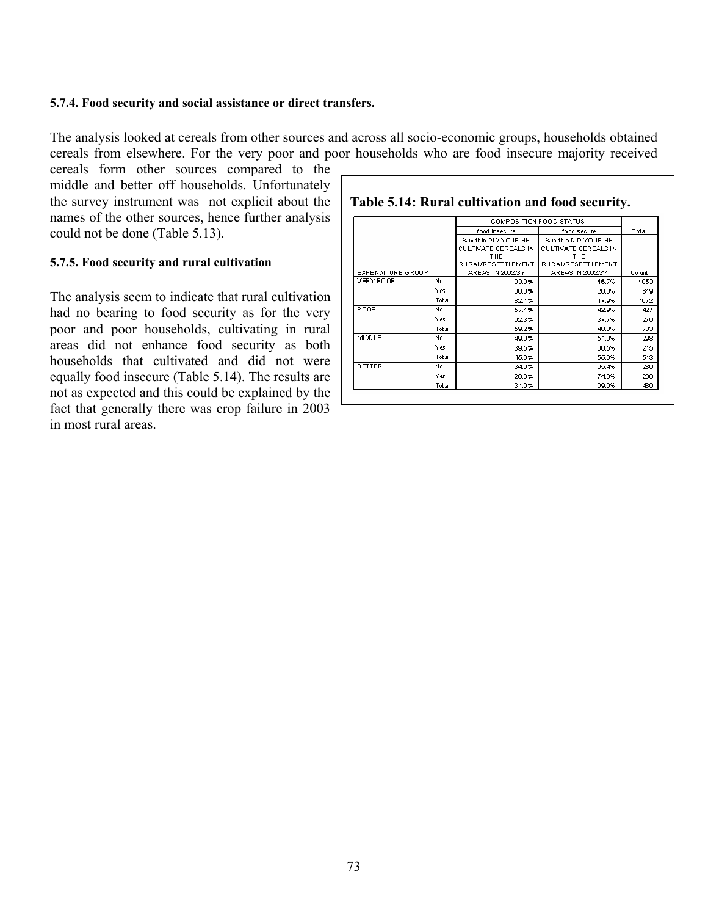#### **5.7.4. Food security and social assistance or direct transfers.**

The analysis looked at cereals from other sources and across all socio-economic groups, households obtained cereals from elsewhere. For the very poor and poor households who are food insecure majority received

cereals form other sources compared to the middle and better off households. Unfortunately the survey instrument was not explicit about the names of the other sources, hence further analysis could not be done (Table 5.13).

#### **5.7.5. Food security and rural cultivation**

The analysis seem to indicate that rural cultivation had no bearing to food security as for the very poor and poor households, cultivating in rural areas did not enhance food security as both households that cultivated and did not were equally food insecure (Table 5.14). The results are not as expected and this could be explained by the fact that generally there was crop failure in 2003 in most rural areas.

|                   |                                                        | COMPOSITION FOOD STATUS            |                             |       |
|-------------------|--------------------------------------------------------|------------------------------------|-----------------------------|-------|
|                   |                                                        | food insecure                      | food secure                 | Total |
|                   |                                                        | % within DID YOUR HH               | % within DID YOUR HH        |       |
|                   |                                                        | CULTIVATE CEREALS IN<br><b>THE</b> | CULTIVATE CEREALS IN<br>THE | Count |
|                   | <b>RURAL/RESETTLEMENT</b><br><b>RURAL/RESETTLEMENT</b> |                                    |                             |       |
| EXPENDITURE GROUP |                                                        | AREAS IN 2002/3?                   | AREAS IN 2002/3?            |       |
| <b>VERY POOR</b>  | No                                                     | 83.3%                              | 16.7%                       | 1053  |
|                   | Yes                                                    | 80.0%                              | 20.0%                       | 619   |
|                   | Total                                                  | 82.1%                              | 17.9%                       | 1672  |
| POOR              | No.                                                    | 57.1%                              | 42.9%                       | 427   |
|                   | Yes                                                    | 62.3%                              | 37.7%                       | 276   |
|                   | Total                                                  | 59.2%                              | 40.8%                       | 703   |
| MI DD LE          | No.                                                    | 49.0%                              | 51.0%                       | 298   |
|                   | Yes                                                    | 39.5%                              | 60.5%                       | 215   |
|                   | Total                                                  | 45.0%                              | 55.0%                       | 513   |
| <b>BETTER</b>     | No                                                     | 34.6%                              | 65.4%                       | 280   |
|                   | Yes                                                    | 26.0%                              | 74.0%                       | 200   |
|                   | Total                                                  | 31.0%                              | 69.0%                       | 480   |

# **Table 5.14: Rural cultivation and food security.**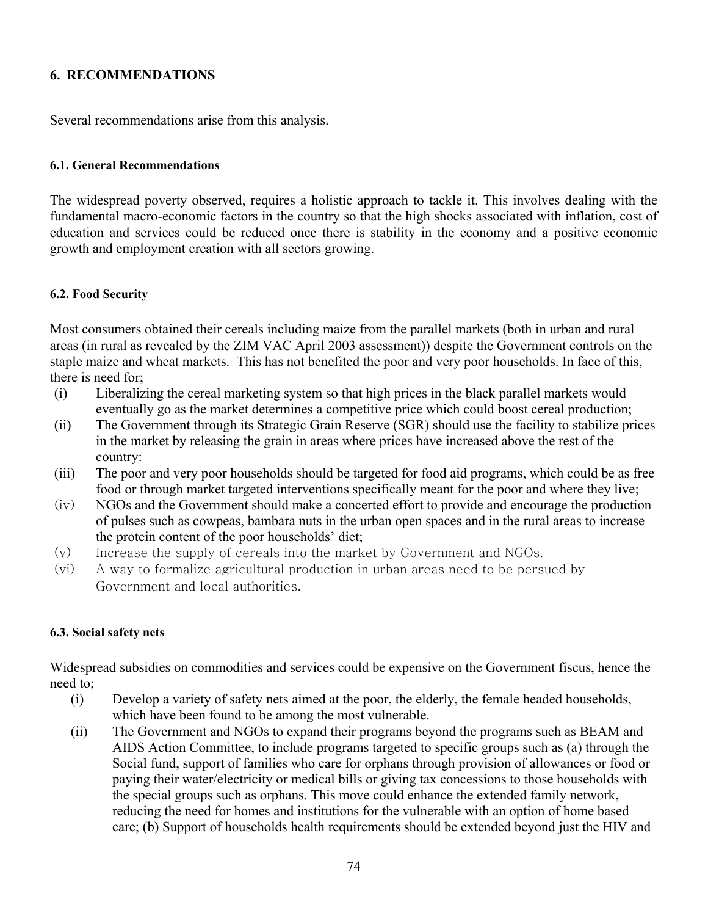# **6. RECOMMENDATIONS**

Several recommendations arise from this analysis.

### **6.1. General Recommendations**

The widespread poverty observed, requires a holistic approach to tackle it. This involves dealing with the fundamental macro-economic factors in the country so that the high shocks associated with inflation, cost of education and services could be reduced once there is stability in the economy and a positive economic growth and employment creation with all sectors growing.

### **6.2. Food Security**

Most consumers obtained their cereals including maize from the parallel markets (both in urban and rural areas (in rural as revealed by the ZIM VAC April 2003 assessment)) despite the Government controls on the staple maize and wheat markets. This has not benefited the poor and very poor households. In face of this, there is need for;

- (i) Liberalizing the cereal marketing system so that high prices in the black parallel markets would eventually go as the market determines a competitive price which could boost cereal production;
- (ii) The Government through its Strategic Grain Reserve (SGR) should use the facility to stabilize prices in the market by releasing the grain in areas where prices have increased above the rest of the country:
- (iii) The poor and very poor households should be targeted for food aid programs, which could be as free food or through market targeted interventions specifically meant for the poor and where they live;
- (iv) NGOs and the Government should make a concerted effort to provide and encourage the production of pulses such as cowpeas, bambara nuts in the urban open spaces and in the rural areas to increase the protein content of the poor households' diet;
- (v) Increase the supply of cereals into the market by Government and NGOs.
- (vi) A way to formalize agricultural production in urban areas need to be persued by Government and local authorities.

# **6.3. Social safety nets**

Widespread subsidies on commodities and services could be expensive on the Government fiscus, hence the need to;

- (i) Develop a variety of safety nets aimed at the poor, the elderly, the female headed households, which have been found to be among the most vulnerable.
- (ii) The Government and NGOs to expand their programs beyond the programs such as BEAM and AIDS Action Committee, to include programs targeted to specific groups such as (a) through the Social fund, support of families who care for orphans through provision of allowances or food or paying their water/electricity or medical bills or giving tax concessions to those households with the special groups such as orphans. This move could enhance the extended family network, reducing the need for homes and institutions for the vulnerable with an option of home based care; (b) Support of households health requirements should be extended beyond just the HIV and